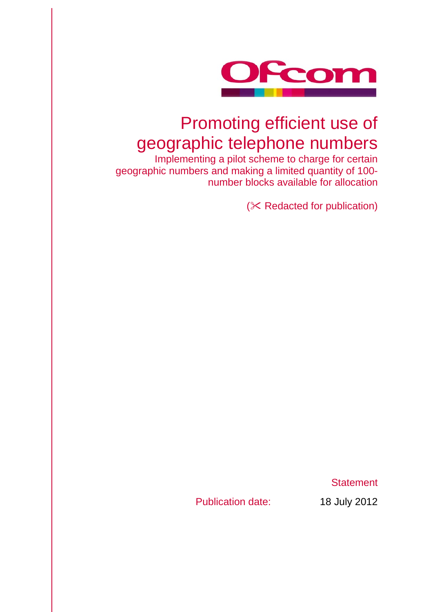

# Promoting efficient use of geographic telephone numbers

Implementing a pilot scheme to charge for certain geographic numbers and making a limited quantity of 100 number blocks available for allocation

 $(X$  Redacted for publication)

**Statement** 

Publication date: 18 July 2012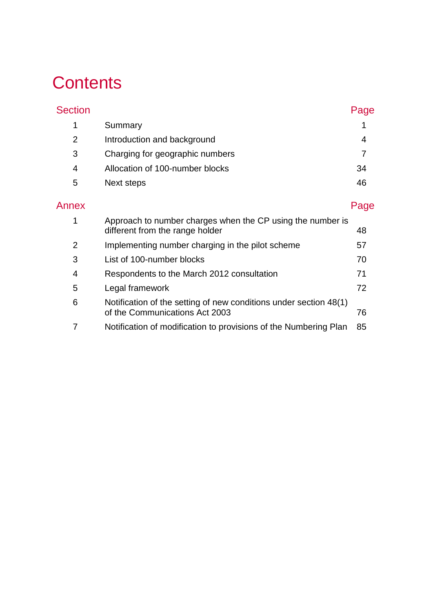# **Contents**

| <b>Section</b> |                                 | Page |
|----------------|---------------------------------|------|
| 1              | Summary                         |      |
| 2              | Introduction and background     | 4    |
| 3              | Charging for geographic numbers |      |
| $\overline{4}$ | Allocation of 100-number blocks | 34   |
| 5              | Next steps                      | 46   |
| Annex          |                                 | Page |

|   | Approach to number charges when the CP using the number is<br>different from the range holder       | 48  |
|---|-----------------------------------------------------------------------------------------------------|-----|
| 2 | Implementing number charging in the pilot scheme                                                    | 57  |
| 3 | List of 100-number blocks                                                                           | 70  |
| 4 | Respondents to the March 2012 consultation                                                          | 71  |
| 5 | Legal framework                                                                                     | 72. |
| 6 | Notification of the setting of new conditions under section 48(1)<br>of the Communications Act 2003 | 76  |
|   | Notification of modification to provisions of the Numbering Plan                                    | 85  |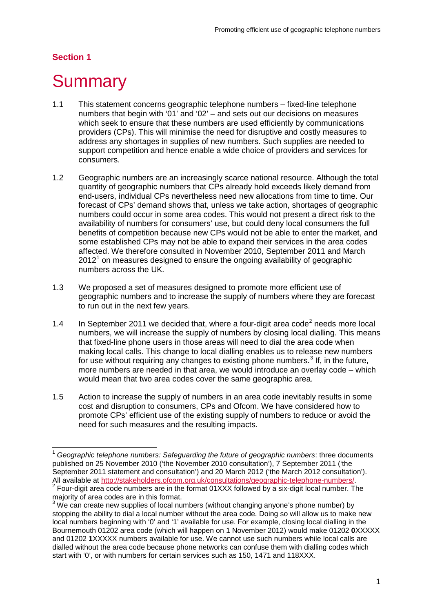## **Section 1**

# <span id="page-3-0"></span>**Summary**

- 1.1 This statement concerns geographic telephone numbers fixed-line telephone numbers that begin with '01' and '02' – and sets out our decisions on measures which seek to ensure that these numbers are used efficiently by communications providers (CPs). This will minimise the need for disruptive and costly measures to address any shortages in supplies of new numbers. Such supplies are needed to support competition and hence enable a wide choice of providers and services for consumers.
- 1.2 Geographic numbers are an increasingly scarce national resource. Although the total quantity of geographic numbers that CPs already hold exceeds likely demand from end-users, individual CPs nevertheless need new allocations from time to time. Our forecast of CPs' demand shows that, unless we take action, shortages of geographic numbers could occur in some area codes. This would not present a direct risk to the availability of numbers for consumers' use, but could deny local consumers the full benefits of competition because new CPs would not be able to enter the market, and some established CPs may not be able to expand their services in the area codes affected. We therefore consulted in November 2010, September 2011 and March  $2012<sup>1</sup>$  $2012<sup>1</sup>$  $2012<sup>1</sup>$  on measures designed to ensure the ongoing availability of geographic numbers across the UK.
- 1.3 We proposed a set of measures designed to promote more efficient use of geographic numbers and to increase the supply of numbers where they are forecast to run out in the next few years.
- 1.4 In September [2](#page-3-2)011 we decided that, where a four-digit area code<sup>2</sup> needs more local numbers, we will increase the supply of numbers by closing local dialling. This means that fixed-line phone users in those areas will need to dial the area code when making local calls. This change to local dialling enables us to release new numbers for use without requiring any changes to existing phone numbers.<sup>[3](#page-3-3)</sup> If, in the future, more numbers are needed in that area, we would introduce an overlay code – which would mean that two area codes cover the same geographic area.
- 1.5 Action to increase the supply of numbers in an area code inevitably results in some cost and disruption to consumers, CPs and Ofcom. We have considered how to promote CPs' efficient use of the existing supply of numbers to reduce or avoid the need for such measures and the resulting impacts.

<span id="page-3-1"></span> <sup>1</sup> *Geographic telephone numbers: Safeguarding the future of geographic numbers*: three documents published on 25 November 2010 ('the November 2010 consultation'), 7 September 2011 ('the September 2011 statement and consultation') and 20 March 2012 ('the March 2012 consultation'). All available at [http://stakeholders.ofcom.org.uk/consultations/geographic-telephone-numbers/.](http://stakeholders.ofcom.org.uk/consultations/geographic-telephone-numbers/)<br><sup>2</sup> Four-digit area code numbers are in the format 01XXX followed by a six-digit local number. The majority of area codes are in this format.

<span id="page-3-3"></span><span id="page-3-2"></span> $3$  We can create new supplies of local numbers (without changing anyone's phone number) by stopping the ability to dial a local number without the area code. Doing so will allow us to make new local numbers beginning with '0' and '1' available for use. For example, closing local dialling in the Bournemouth 01202 area code (which will happen on 1 November 2012) would make 01202 **0**XXXXX and 01202 **1**XXXXX numbers available for use. We cannot use such numbers while local calls are dialled without the area code because phone networks can confuse them with dialling codes which start with '0', or with numbers for certain services such as 150, 1471 and 118XXX.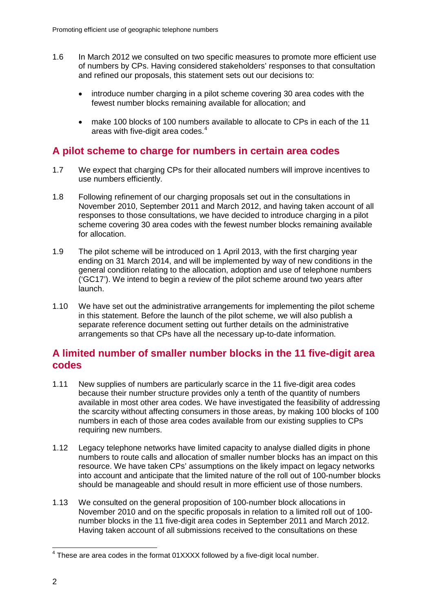- 1.6 In March 2012 we consulted on two specific measures to promote more efficient use of numbers by CPs. Having considered stakeholders' responses to that consultation and refined our proposals, this statement sets out our decisions to:
	- introduce number charging in a pilot scheme covering 30 area codes with the fewest number blocks remaining available for allocation; and
	- make 100 blocks of 100 numbers available to allocate to CPs in each of the 11 areas with five-digit area codes. [4](#page-4-0)

## **A pilot scheme to charge for numbers in certain area codes**

- 1.7 We expect that charging CPs for their allocated numbers will improve incentives to use numbers efficiently.
- 1.8 Following refinement of our charging proposals set out in the consultations in November 2010, September 2011 and March 2012, and having taken account of all responses to those consultations, we have decided to introduce charging in a pilot scheme covering 30 area codes with the fewest number blocks remaining available for allocation.
- 1.9 The pilot scheme will be introduced on 1 April 2013, with the first charging year ending on 31 March 2014, and will be implemented by way of new conditions in the general condition relating to the allocation, adoption and use of telephone numbers ('GC17'). We intend to begin a review of the pilot scheme around two years after launch.
- 1.10 We have set out the administrative arrangements for implementing the pilot scheme in this statement. Before the launch of the pilot scheme, we will also publish a separate reference document setting out further details on the administrative arrangements so that CPs have all the necessary up-to-date information.

## **A limited number of smaller number blocks in the 11 five-digit area codes**

- 1.11 New supplies of numbers are particularly scarce in the 11 five-digit area codes because their number structure provides only a tenth of the quantity of numbers available in most other area codes. We have investigated the feasibility of addressing the scarcity without affecting consumers in those areas, by making 100 blocks of 100 numbers in each of those area codes available from our existing supplies to CPs requiring new numbers.
- 1.12 Legacy telephone networks have limited capacity to analyse dialled digits in phone numbers to route calls and allocation of smaller number blocks has an impact on this resource. We have taken CPs' assumptions on the likely impact on legacy networks into account and anticipate that the limited nature of the roll out of 100-number blocks should be manageable and should result in more efficient use of those numbers.
- 1.13 We consulted on the general proposition of 100-number block allocations in November 2010 and on the specific proposals in relation to a limited roll out of 100 number blocks in the 11 five-digit area codes in September 2011 and March 2012. Having taken account of all submissions received to the consultations on these

<span id="page-4-0"></span><sup>&</sup>lt;sup>4</sup> These are area codes in the format 01XXXX followed by a five-digit local number.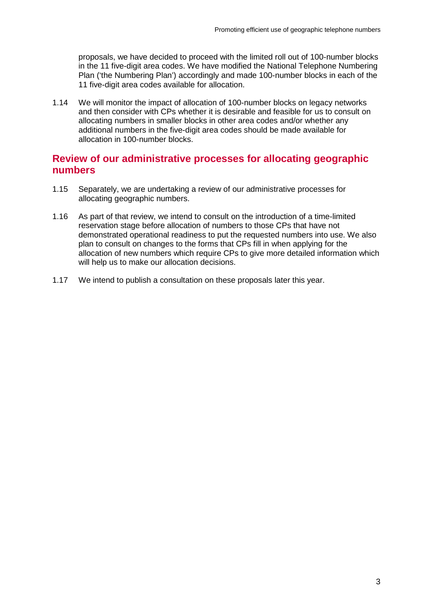proposals, we have decided to proceed with the limited roll out of 100-number blocks in the 11 five-digit area codes. We have modified the National Telephone Numbering Plan ('the Numbering Plan') accordingly and made 100-number blocks in each of the 11 five-digit area codes available for allocation.

1.14 We will monitor the impact of allocation of 100-number blocks on legacy networks and then consider with CPs whether it is desirable and feasible for us to consult on allocating numbers in smaller blocks in other area codes and/or whether any additional numbers in the five-digit area codes should be made available for allocation in 100-number blocks.

## **Review of our administrative processes for allocating geographic numbers**

- 1.15 Separately, we are undertaking a review of our administrative processes for allocating geographic numbers.
- 1.16 As part of that review, we intend to consult on the introduction of a time-limited reservation stage before allocation of numbers to those CPs that have not demonstrated operational readiness to put the requested numbers into use. We also plan to consult on changes to the forms that CPs fill in when applying for the allocation of new numbers which require CPs to give more detailed information which will help us to make our allocation decisions.
- 1.17 We intend to publish a consultation on these proposals later this year.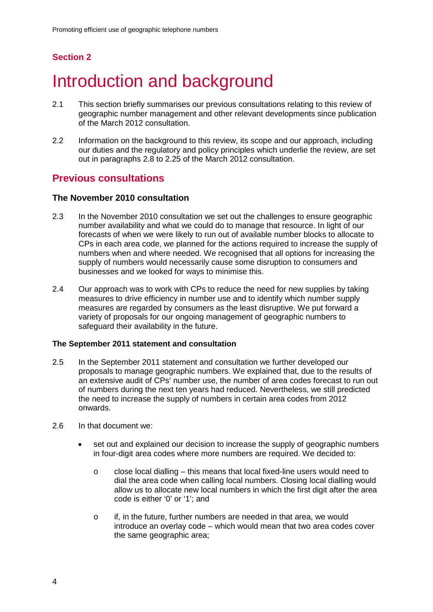# **Section 2**

# <span id="page-6-0"></span>Introduction and background

- 2.1 This section briefly summarises our previous consultations relating to this review of geographic number management and other relevant developments since publication of the March 2012 consultation.
- 2.2 Information on the background to this review, its scope and our approach, including our duties and the regulatory and policy principles which underlie the review, are set out in paragraphs 2.8 to 2.25 of the March 2012 consultation.

## **Previous consultations**

## **The November 2010 consultation**

- 2.3 In the November 2010 consultation we set out the challenges to ensure geographic number availability and what we could do to manage that resource. In light of our forecasts of when we were likely to run out of available number blocks to allocate to CPs in each area code, we planned for the actions required to increase the supply of numbers when and where needed. We recognised that all options for increasing the supply of numbers would necessarily cause some disruption to consumers and businesses and we looked for ways to minimise this.
- 2.4 Our approach was to work with CPs to reduce the need for new supplies by taking measures to drive efficiency in number use and to identify which number supply measures are regarded by consumers as the least disruptive. We put forward a variety of proposals for our ongoing management of geographic numbers to safeguard their availability in the future.

#### **The September 2011 statement and consultation**

- 2.5 In the September 2011 statement and consultation we further developed our proposals to manage geographic numbers. We explained that, due to the results of an extensive audit of CPs' number use, the number of area codes forecast to run out of numbers during the next ten years had reduced. Nevertheless, we still predicted the need to increase the supply of numbers in certain area codes from 2012 onwards.
- 2.6 In that document we:
	- set out and explained our decision to increase the supply of geographic numbers in four-digit area codes where more numbers are required. We decided to:
		- $\circ$  close local dialling this means that local fixed-line users would need to dial the area code when calling local numbers. Closing local dialling would allow us to allocate new local numbers in which the first digit after the area code is either '0' or '1'; and
		- o if, in the future, further numbers are needed in that area, we would introduce an overlay code – which would mean that two area codes cover the same geographic area;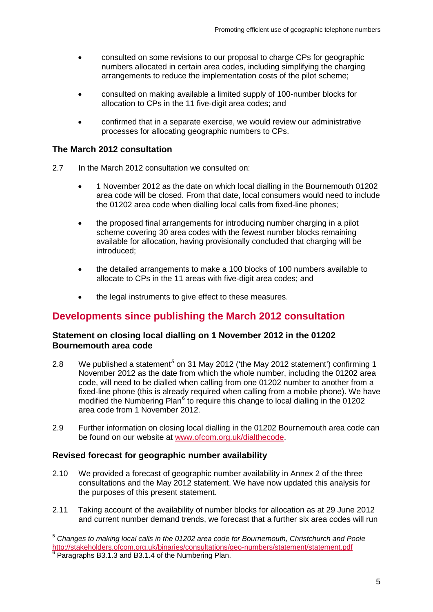- consulted on some revisions to our proposal to charge CPs for geographic numbers allocated in certain area codes, including simplifying the charging arrangements to reduce the implementation costs of the pilot scheme;
- consulted on making available a limited supply of 100-number blocks for allocation to CPs in the 11 five-digit area codes; and
- confirmed that in a separate exercise, we would review our administrative processes for allocating geographic numbers to CPs.

## **The March 2012 consultation**

- 2.7 In the March 2012 consultation we consulted on:
	- 1 November 2012 as the date on which local dialling in the Bournemouth 01202 area code will be closed. From that date, local consumers would need to include the 01202 area code when dialling local calls from fixed-line phones;
	- the proposed final arrangements for introducing number charging in a pilot scheme covering 30 area codes with the fewest number blocks remaining available for allocation, having provisionally concluded that charging will be introduced;
	- the detailed arrangements to make a 100 blocks of 100 numbers available to allocate to CPs in the 11 areas with five-digit area codes; and
	- the legal instruments to give effect to these measures.

## **Developments since publishing the March 2012 consultation**

## **Statement on closing local dialling on 1 November 2012 in the 01202 Bournemouth area code**

- 2.8 We published a statement*[5](#page-7-0)* on 31 May 2012 ('the May 2012 statement') confirming 1 November 2012 as the date from which the whole number, including the 01202 area code, will need to be dialled when calling from one 01202 number to another from a fixed-line phone (this is already required when calling from a mobile phone). We have modified the Numbering Plan $<sup>6</sup>$  $<sup>6</sup>$  $<sup>6</sup>$  to require this change to local dialling in the 01202</sup> area code from 1 November 2012.
- 2.9 Further information on closing local dialling in the 01202 Bournemouth area code can be found on our website at [www.ofcom.org.uk/dialthecode.](http://www.ofcom.org.uk/dialthecode)

## **Revised forecast for geographic number availability**

- 2.10 We provided a forecast of geographic number availability in Annex 2 of the three consultations and the May 2012 statement. We have now updated this analysis for the purposes of this present statement.
- 2.11 Taking account of the availability of number blocks for allocation as at 29 June 2012 and current number demand trends, we forecast that a further six area codes will run

<span id="page-7-1"></span><span id="page-7-0"></span> <sup>5</sup> *Changes to making local calls in the 01202 area code for Bournemouth, Christchurch and Poole* <http://stakeholders.ofcom.org.uk/binaries/consultations/geo-numbers/statement/statement.pdf> <sup>6</sup> Paragraphs B3.1.3 and B3.1.4 of the Numbering Plan.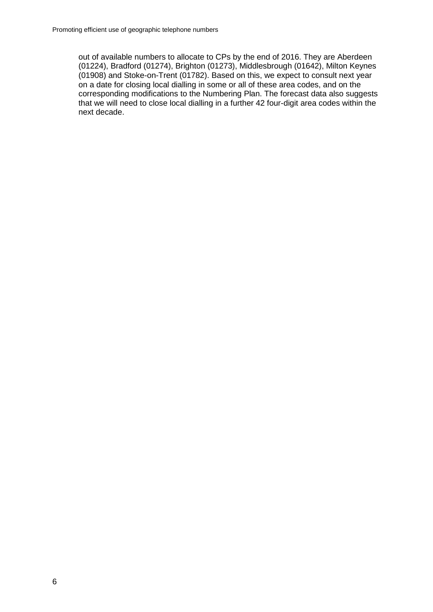out of available numbers to allocate to CPs by the end of 2016. They are Aberdeen (01224), Bradford (01274), Brighton (01273), Middlesbrough (01642), Milton Keynes (01908) and Stoke-on-Trent (01782). Based on this, we expect to consult next year on a date for closing local dialling in some or all of these area codes, and on the corresponding modifications to the Numbering Plan. The forecast data also suggests that we will need to close local dialling in a further 42 four-digit area codes within the next decade.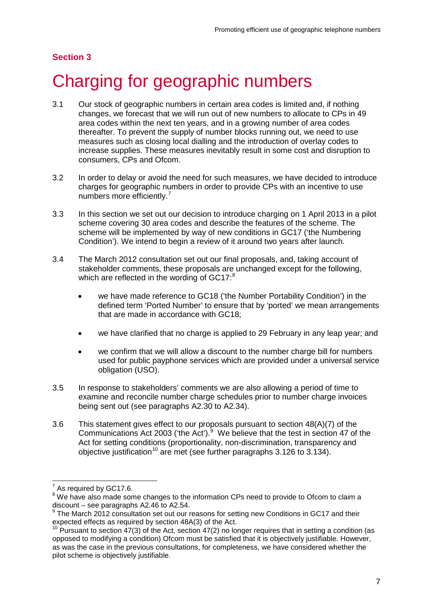## **Section 3**

# <span id="page-9-0"></span>3 Charging for geographic numbers

- 3.1 Our stock of geographic numbers in certain area codes is limited and, if nothing changes, we forecast that we will run out of new numbers to allocate to CPs in 49 area codes within the next ten years, and in a growing number of area codes thereafter. To prevent the supply of number blocks running out, we need to use measures such as closing local dialling and the introduction of overlay codes to increase supplies. These measures inevitably result in some cost and disruption to consumers, CPs and Ofcom.
- 3.2 In order to delay or avoid the need for such measures, we have decided to introduce charges for geographic numbers in order to provide CPs with an incentive to use numbers more efficiently.<sup>[7](#page-9-1)</sup>
- 3.3 In this section we set out our decision to introduce charging on 1 April 2013 in a pilot scheme covering 30 area codes and describe the features of the scheme. The scheme will be implemented by way of new conditions in GC17 ('the Numbering Condition'). We intend to begin a review of it around two years after launch.
- 3.4 The March 2012 consultation set out our final proposals, and, taking account of stakeholder comments, these proposals are unchanged except for the following, which are reflected in the wording of GC17:<sup>[8](#page-9-2)</sup>
	- we have made reference to GC18 ('the Number Portability Condition') in the defined term 'Ported Number' to ensure that by 'ported' we mean arrangements that are made in accordance with GC18;
	- we have clarified that no charge is applied to 29 February in any leap year; and
	- we confirm that we will allow a discount to the number charge bill for numbers used for public payphone services which are provided under a universal service obligation (USO).
- 3.5 In response to stakeholders' comments we are also allowing a period of time to examine and reconcile number charge schedules prior to number charge invoices being sent out (see paragraphs A2.30 to A2.34).
- 3.6 This statement gives effect to our proposals pursuant to section 48(A)(7) of the Communications Act 2003 ('the Act'). $9$  We believe that the test in section 47 of the Act for setting conditions (proportionality, non-discrimination, transparency and objective justification<sup>[10](#page-9-4)</sup> are met (see further paragraphs  $3.126$  to  $3.134$ ).

As required by GC17.6.

<span id="page-9-2"></span><span id="page-9-1"></span><sup>&</sup>lt;sup>8</sup> We have also made some changes to the information CPs need to provide to Ofcom to claim a discount – see paragraphs A2.46 to A2.54.

<span id="page-9-3"></span><sup>&</sup>lt;sup>9</sup> The March 2012 consultation set out our reasons for setting new Conditions in GC17 and their expected effects as required by section 48A(3) of the Act.

<span id="page-9-4"></span> $10$  Pursuant to section 47(3) of the Act, section 47(2) no longer requires that in setting a condition (as opposed to modifying a condition) Ofcom must be satisfied that it is objectively justifiable. However, as was the case in the previous consultations, for completeness, we have considered whether the pilot scheme is objectively justifiable.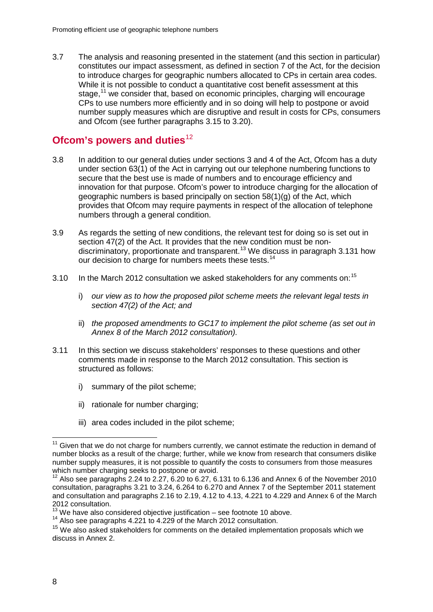3.7 The analysis and reasoning presented in the statement (and this section in particular) constitutes our impact assessment, as defined in section 7 of the Act, for the decision to introduce charges for geographic numbers allocated to CPs in certain area codes. While it is not possible to conduct a quantitative cost benefit assessment at this stage,  $11$  we consider that, based on economic principles, charging will encourage CPs to use numbers more efficiently and in so doing will help to postpone or avoid number supply measures which are disruptive and result in costs for CPs, consumers and Ofcom (see further paragraphs 3.15 to 3.20).

## **Ofcom's powers and duties**<sup>[12](#page-10-1)</sup>

- 3.8 In addition to our general duties under sections 3 and 4 of the Act, Ofcom has a duty under section 63(1) of the Act in carrying out our telephone numbering functions to secure that the best use is made of numbers and to encourage efficiency and innovation for that purpose. Ofcom's power to introduce charging for the allocation of geographic numbers is based principally on section 58(1)(g) of the Act, which provides that Ofcom may require payments in respect of the allocation of telephone numbers through a general condition.
- 3.9 As regards the setting of new conditions, the relevant test for doing so is set out in section 47(2) of the Act. It provides that the new condition must be non-discriminatory, proportionate and transparent.<sup>[13](#page-10-2)</sup> We discuss in paragraph 3.131 how our decision to charge for numbers meets these tests.<sup>[14](#page-10-3)</sup>
- 3.10 In the March 2012 consultation we asked stakeholders for any comments on:<sup>[15](#page-10-4)</sup>
	- i) *our view as to how the proposed pilot scheme meets the relevant legal tests in section 47(2) of the Act; and*
	- ii) *the proposed amendments to GC17 to implement the pilot scheme (as set out in Annex 8 of the March 2012 consultation).*
- 3.11 In this section we discuss stakeholders' responses to these questions and other comments made in response to the March 2012 consultation. This section is structured as follows:
	- i) summary of the pilot scheme;
	- ii) rationale for number charging;
	- iii) area codes included in the pilot scheme;

<span id="page-10-0"></span> $11$  Given that we do not charge for numbers currently, we cannot estimate the reduction in demand of number blocks as a result of the charge; further, while we know from research that consumers dislike number supply measures, it is not possible to quantify the costs to consumers from those measures which number charging seeks to postpone or avoid.

<span id="page-10-1"></span> $12$  Also see paragraphs 2.24 to 2.27, 6.20 to 6.27, 6.131 to 6.136 and Annex 6 of the November 2010 consultation, paragraphs 3.21 to 3.24, 6.264 to 6.270 and Annex 7 of the September 2011 statement and consultation and paragraphs 2.16 to 2.19, 4.12 to 4.13, 4.221 to 4.229 and Annex 6 of the March 2012 consultation.

<span id="page-10-2"></span> $13 \text{ W}$ e have also considered objective justification – see footnote 10 above.

<span id="page-10-3"></span><sup>&</sup>lt;sup>14</sup> Also see paragraphs 4.221 to 4.229 of the March 2012 consultation.

<span id="page-10-4"></span> $15$  We also asked stakeholders for comments on the detailed implementation proposals which we discuss in Annex 2.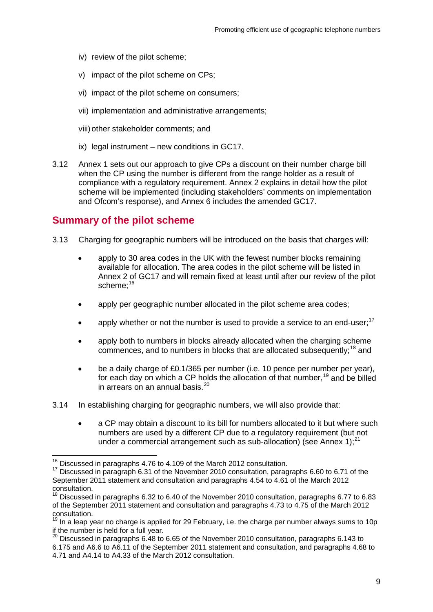- iv) review of the pilot scheme;
- v) impact of the pilot scheme on CPs;
- vi) impact of the pilot scheme on consumers;
- vii) implementation and administrative arrangements;
- viii) other stakeholder comments; and
- ix) legal instrument new conditions in GC17.
- 3.12 Annex 1 sets out our approach to give CPs a discount on their number charge bill when the CP using the number is different from the range holder as a result of compliance with a regulatory requirement. Annex 2 explains in detail how the pilot scheme will be implemented (including stakeholders' comments on implementation and Ofcom's response), and Annex 6 includes the amended GC17.

## **Summary of the pilot scheme**

- 3.13 Charging for geographic numbers will be introduced on the basis that charges will:
	- apply to 30 area codes in the UK with the fewest number blocks remaining available for allocation. The area codes in the pilot scheme will be listed in Annex 2 of GC17 and will remain fixed at least until after our review of the pilot scheme:<sup>[16](#page-11-0)</sup>
	- apply per geographic number allocated in the pilot scheme area codes;
	- apply whether or not the number is used to provide a service to an end-user: $17$
	- apply both to numbers in blocks already allocated when the charging scheme commences, and to numbers in blocks that are allocated subsequently;<sup>[18](#page-11-2)</sup> and
	- be a daily charge of £0.1/365 per number (i.e. 10 pence per number per year), for each day on which a CP holds the allocation of that number,  $19$  and be billed in arrears on an annual basis. $^{20}$  $^{20}$  $^{20}$
- 3.14 In establishing charging for geographic numbers, we will also provide that:
	- a CP may obtain a discount to its bill for numbers allocated to it but where such numbers are used by a different CP due to a regulatory requirement (but not under a commercial arrangement such as sub-allocation) (see Annex 1): $^{21}$  $^{21}$  $^{21}$

<span id="page-11-5"></span><span id="page-11-1"></span><span id="page-11-0"></span><sup>&</sup>lt;sup>16</sup> Discussed in paragraphs 4.76 to 4.109 of the March 2012 consultation.<br><sup>17</sup> Discussed in paragraph 6.31 of the November 2010 consultation, paragraphs 6.60 to 6.71 of the September 2011 statement and consultation and paragraphs 4.54 to 4.61 of the March 2012

<span id="page-11-2"></span> $^{18}$  Discussed in paragraphs 6.32 to 6.40 of the November 2010 consultation, paragraphs 6.77 to 6.83 of the September 2011 statement and consultation and paragraphs 4.73 to 4.75 of the March 2012 consultation.

<span id="page-11-3"></span> $19$  In a leap year no charge is applied for 29 February, i.e. the charge per number always sums to 10p if the number is held for a full year.

<span id="page-11-4"></span><sup>20</sup> Discussed in paragraphs 6.48 to 6.65 of the November 2010 consultation, paragraphs 6.143 to 6.175 and A6.6 to A6.11 of the September 2011 statement and consultation, and paragraphs 4.68 to 4.71 and A4.14 to A4.33 of the March 2012 consultation.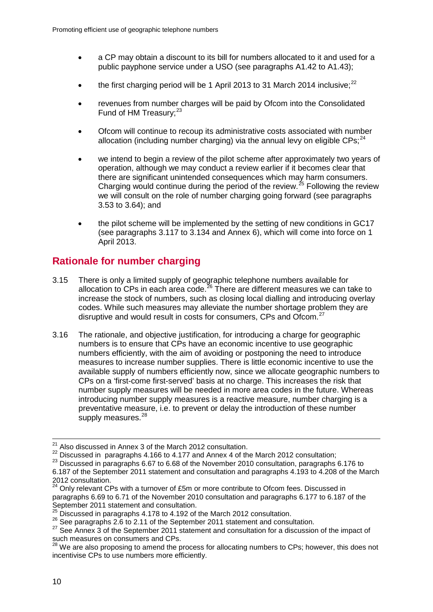- a CP may obtain a discount to its bill for numbers allocated to it and used for a public payphone service under a USO (see paragraphs A1.42 to A1.43);
- the first charging period will be 1 April 2013 to 31 March 2014 inclusive: $^{22}$  $^{22}$  $^{22}$
- revenues from number charges will be paid by Ofcom into the Consolidated Fund of HM Treasury;<sup>[23](#page-12-1)</sup>
- Ofcom will continue to recoup its administrative costs associated with number allocation (including number charging) via the annual levy on eligible  $CPs:^{24}$  $CPs:^{24}$  $CPs:^{24}$
- we intend to begin a review of the pilot scheme after approximately two years of operation, although we may conduct a review earlier if it becomes clear that there are significant unintended consequences which may harm consumers. Charging would continue during the period of the review.<sup>[25](#page-12-3)</sup> Following the review we will consult on the role of number charging going forward (see paragraphs 3.53 to 3.64); and
- the pilot scheme will be implemented by the setting of new conditions in GC17 (see paragraphs 3.117 to 3.134 and Annex 6), which will come into force on 1 April 2013.

# **Rationale for number charging**

- 3.15 There is only a limited supply of geographic telephone numbers available for allocation to CPs in each area code.<sup>[26](#page-12-4)</sup> There are different measures we can take to increase the stock of numbers, such as closing local dialling and introducing overlay codes. While such measures may alleviate the number shortage problem they are disruptive and would result in costs for consumers, CPs and Ofcom.<sup>27</sup>
- 3.16 The rationale, and objective justification, for introducing a charge for geographic numbers is to ensure that CPs have an economic incentive to use geographic numbers efficiently, with the aim of avoiding or postponing the need to introduce measures to increase number supplies. There is little economic incentive to use the available supply of numbers efficiently now, since we allocate geographic numbers to CPs on a 'first-come first-served' basis at no charge. This increases the risk that number supply measures will be needed in more area codes in the future. Whereas introducing number supply measures is a reactive measure, number charging is a preventative measure, i.e. to prevent or delay the introduction of these number supply measures.<sup>[28](#page-12-6)</sup>

<span id="page-12-0"></span><sup>22</sup> Discussed in paragraphs 4.166 to 4.177 and Annex 4 of the March 2012 consultation;

<sup>&</sup>lt;sup>21</sup> Also discussed in Annex 3 of the March 2012 consultation.

<span id="page-12-1"></span><sup>&</sup>lt;sup>23</sup> Discussed in paragraphs 6.67 to 6.68 of the November 2010 consultation, paragraphs 6.176 to

<sup>6.187</sup> of the September 2011 statement and consultation and paragraphs 4.193 to 4.208 of the March 2012 consultation.

<span id="page-12-2"></span> $24$  Only relevant CPs with a turnover of £5m or more contribute to Ofcom fees. Discussed in paragraphs 6.69 to 6.71 of the November 2010 consultation and paragraphs 6.177 to 6.187 of the September 2011 statement and consultation.

 $\frac{25}{10}$  Discussed in paragraphs 4.178 to 4.192 of the March 2012 consultation.

<span id="page-12-5"></span>

<span id="page-12-4"></span><span id="page-12-3"></span><sup>26</sup> See paragraphs 2.6 to 2.11 of the September 2011 statement and consultation.<br><sup>27</sup> See Annex 3 of the September 2011 statement and consultation for a discussion of the impact of such measures on consumers and CPs.

<span id="page-12-6"></span><sup>&</sup>lt;sup>28</sup> We are also proposing to amend the process for allocating numbers to CPs; however, this does not incentivise CPs to use numbers more efficiently.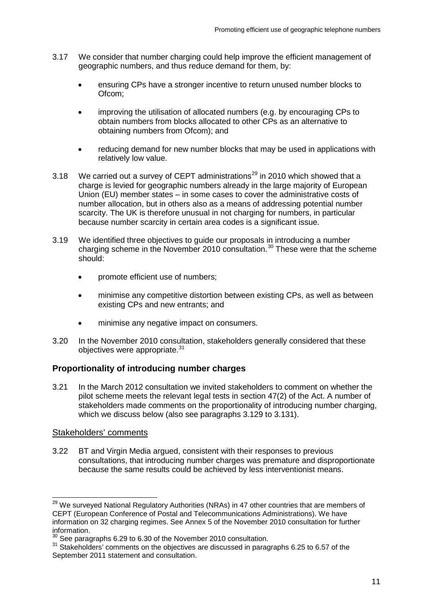- 3.17 We consider that number charging could help improve the efficient management of geographic numbers, and thus reduce demand for them, by:
	- ensuring CPs have a stronger incentive to return unused number blocks to Ofcom;
	- improving the utilisation of allocated numbers (e.g. by encouraging CPs to obtain numbers from blocks allocated to other CPs as an alternative to obtaining numbers from Ofcom); and
	- reducing demand for new number blocks that may be used in applications with relatively low value.
- 3.18 We carried out a survey of CEPT administrations<sup>[29](#page-13-0)</sup> in 2010 which showed that a charge is levied for geographic numbers already in the large majority of European Union (EU) member states – in some cases to cover the administrative costs of number allocation, but in others also as a means of addressing potential number scarcity. The UK is therefore unusual in not charging for numbers, in particular because number scarcity in certain area codes is a significant issue.
- 3.19 We identified three objectives to guide our proposals in introducing a number charging scheme in the November 2010 consultation.<sup>[30](#page-13-1)</sup> These were that the scheme should:
	- promote efficient use of numbers;
	- minimise any competitive distortion between existing CPs, as well as between existing CPs and new entrants; and
	- minimise any negative impact on consumers.
- 3.20 In the November 2010 consultation, stakeholders generally considered that these objectives were appropriate.<sup>[31](#page-13-2)</sup>

## **Proportionality of introducing number charges**

3.21 In the March 2012 consultation we invited stakeholders to comment on whether the pilot scheme meets the relevant legal tests in section 47(2) of the Act. A number of stakeholders made comments on the proportionality of introducing number charging, which we discuss below (also see paragraphs 3.129 to 3.131).

## Stakeholders' comments

3.22 BT and Virgin Media argued, consistent with their responses to previous consultations, that introducing number charges was premature and disproportionate because the same results could be achieved by less interventionist means.

<span id="page-13-0"></span><sup>&</sup>lt;sup>29</sup> We surveved National Regulatory Authorities (NRAs) in 47 other countries that are members of CEPT (European Conference of Postal and Telecommunications Administrations). We have information on 32 charging regimes. See Annex 5 of the November 2010 consultation for further information.<br><sup>30</sup> See paragraphs 6.29 to 6.30 of the November 2010 consultation.

<span id="page-13-2"></span><span id="page-13-1"></span> $31$  Stakeholders' comments on the objectives are discussed in paragraphs 6.25 to 6.57 of the September 2011 statement and consultation.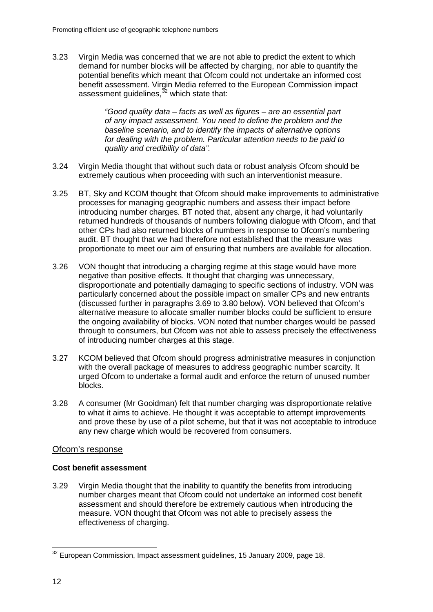3.23 Virgin Media was concerned that we are not able to predict the extent to which demand for number blocks will be affected by charging, nor able to quantify the potential benefits which meant that Ofcom could not undertake an informed cost benefit assessment. Virgin Media referred to the European Commission impact assessment guidelines, [32](#page-14-0) which state that:

> *"Good quality data – facts as well as figures – are an essential part of any impact assessment. You need to define the problem and the baseline scenario, and to identify the impacts of alternative options for dealing with the problem. Particular attention needs to be paid to quality and credibility of data".*

- 3.24 Virgin Media thought that without such data or robust analysis Ofcom should be extremely cautious when proceeding with such an interventionist measure.
- 3.25 BT, Sky and KCOM thought that Ofcom should make improvements to administrative processes for managing geographic numbers and assess their impact before introducing number charges. BT noted that, absent any charge, it had voluntarily returned hundreds of thousands of numbers following dialogue with Ofcom, and that other CPs had also returned blocks of numbers in response to Ofcom's numbering audit. BT thought that we had therefore not established that the measure was proportionate to meet our aim of ensuring that numbers are available for allocation.
- 3.26 VON thought that introducing a charging regime at this stage would have more negative than positive effects. It thought that charging was unnecessary, disproportionate and potentially damaging to specific sections of industry. VON was particularly concerned about the possible impact on smaller CPs and new entrants (discussed further in paragraphs 3.69 to 3.80 below). VON believed that Ofcom's alternative measure to allocate smaller number blocks could be sufficient to ensure the ongoing availability of blocks. VON noted that number charges would be passed through to consumers, but Ofcom was not able to assess precisely the effectiveness of introducing number charges at this stage.
- 3.27 KCOM believed that Ofcom should progress administrative measures in conjunction with the overall package of measures to address geographic number scarcity. It urged Ofcom to undertake a formal audit and enforce the return of unused number blocks.
- 3.28 A consumer (Mr Gooidman) felt that number charging was disproportionate relative to what it aims to achieve. He thought it was acceptable to attempt improvements and prove these by use of a pilot scheme, but that it was not acceptable to introduce any new charge which would be recovered from consumers.

## Ofcom's response

## **Cost benefit assessment**

3.29 Virgin Media thought that the inability to quantify the benefits from introducing number charges meant that Ofcom could not undertake an informed cost benefit assessment and should therefore be extremely cautious when introducing the measure. VON thought that Ofcom was not able to precisely assess the effectiveness of charging.

<span id="page-14-0"></span><sup>&</sup>lt;sup>32</sup> European Commission, Impact assessment guidelines, 15 January 2009, page 18.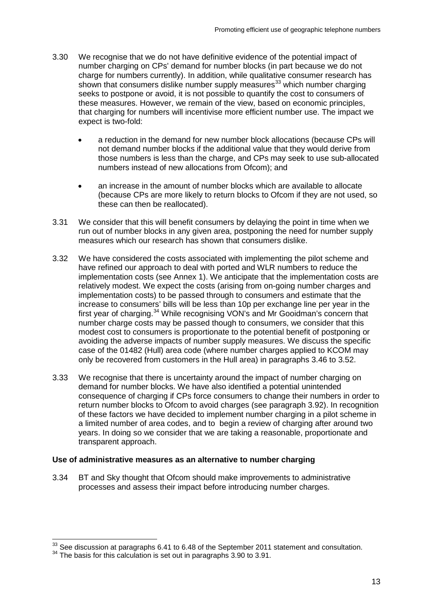- 3.30 We recognise that we do not have definitive evidence of the potential impact of number charging on CPs' demand for number blocks (in part because we do not charge for numbers currently). In addition, while qualitative consumer research has shown that consumers dislike number supply measures<sup>[33](#page-15-0)</sup> which number charging seeks to postpone or avoid, it is not possible to quantify the cost to consumers of these measures. However, we remain of the view, based on economic principles, that charging for numbers will incentivise more efficient number use. The impact we expect is two-fold:
	- a reduction in the demand for new number block allocations (because CPs will not demand number blocks if the additional value that they would derive from those numbers is less than the charge, and CPs may seek to use sub-allocated numbers instead of new allocations from Ofcom); and
	- an increase in the amount of number blocks which are available to allocate (because CPs are more likely to return blocks to Ofcom if they are not used, so these can then be reallocated).
- 3.31 We consider that this will benefit consumers by delaying the point in time when we run out of number blocks in any given area, postponing the need for number supply measures which our research has shown that consumers dislike.
- 3.32 We have considered the costs associated with implementing the pilot scheme and have refined our approach to deal with ported and WLR numbers to reduce the implementation costs (see Annex 1). We anticipate that the implementation costs are relatively modest. We expect the costs (arising from on-going number charges and implementation costs) to be passed through to consumers and estimate that the increase to consumers' bills will be less than 10p per exchange line per year in the first year of charging.<sup>[34](#page-15-1)</sup> While recognising VON's and Mr Gooidman's concern that number charge costs may be passed though to consumers, we consider that this modest cost to consumers is proportionate to the potential benefit of postponing or avoiding the adverse impacts of number supply measures. We discuss the specific case of the 01482 (Hull) area code (where number charges applied to KCOM may only be recovered from customers in the Hull area) in paragraphs 3.46 to 3.52.
- 3.33 We recognise that there is uncertainty around the impact of number charging on demand for number blocks. We have also identified a potential unintended consequence of charging if CPs force consumers to change their numbers in order to return number blocks to Ofcom to avoid charges (see paragraph 3.92). In recognition of these factors we have decided to implement number charging in a pilot scheme in a limited number of area codes, and to begin a review of charging after around two years. In doing so we consider that we are taking a reasonable, proportionate and transparent approach.

#### **Use of administrative measures as an alternative to number charging**

3.34 BT and Sky thought that Ofcom should make improvements to administrative processes and assess their impact before introducing number charges.

<span id="page-15-0"></span> $33$  See discussion at paragraphs 6.41 to 6.48 of the September 2011 statement and consultation.<br> $34$  The basis for this calculation is set out in paragraphs 3.90 to 3.91.

<span id="page-15-1"></span>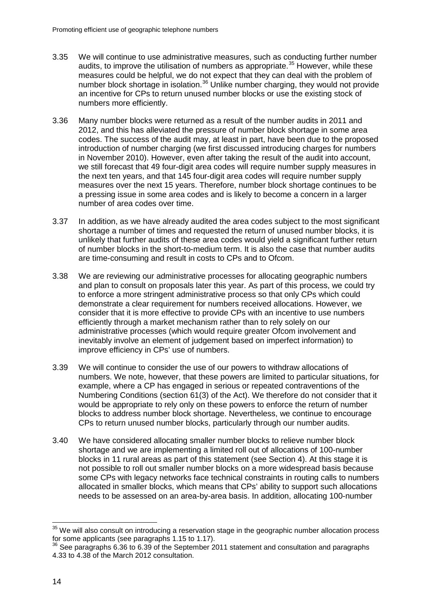- 3.35 We will continue to use administrative measures, such as conducting further number audits, to improve the utilisation of numbers as appropriate.<sup>[35](#page-16-0)</sup> However, while these measures could be helpful, we do not expect that they can deal with the problem of number block shortage in isolation.<sup>[36](#page-16-1)</sup> Unlike number charging, they would not provide an incentive for CPs to return unused number blocks or use the existing stock of numbers more efficiently.
- 3.36 Many number blocks were returned as a result of the number audits in 2011 and 2012, and this has alleviated the pressure of number block shortage in some area codes. The success of the audit may, at least in part, have been due to the proposed introduction of number charging (we first discussed introducing charges for numbers in November 2010). However, even after taking the result of the audit into account, we still forecast that 49 four-digit area codes will require number supply measures in the next ten years, and that 145 four-digit area codes will require number supply measures over the next 15 years. Therefore, number block shortage continues to be a pressing issue in some area codes and is likely to become a concern in a larger number of area codes over time.
- 3.37 In addition, as we have already audited the area codes subject to the most significant shortage a number of times and requested the return of unused number blocks, it is unlikely that further audits of these area codes would yield a significant further return of number blocks in the short-to-medium term. It is also the case that number audits are time-consuming and result in costs to CPs and to Ofcom.
- 3.38 We are reviewing our administrative processes for allocating geographic numbers and plan to consult on proposals later this year. As part of this process, we could try to enforce a more stringent administrative process so that only CPs which could demonstrate a clear requirement for numbers received allocations. However, we consider that it is more effective to provide CPs with an incentive to use numbers efficiently through a market mechanism rather than to rely solely on our administrative processes (which would require greater Ofcom involvement and inevitably involve an element of judgement based on imperfect information) to improve efficiency in CPs' use of numbers.
- 3.39 We will continue to consider the use of our powers to withdraw allocations of numbers. We note, however, that these powers are limited to particular situations, for example, where a CP has engaged in serious or repeated contraventions of the Numbering Conditions (section 61(3) of the Act). We therefore do not consider that it would be appropriate to rely only on these powers to enforce the return of number blocks to address number block shortage. Nevertheless, we continue to encourage CPs to return unused number blocks, particularly through our number audits.
- 3.40 We have considered allocating smaller number blocks to relieve number block shortage and we are implementing a limited roll out of allocations of 100-number blocks in 11 rural areas as part of this statement (see Section 4). At this stage it is not possible to roll out smaller number blocks on a more widespread basis because some CPs with legacy networks face technical constraints in routing calls to numbers allocated in smaller blocks, which means that CPs' ability to support such allocations needs to be assessed on an area-by-area basis. In addition, allocating 100-number

<span id="page-16-0"></span> $35$  We will also consult on introducing a reservation stage in the geographic number allocation process for some applicants (see paragraphs 1.15 to 1.17).

<span id="page-16-1"></span> $36$  See paragraphs 6.36 to 6.39 of the September 2011 statement and consultation and paragraphs 4.33 to 4.38 of the March 2012 consultation.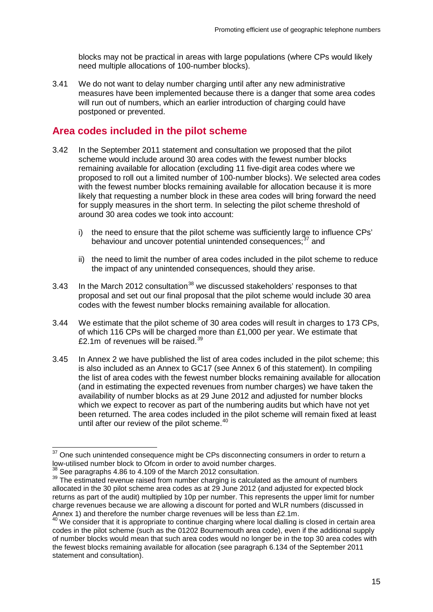blocks may not be practical in areas with large populations (where CPs would likely need multiple allocations of 100-number blocks).

3.41 We do not want to delay number charging until after any new administrative measures have been implemented because there is a danger that some area codes will run out of numbers, which an earlier introduction of charging could have postponed or prevented.

## **Area codes included in the pilot scheme**

- 3.42 In the September 2011 statement and consultation we proposed that the pilot scheme would include around 30 area codes with the fewest number blocks remaining available for allocation (excluding 11 five-digit area codes where we proposed to roll out a limited number of 100-number blocks). We selected area codes with the fewest number blocks remaining available for allocation because it is more likely that requesting a number block in these area codes will bring forward the need for supply measures in the short term. In selecting the pilot scheme threshold of around 30 area codes we took into account:
	- i) the need to ensure that the pilot scheme was sufficiently large to influence CPs' behaviour and uncover potential unintended consequences;<sup>[37](#page-17-0)</sup> and
	- ii) the need to limit the number of area codes included in the pilot scheme to reduce the impact of any unintended consequences, should they arise.
- 3.43 In the March 2012 consultation<sup>[38](#page-17-1)</sup> we discussed stakeholders' responses to that proposal and set out our final proposal that the pilot scheme would include 30 area codes with the fewest number blocks remaining available for allocation.
- 3.44 We estimate that the pilot scheme of 30 area codes will result in charges to 173 CPs, of which 116 CPs will be charged more than £1,000 per year. We estimate that  $f$ 2.1m of revenues will be raised  $39$
- 3.45 In Annex 2 we have published the list of area codes included in the pilot scheme; this is also included as an Annex to GC17 (see Annex 6 of this statement). In compiling the list of area codes with the fewest number blocks remaining available for allocation (and in estimating the expected revenues from number charges) we have taken the availability of number blocks as at 29 June 2012 and adjusted for number blocks which we expect to recover as part of the numbering audits but which have not yet been returned. The area codes included in the pilot scheme will remain fixed at least until after our review of the pilot scheme.<sup>[40](#page-17-3)</sup>

<span id="page-17-0"></span> $37$  One such unintended consequence might be CPs disconnecting consumers in order to return a low-utilised number block to Ofcom in order to avoid number charges.

<span id="page-17-2"></span><span id="page-17-1"></span><sup>&</sup>lt;sup>38</sup> See paragraphs 4.86 to 4.109 of the March 2012 consultation.  $\frac{39}{39}$  The estimated revenue raised from number charging is calculated as the amount of numbers allocated in the 30 pilot scheme area codes as at 29 June 2012 (and adjusted for expected block returns as part of the audit) multiplied by 10p per number. This represents the upper limit for number charge revenues because we are allowing a discount for ported and WLR numbers (discussed in Annex 1) and therefore the number charge revenues will be less than  $£2.1m$ .

<span id="page-17-3"></span> $40$  We consider that it is appropriate to continue charging where local dialling is closed in certain area codes in the pilot scheme (such as the 01202 Bournemouth area code), even if the additional supply of number blocks would mean that such area codes would no longer be in the top 30 area codes with the fewest blocks remaining available for allocation (see paragraph 6.134 of the September 2011 statement and consultation).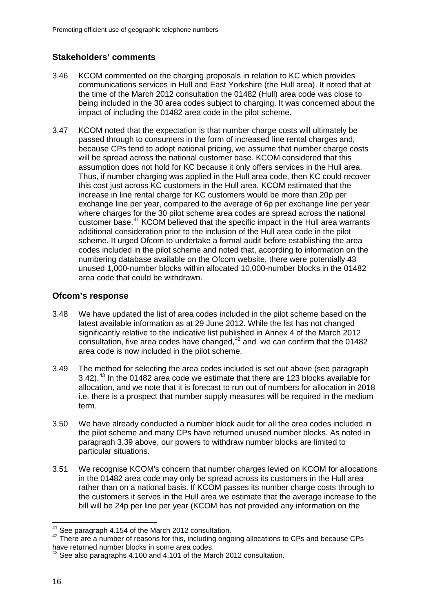## **Stakeholders' comments**

- 3.46 KCOM commented on the charging proposals in relation to KC which provides communications services in Hull and East Yorkshire (the Hull area). It noted that at the time of the March 2012 consultation the 01482 (Hull) area code was close to being included in the 30 area codes subject to charging. It was concerned about the impact of including the 01482 area code in the pilot scheme.
- 3.47 KCOM noted that the expectation is that number charge costs will ultimately be passed through to consumers in the form of increased line rental charges and, because CPs tend to adopt national pricing, we assume that number charge costs will be spread across the national customer base. KCOM considered that this assumption does not hold for KC because it only offers services in the Hull area. Thus, if number charging was applied in the Hull area code, then KC could recover this cost just across KC customers in the Hull area. KCOM estimated that the increase in line rental charge for KC customers would be more than 20p per exchange line per year, compared to the average of 6p per exchange line per year where charges for the 30 pilot scheme area codes are spread across the national customer base.[41](#page-18-0) KCOM believed that the specific impact in the Hull area warrants additional consideration prior to the inclusion of the Hull area code in the pilot scheme. It urged Ofcom to undertake a formal audit before establishing the area codes included in the pilot scheme and noted that, according to information on the numbering database available on the Ofcom website, there were potentially 43 unused 1,000-number blocks within allocated 10,000-number blocks in the 01482 area code that could be withdrawn.

## **Ofcom's response**

- 3.48 We have updated the list of area codes included in the pilot scheme based on the latest available information as at 29 June 2012. While the list has not changed significantly relative to the indicative list published in Annex 4 of the March 2012 consultation, five area codes have changed,  $42$  and we can confirm that the 01482 area code is now included in the pilot scheme.
- 3.49 The method for selecting the area codes included is set out above (see paragraph 3.42).[43](#page-18-2) In the 01482 area code we estimate that there are 123 blocks available for allocation, and we note that it is forecast to run out of numbers for allocation in 2018 i.e. there is a prospect that number supply measures will be required in the medium term.
- 3.50 We have already conducted a number block audit for all the area codes included in the pilot scheme and many CPs have returned unused number blocks. As noted in paragraph 3.39 above, our powers to withdraw number blocks are limited to particular situations.
- 3.51 We recognise KCOM's concern that number charges levied on KCOM for allocations in the 01482 area code may only be spread across its customers in the Hull area rather than on a national basis. If KCOM passes its number charge costs through to the customers it serves in the Hull area we estimate that the average increase to the bill will be 24p per line per year (KCOM has not provided any information on the

<span id="page-18-1"></span><span id="page-18-0"></span><sup>&</sup>lt;sup>41</sup> See paragraph 4.154 of the March 2012 consultation.<br><sup>42</sup> There are a number of reasons for this, including ongoing allocations to CPs and because CPs have returned number blocks in some area codes.

<span id="page-18-2"></span> $^{43}$  See also paragraphs 4.100 and 4.101 of the March 2012 consultation.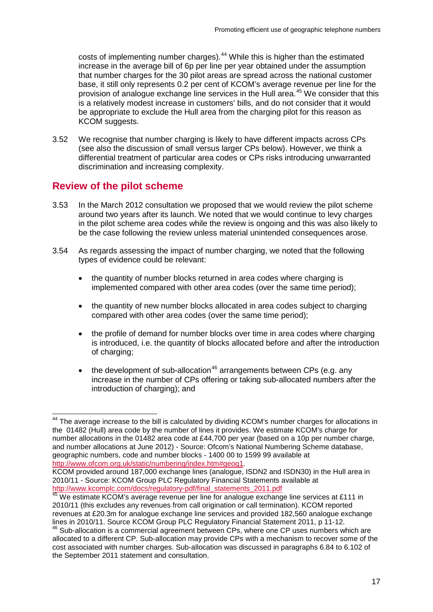costs of implementing number charges).<sup>[44](#page-19-0)</sup> While this is higher than the estimated increase in the average bill of 6p per line per year obtained under the assumption that number charges for the 30 pilot areas are spread across the national customer base, it still only represents 0.2 per cent of KCOM's average revenue per line for the provision of analogue exchange line services in the Hull area.[45](#page-19-1) We consider that this is a relatively modest increase in customers' bills, and do not consider that it would be appropriate to exclude the Hull area from the charging pilot for this reason as KCOM suggests.

3.52 We recognise that number charging is likely to have different impacts across CPs (see also the discussion of small versus larger CPs below). However, we think a differential treatment of particular area codes or CPs risks introducing unwarranted discrimination and increasing complexity.

## **Review of the pilot scheme**

- 3.53 In the March 2012 consultation we proposed that we would review the pilot scheme around two years after its launch. We noted that we would continue to levy charges in the pilot scheme area codes while the review is ongoing and this was also likely to be the case following the review unless material unintended consequences arose.
- 3.54 As regards assessing the impact of number charging, we noted that the following types of evidence could be relevant:
	- the quantity of number blocks returned in area codes where charging is implemented compared with other area codes (over the same time period);
	- the quantity of new number blocks allocated in area codes subject to charging compared with other area codes (over the same time period);
	- the profile of demand for number blocks over time in area codes where charging is introduced, i.e. the quantity of blocks allocated before and after the introduction of charging;
	- the development of sub-allocation<sup>[46](#page-19-2)</sup> arrangements between CPs (e.g. any increase in the number of CPs offering or taking sub-allocated numbers after the introduction of charging); and

<span id="page-19-0"></span><sup>&</sup>lt;sup>44</sup> The average increase to the bill is calculated by dividing KCOM's number charges for allocations in the 01482 (Hull) area code by the number of lines it provides. We estimate KCOM's charge for number allocations in the 01482 area code at £44,700 per year (based on a 10p per number charge, and number allocations at June 2012) - Source: Ofcom's National Numbering Scheme database, geographic numbers, code and number blocks - 1400 00 to 1599 99 available at [http://www.ofcom.org.uk/static/numbering/index.htm#geog1.](http://www.ofcom.org.uk/static/numbering/index.htm#geog1)

KCOM provided around 187,000 exchange lines (analogue, ISDN2 and ISDN30) in the Hull area in 2010/11 - Source: KCOM Group PLC Regulatory Financial Statements available at http://www.kcomplc.com/docs/regulatory-pdf/final\_statements\_2011.pdf

<span id="page-19-1"></span>http://www.kcomplc.com/docs/regulatory-paraments\_completed at 2011 in 45 We estimate KCOM's average revenue per line for analogue exchange line services at £111 in 2010/11 (this excludes any revenues from call origination or call termination). KCOM reported revenues at £20.3m for analogue exchange line services and provided 182,560 analogue exchange lines in 2010/11. Source KCOM Group PLC Regulatory Financial Statement 2011, p 11-12.

<span id="page-19-2"></span><sup>&</sup>lt;sup>46</sup> Sub-allocation is a commercial agreement between CPs, where one CP uses numbers which are allocated to a different CP. Sub-allocation may provide CPs with a mechanism to recover some of the cost associated with number charges. Sub-allocation was discussed in paragraphs 6.84 to 6.102 of the September 2011 statement and consultation.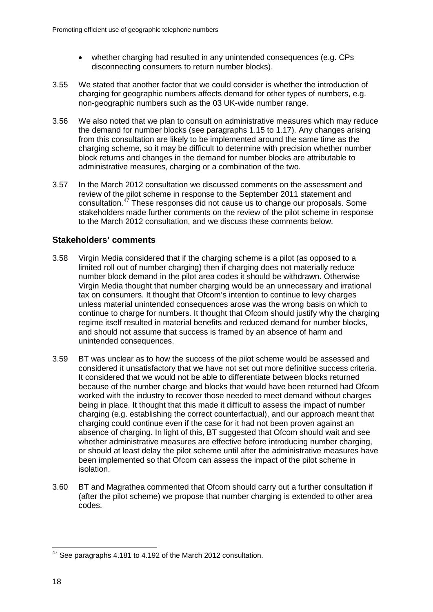- whether charging had resulted in any unintended consequences (e.g. CPs disconnecting consumers to return number blocks).
- 3.55 We stated that another factor that we could consider is whether the introduction of charging for geographic numbers affects demand for other types of numbers, e.g. non-geographic numbers such as the 03 UK-wide number range.
- 3.56 We also noted that we plan to consult on administrative measures which may reduce the demand for number blocks (see paragraphs 1.15 to 1.17). Any changes arising from this consultation are likely to be implemented around the same time as the charging scheme, so it may be difficult to determine with precision whether number block returns and changes in the demand for number blocks are attributable to administrative measures, charging or a combination of the two.
- 3.57 In the March 2012 consultation we discussed comments on the assessment and review of the pilot scheme in response to the September 2011 statement and consultation.[47](#page-20-0) These responses did not cause us to change our proposals. Some stakeholders made further comments on the review of the pilot scheme in response to the March 2012 consultation, and we discuss these comments below.

## **Stakeholders' comments**

- 3.58 Virgin Media considered that if the charging scheme is a pilot (as opposed to a limited roll out of number charging) then if charging does not materially reduce number block demand in the pilot area codes it should be withdrawn. Otherwise Virgin Media thought that number charging would be an unnecessary and irrational tax on consumers. It thought that Ofcom's intention to continue to levy charges unless material unintended consequences arose was the wrong basis on which to continue to charge for numbers. It thought that Ofcom should justify why the charging regime itself resulted in material benefits and reduced demand for number blocks, and should not assume that success is framed by an absence of harm and unintended consequences.
- 3.59 BT was unclear as to how the success of the pilot scheme would be assessed and considered it unsatisfactory that we have not set out more definitive success criteria. It considered that we would not be able to differentiate between blocks returned because of the number charge and blocks that would have been returned had Ofcom worked with the industry to recover those needed to meet demand without charges being in place. It thought that this made it difficult to assess the impact of number charging (e.g. establishing the correct counterfactual), and our approach meant that charging could continue even if the case for it had not been proven against an absence of charging. In light of this, BT suggested that Ofcom should wait and see whether administrative measures are effective before introducing number charging, or should at least delay the pilot scheme until after the administrative measures have been implemented so that Ofcom can assess the impact of the pilot scheme in isolation.
- 3.60 BT and Magrathea commented that Ofcom should carry out a further consultation if (after the pilot scheme) we propose that number charging is extended to other area codes.

<span id="page-20-0"></span><sup>&</sup>lt;sup>47</sup> See paragraphs 4.181 to 4.192 of the March 2012 consultation.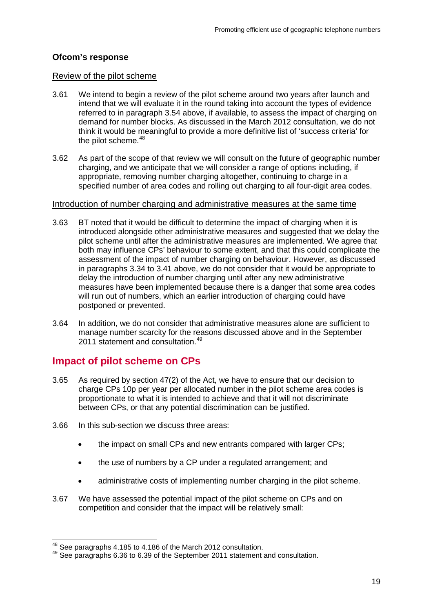## **Ofcom's response**

#### Review of the pilot scheme

- 3.61 We intend to begin a review of the pilot scheme around two years after launch and intend that we will evaluate it in the round taking into account the types of evidence referred to in paragraph 3.54 above, if available, to assess the impact of charging on demand for number blocks. As discussed in the March 2012 consultation, we do not think it would be meaningful to provide a more definitive list of 'success criteria' for the pilot scheme.<sup>[48](#page-21-0)</sup>
- 3.62 As part of the scope of that review we will consult on the future of geographic number charging, and we anticipate that we will consider a range of options including, if appropriate, removing number charging altogether, continuing to charge in a specified number of area codes and rolling out charging to all four-digit area codes.

#### Introduction of number charging and administrative measures at the same time

- 3.63 BT noted that it would be difficult to determine the impact of charging when it is introduced alongside other administrative measures and suggested that we delay the pilot scheme until after the administrative measures are implemented. We agree that both may influence CPs' behaviour to some extent, and that this could complicate the assessment of the impact of number charging on behaviour. However, as discussed in paragraphs 3.34 to 3.41 above, we do not consider that it would be appropriate to delay the introduction of number charging until after any new administrative measures have been implemented because there is a danger that some area codes will run out of numbers, which an earlier introduction of charging could have postponed or prevented.
- 3.64 In addition, we do not consider that administrative measures alone are sufficient to manage number scarcity for the reasons discussed above and in the September 2011 statement and consultation.<sup>[49](#page-21-1)</sup>

# **Impact of pilot scheme on CPs**

- 3.65 As required by section 47(2) of the Act, we have to ensure that our decision to charge CPs 10p per year per allocated number in the pilot scheme area codes is proportionate to what it is intended to achieve and that it will not discriminate between CPs, or that any potential discrimination can be justified.
- 3.66 In this sub-section we discuss three areas:
	- the impact on small CPs and new entrants compared with larger CPs;
	- the use of numbers by a CP under a regulated arrangement; and
	- administrative costs of implementing number charging in the pilot scheme.
- 3.67 We have assessed the potential impact of the pilot scheme on CPs and on competition and consider that the impact will be relatively small:

<span id="page-21-1"></span><span id="page-21-0"></span><sup>&</sup>lt;sup>48</sup> See paragraphs 4.185 to 4.186 of the March 2012 consultation.<br><sup>49</sup> See paragraphs 6.36 to 6.39 of the September 2011 statement and consultation.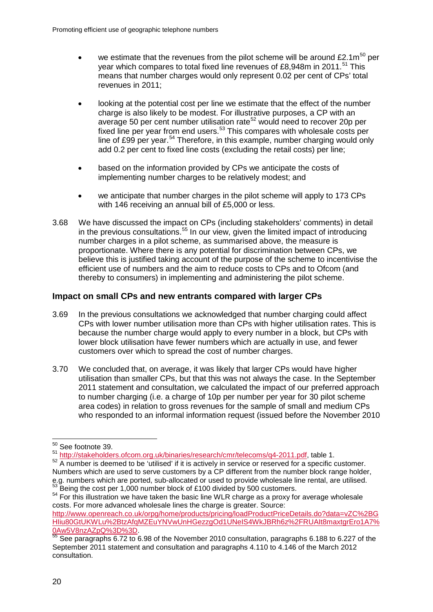- we estimate that the revenues from the pilot scheme will be around  $£2.1m^{50}$  $£2.1m^{50}$  $£2.1m^{50}$  per year which compares to total fixed line revenues of £8,948m in 2011.<sup>[51](#page-22-1)</sup> This means that number charges would only represent 0.02 per cent of CPs' total revenues in 2011;
- looking at the potential cost per line we estimate that the effect of the number charge is also likely to be modest. For illustrative purposes, a CP with an average 50 per cent number utilisation rate<sup>[52](#page-22-2)</sup> would need to recover 20p per fixed line per year from end users.<sup>[53](#page-22-3)</sup> This compares with wholesale costs per line of £99 per year.<sup>[54](#page-22-4)</sup> Therefore, in this example, number charging would only add 0.2 per cent to fixed line costs (excluding the retail costs) per line;
- based on the information provided by CPs we anticipate the costs of implementing number charges to be relatively modest; and
- we anticipate that number charges in the pilot scheme will apply to 173 CPs with 146 receiving an annual bill of £5,000 or less.
- 3.68 We have discussed the impact on CPs (including stakeholders' comments) in detail in the previous consultations.<sup>[55](#page-22-5)</sup> In our view, given the limited impact of introducing number charges in a pilot scheme, as summarised above, the measure is proportionate. Where there is any potential for discrimination between CPs, we believe this is justified taking account of the purpose of the scheme to incentivise the efficient use of numbers and the aim to reduce costs to CPs and to Ofcom (and thereby to consumers) in implementing and administering the pilot scheme.

## **Impact on small CPs and new entrants compared with larger CPs**

- 3.69 In the previous consultations we acknowledged that number charging could affect CPs with lower number utilisation more than CPs with higher utilisation rates. This is because the number charge would apply to every number in a block, but CPs with lower block utilisation have fewer numbers which are actually in use, and fewer customers over which to spread the cost of number charges.
- 3.70 We concluded that, on average, it was likely that larger CPs would have higher utilisation than smaller CPs, but that this was not always the case. In the September 2011 statement and consultation, we calculated the impact of our preferred approach to number charging (i.e. a charge of 10p per number per year for 30 pilot scheme area codes) in relation to gross revenues for the sample of small and medium CPs who responded to an informal information request (issued before the November 2010

<span id="page-22-0"></span> <sup>50</sup> See footnote 39.

<sup>51</sup> [http://stakeholders.ofcom.org.uk/binaries/research/cmr/telecoms/q4-2011.pdf,](http://stakeholders.ofcom.org.uk/binaries/research/cmr/telecoms/q4-2011.pdf) table 1.

<span id="page-22-2"></span><span id="page-22-1"></span><sup>&</sup>lt;sup>52</sup> A number is deemed to be 'utilised' if it is actively in service or reserved for a specific customer. Numbers which are used to serve customers by a CP different from the number block range holder, e.g. numbers which are ported, sub-allocated or used to provide wholesale line rental, are utilised.<br><sup>53</sup> Being the cost per 1,000 number block of £100 divided by 500 customers.<br><sup>54</sup> For this illustration we have taken th

<span id="page-22-4"></span><span id="page-22-3"></span>costs. For more advanced wholesale lines the charge is greater. Source: [http://www.openreach.co.uk/orpg/home/products/pricing/loadProductPriceDetails.do?data=vZC%2BG](http://www.openreach.co.uk/orpg/home/products/pricing/loadProductPriceDetails.do?data=vZC%2BGHIiu80GtUKWLu%2BtzAfqMZEuYNVwUnHGezzgOd1UNeIS4WkJBRh6z%2FRUAIt8maxtgrEro1A7%0Aw5V8nzAZpQ%3D%3D) [HIiu80GtUKWLu%2BtzAfqMZEuYNVwUnHGezzgOd1UNeIS4WkJBRh6z%2FRUAIt8maxtgrEro1A7%](http://www.openreach.co.uk/orpg/home/products/pricing/loadProductPriceDetails.do?data=vZC%2BGHIiu80GtUKWLu%2BtzAfqMZEuYNVwUnHGezzgOd1UNeIS4WkJBRh6z%2FRUAIt8maxtgrEro1A7%0Aw5V8nzAZpQ%3D%3D)

<span id="page-22-5"></span>[<sup>0</sup>Aw5V8nzAZpQ%3D%3D.](http://www.openreach.co.uk/orpg/home/products/pricing/loadProductPriceDetails.do?data=vZC%2BGHIiu80GtUKWLu%2BtzAfqMZEuYNVwUnHGezzgOd1UNeIS4WkJBRh6z%2FRUAIt8maxtgrEro1A7%0Aw5V8nzAZpQ%3D%3D)<br>
55 See paragraphs 6.72 to 6.98 of the November 2010 consultation, paragraphs 6.188 to 6.227 of the September 2011 statement and consultation and paragraphs 4.110 to 4.146 of the March 2012 consultation.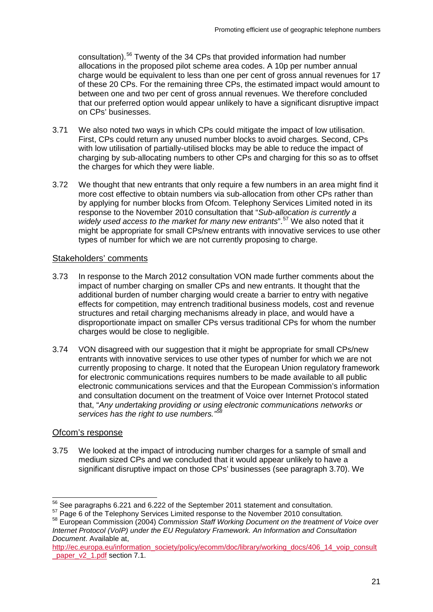consultation). [56](#page-23-0) Twenty of the 34 CPs that provided information had number allocations in the proposed pilot scheme area codes. A 10p per number annual charge would be equivalent to less than one per cent of gross annual revenues for 17 of these 20 CPs. For the remaining three CPs, the estimated impact would amount to between one and two per cent of gross annual revenues. We therefore concluded that our preferred option would appear unlikely to have a significant disruptive impact on CPs' businesses.

- 3.71 We also noted two ways in which CPs could mitigate the impact of low utilisation. First, CPs could return any unused number blocks to avoid charges. Second, CPs with low utilisation of partially-utilised blocks may be able to reduce the impact of charging by sub-allocating numbers to other CPs and charging for this so as to offset the charges for which they were liable.
- 3.72 We thought that new entrants that only require a few numbers in an area might find it more cost effective to obtain numbers via sub-allocation from other CPs rather than by applying for number blocks from Ofcom. Telephony Services Limited noted in its response to the November 2010 consultation that "*Sub-allocation is currently a*  widely used access to the market for many new entrants".<sup>[57](#page-23-1)</sup> We also noted that it might be appropriate for small CPs/new entrants with innovative services to use other types of number for which we are not currently proposing to charge.

## Stakeholders' comments

- 3.73 In response to the March 2012 consultation VON made further comments about the impact of number charging on smaller CPs and new entrants. It thought that the additional burden of number charging would create a barrier to entry with negative effects for competition, may entrench traditional business models, cost and revenue structures and retail charging mechanisms already in place, and would have a disproportionate impact on smaller CPs versus traditional CPs for whom the number charges would be close to negligible.
- 3.74 VON disagreed with our suggestion that it might be appropriate for small CPs/new entrants with innovative services to use other types of number for which we are not currently proposing to charge. It noted that the European Union regulatory framework for electronic communications requires numbers to be made available to all public electronic communications services and that the European Commission's information and consultation document on the treatment of Voice over Internet Protocol stated that, "*Any undertaking providing or using electronic communications networks or services has the right to use numbers." [58](#page-23-2)*

## Ofcom's response

3.75 We looked at the impact of introducing number charges for a sample of small and medium sized CPs and we concluded that it would appear unlikely to have a significant disruptive impact on those CPs' businesses (see paragraph 3.70). We

<span id="page-23-0"></span> $56$  See paragraphs 6.221 and 6.222 of the September 2011 statement and consultation.<br> $57$  Page 6 of the Telephony Services Limited response to the November 2010 consultation.

<span id="page-23-2"></span><span id="page-23-1"></span><sup>&</sup>lt;sup>58</sup> European Commission (2004) Commission Staff Working Document on the treatment of Voice over *Internet Protocol (VoIP) under the EU Regulatory Framework. An Information and Consultation Document*. Available at,

[http://ec.europa.eu/information\\_society/policy/ecomm/doc/library/working\\_docs/406\\_14\\_voip\\_consult](http://ec.europa.eu/information_society/policy/ecomm/doc/library/working_docs/406_14_voip_consult_paper_v2_1.pdf) paper\_v2\_1.pdf section 7.1.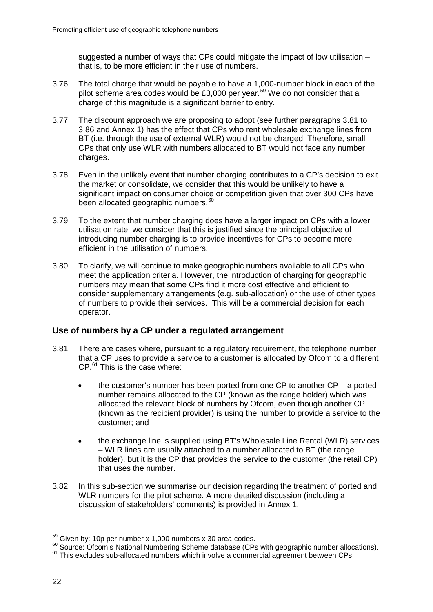suggested a number of ways that CPs could mitigate the impact of low utilisation – that is, to be more efficient in their use of numbers.

- 3.76 The total charge that would be payable to have a 1,000-number block in each of the pilot scheme area codes would be £3,000 per year.<sup>[59](#page-24-0)</sup> We do not consider that a charge of this magnitude is a significant barrier to entry.
- 3.77 The discount approach we are proposing to adopt (see further paragraphs 3.81 to 3.86 and Annex 1) has the effect that CPs who rent wholesale exchange lines from BT (i.e. through the use of external WLR) would not be charged. Therefore, small CPs that only use WLR with numbers allocated to BT would not face any number charges.
- 3.78 Even in the unlikely event that number charging contributes to a CP's decision to exit the market or consolidate, we consider that this would be unlikely to have a significant impact on consumer choice or competition given that over 300 CPs have been allocated geographic numbers.<sup>[60](#page-24-1)</sup>
- 3.79 To the extent that number charging does have a larger impact on CPs with a lower utilisation rate, we consider that this is justified since the principal objective of introducing number charging is to provide incentives for CPs to become more efficient in the utilisation of numbers.
- 3.80 To clarify, we will continue to make geographic numbers available to all CPs who meet the application criteria. However, the introduction of charging for geographic numbers may mean that some CPs find it more cost effective and efficient to consider supplementary arrangements (e.g. sub-allocation) or the use of other types of numbers to provide their services. This will be a commercial decision for each operator.

## **Use of numbers by a CP under a regulated arrangement**

- 3.81 There are cases where, pursuant to a regulatory requirement, the telephone number that a CP uses to provide a service to a customer is allocated by Ofcom to a different CP.[61](#page-24-2) This is the case where:
	- the customer's number has been ported from one CP to another  $CP a$  ported number remains allocated to the CP (known as the range holder) which was allocated the relevant block of numbers by Ofcom, even though another CP (known as the recipient provider) is using the number to provide a service to the customer; and
	- the exchange line is supplied using BT's Wholesale Line Rental (WLR) services – WLR lines are usually attached to a number allocated to BT (the range holder), but it is the CP that provides the service to the customer (the retail CP) that uses the number.
- 3.82 In this sub-section we summarise our decision regarding the treatment of ported and WLR numbers for the pilot scheme. A more detailed discussion (including a discussion of stakeholders' comments) is provided in Annex 1.

<span id="page-24-1"></span><span id="page-24-0"></span><sup>&</sup>lt;sup>59</sup> Given by: 10p per number x 1,000 numbers x 30 area codes.<br><sup>60</sup> Source: Ofcom's National Numbering Scheme database (CPs with geographic number allocations).<br><sup>61</sup> This excludes sub-allocated numbers which involve a com

<span id="page-24-2"></span>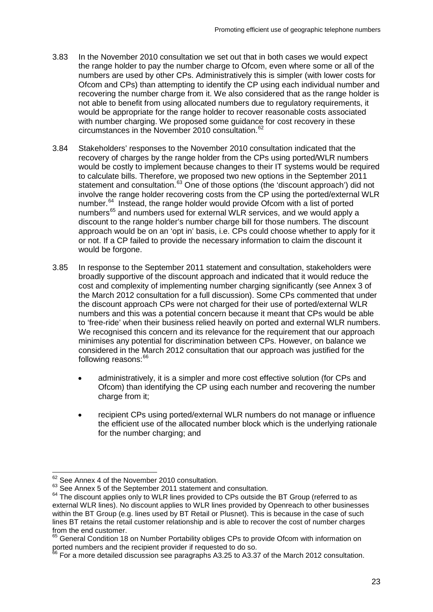- 3.83 In the November 2010 consultation we set out that in both cases we would expect the range holder to pay the number charge to Ofcom, even where some or all of the numbers are used by other CPs. Administratively this is simpler (with lower costs for Ofcom and CPs) than attempting to identify the CP using each individual number and recovering the number charge from it. We also considered that as the range holder is not able to benefit from using allocated numbers due to regulatory requirements, it would be appropriate for the range holder to recover reasonable costs associated with number charging. We proposed some guidance for cost recovery in these circumstances in the November 2010 consultation.<sup>[62](#page-25-0)</sup>
- 3.84 Stakeholders' responses to the November 2010 consultation indicated that the recovery of charges by the range holder from the CPs using ported/WLR numbers would be costly to implement because changes to their IT systems would be required to calculate bills. Therefore, we proposed two new options in the September 2011 statement and consultation.<sup>[63](#page-25-1)</sup> One of those options (the 'discount approach') did not involve the range holder recovering costs from the CP using the ported/external WLR number.<sup>64</sup> Instead, the range holder would provide Ofcom with a list of ported numbers<sup>[65](#page-25-3)</sup> and numbers used for external WLR services, and we would apply a discount to the range holder's number charge bill for those numbers. The discount approach would be on an 'opt in' basis, i.e. CPs could choose whether to apply for it or not. If a CP failed to provide the necessary information to claim the discount it would be forgone.
- 3.85 In response to the September 2011 statement and consultation, stakeholders were broadly supportive of the discount approach and indicated that it would reduce the cost and complexity of implementing number charging significantly (see Annex 3 of the March 2012 consultation for a full discussion). Some CPs commented that under the discount approach CPs were not charged for their use of ported/external WLR numbers and this was a potential concern because it meant that CPs would be able to 'free-ride' when their business relied heavily on ported and external WLR numbers. We recognised this concern and its relevance for the requirement that our approach minimises any potential for discrimination between CPs. However, on balance we considered in the March 2012 consultation that our approach was justified for the following reasons:[66](#page-25-4)
	- administratively, it is a simpler and more cost effective solution (for CPs and Ofcom) than identifying the CP using each number and recovering the number charge from it:
	- recipient CPs using ported/external WLR numbers do not manage or influence the efficient use of the allocated number block which is the underlying rationale for the number charging; and

<span id="page-25-0"></span> $62$  See Annex 4 of the November 2010 consultation.<br> $63$  See Annex 5 of the September 2011 statement and consultation.

<span id="page-25-2"></span><span id="page-25-1"></span> $64$  The discount applies only to WLR lines provided to CPs outside the BT Group (referred to as external WLR lines). No discount applies to WLR lines provided by Openreach to other businesses within the BT Group (e.g. lines used by BT Retail or Plusnet). This is because in the case of such lines BT retains the retail customer relationship and is able to recover the cost of number charges from the end customer.

<span id="page-25-3"></span><sup>65</sup> General Condition 18 on Number Portability obliges CPs to provide Ofcom with information on ported numbers and the recipient provider if requested to do so.

<span id="page-25-4"></span> $^{66}$  For a more detailed discussion see paragraphs A3.25 to A3.37 of the March 2012 consultation.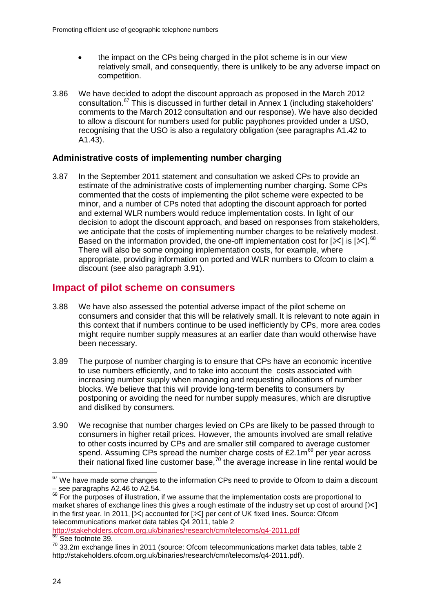- the impact on the CPs being charged in the pilot scheme is in our view relatively small, and consequently, there is unlikely to be any adverse impact on competition.
- 3.86 We have decided to adopt the discount approach as proposed in the March 2012 consultation.[67](#page-26-0) This is discussed in further detail in Annex 1 (including stakeholders' comments to the March 2012 consultation and our response). We have also decided to allow a discount for numbers used for public payphones provided under a USO, recognising that the USO is also a regulatory obligation (see paragraphs A1.42 to A1.43).

## **Administrative costs of implementing number charging**

3.87 In the September 2011 statement and consultation we asked CPs to provide an estimate of the administrative costs of implementing number charging. Some CPs commented that the costs of implementing the pilot scheme were expected to be minor, and a number of CPs noted that adopting the discount approach for ported and external WLR numbers would reduce implementation costs. In light of our decision to adopt the discount approach, and based on responses from stakeholders, we anticipate that the costs of implementing number charges to be relatively modest. Based on the information provided, the one-off implementation cost for  $[31]$  is  $[31]$ .<sup>[68](#page-26-1)</sup> There will also be some ongoing implementation costs, for example, where appropriate, providing information on ported and WLR numbers to Ofcom to claim a discount (see also paragraph 3.91).

## **Impact of pilot scheme on consumers**

- 3.88 We have also assessed the potential adverse impact of the pilot scheme on consumers and consider that this will be relatively small. It is relevant to note again in this context that if numbers continue to be used inefficiently by CPs, more area codes might require number supply measures at an earlier date than would otherwise have been necessary.
- 3.89 The purpose of number charging is to ensure that CPs have an economic incentive to use numbers efficiently, and to take into account the costs associated with increasing number supply when managing and requesting allocations of number blocks. We believe that this will provide long-term benefits to consumers by postponing or avoiding the need for number supply measures, which are disruptive and disliked by consumers.
- 3.90 We recognise that number charges levied on CPs are likely to be passed through to consumers in higher retail prices. However, the amounts involved are small relative to other costs incurred by CPs and are smaller still compared to average customer spend. Assuming CPs spread the number charge costs of £2.1m<sup>[69](#page-26-2)</sup> per year across their national fixed line customer base, $70$  the average increase in line rental would be

<http://stakeholders.ofcom.org.uk/binaries/research/cmr/telecoms/q4-2011.pdf> 69 See footnote 39.

<span id="page-26-0"></span> $67$  We have made some changes to the information CPs need to provide to Ofcom to claim a discount – see paragraphs A2.46 to A2.54.

<span id="page-26-1"></span><sup>&</sup>lt;sup>68</sup> For the purposes of illustration, if we assume that the implementation costs are proportional to market shares of exchange lines this gives a rough estimate of the industry set up cost of around  $[\times]$ in the first year. In 2011,  $\sqrt{2}$  accounted for  $\ll$  per cent of UK fixed lines. Source: Ofcom telecommunications market data tables Q4 2011, table 2

<span id="page-26-3"></span><span id="page-26-2"></span> $70$  33.2m exchange lines in 2011 (source: Ofcom telecommunications market data tables, table 2 http://stakeholders.ofcom.org.uk/binaries/research/cmr/telecoms/q4-2011.pdf).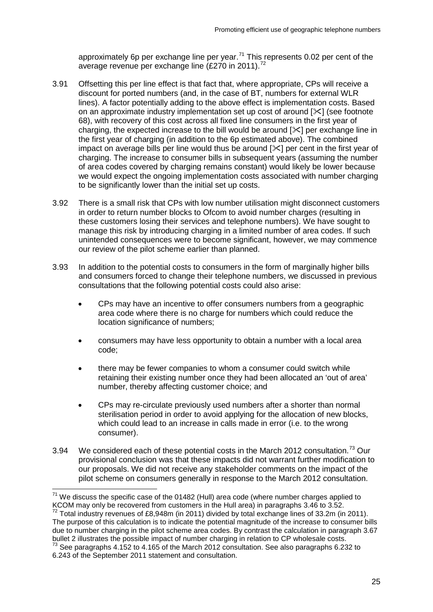approximately 6p per exchange line per year.<sup>[71](#page-27-0)</sup> This represents 0.02 per cent of the average revenue per exchange line (£270 in 2011).<sup>[72](#page-27-1)</sup>

- 3.91 Offsetting this per line effect is that fact that, where appropriate, CPs will receive a discount for ported numbers (and, in the case of BT, numbers for external WLR lines). A factor potentially adding to the above effect is implementation costs. Based on an approximate industry implementation set up cost of around  $[\times]$  (see footnote 68), with recovery of this cost across all fixed line consumers in the first year of charging, the expected increase to the bill would be around  $[\times]$  per exchange line in the first year of charging (in addition to the 6p estimated above). The combined impact on average bills per line would thus be around  $[\times]$  per cent in the first year of charging. The increase to consumer bills in subsequent years (assuming the number of area codes covered by charging remains constant) would likely be lower because we would expect the ongoing implementation costs associated with number charging to be significantly lower than the initial set up costs.
- 3.92 There is a small risk that CPs with low number utilisation might disconnect customers in order to return number blocks to Ofcom to avoid number charges (resulting in these customers losing their services and telephone numbers). We have sought to manage this risk by introducing charging in a limited number of area codes. If such unintended consequences were to become significant, however, we may commence our review of the pilot scheme earlier than planned.
- 3.93 In addition to the potential costs to consumers in the form of marginally higher bills and consumers forced to change their telephone numbers, we discussed in previous consultations that the following potential costs could also arise:
	- CPs may have an incentive to offer consumers numbers from a geographic area code where there is no charge for numbers which could reduce the location significance of numbers;
	- consumers may have less opportunity to obtain a number with a local area code;
	- there may be fewer companies to whom a consumer could switch while retaining their existing number once they had been allocated an 'out of area' number, thereby affecting customer choice; and
	- CPs may re-circulate previously used numbers after a shorter than normal sterilisation period in order to avoid applying for the allocation of new blocks, which could lead to an increase in calls made in error (i.e. to the wrong consumer).
- 3.94 We considered each of these potential costs in the March 2012 consultation.<sup>[73](#page-27-2)</sup> Our provisional conclusion was that these impacts did not warrant further modification to our proposals. We did not receive any stakeholder comments on the impact of the pilot scheme on consumers generally in response to the March 2012 consultation.

<span id="page-27-0"></span> $71$  We discuss the specific case of the 01482 (Hull) area code (where number charges applied to KCOM may only be recovered from customers in the Hull area) in paragraphs 3.46 to 3.52.

<span id="page-27-1"></span> $72$  Total industry revenues of £8,948m (in 2011) divided by total exchange lines of 33.2m (in 2011). The purpose of this calculation is to indicate the potential magnitude of the increase to consumer bills due to number charging in the pilot scheme area codes. By contrast the calculation in paragraph 3.67 bullet 2 illustrates the possible impact of number charging in relation to CP wholesale costs.

<span id="page-27-2"></span> $73$  See paragraphs 4.152 to 4.165 of the March 2012 consultation. See also paragraphs 6.232 to 6.243 of the September 2011 statement and consultation.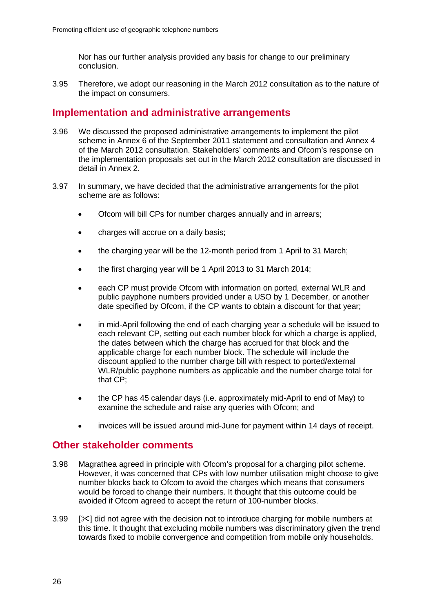Nor has our further analysis provided any basis for change to our preliminary conclusion.

3.95 Therefore, we adopt our reasoning in the March 2012 consultation as to the nature of the impact on consumers.

## **Implementation and administrative arrangements**

- 3.96 We discussed the proposed administrative arrangements to implement the pilot scheme in Annex 6 of the September 2011 statement and consultation and Annex 4 of the March 2012 consultation. Stakeholders' comments and Ofcom's response on the implementation proposals set out in the March 2012 consultation are discussed in detail in Annex 2.
- 3.97 In summary, we have decided that the administrative arrangements for the pilot scheme are as follows:
	- Ofcom will bill CPs for number charges annually and in arrears;
	- charges will accrue on a daily basis;
	- the charging year will be the 12-month period from 1 April to 31 March;
	- the first charging year will be 1 April 2013 to 31 March 2014;
	- each CP must provide Ofcom with information on ported, external WLR and public payphone numbers provided under a USO by 1 December, or another date specified by Ofcom, if the CP wants to obtain a discount for that year;
	- in mid-April following the end of each charging year a schedule will be issued to each relevant CP, setting out each number block for which a charge is applied, the dates between which the charge has accrued for that block and the applicable charge for each number block. The schedule will include the discount applied to the number charge bill with respect to ported/external WLR/public payphone numbers as applicable and the number charge total for that CP;
	- the CP has 45 calendar days (i.e. approximately mid-April to end of May) to examine the schedule and raise any queries with Ofcom; and
	- invoices will be issued around mid-June for payment within 14 days of receipt.

## **Other stakeholder comments**

- 3.98 Magrathea agreed in principle with Ofcom's proposal for a charging pilot scheme. However, it was concerned that CPs with low number utilisation might choose to give number blocks back to Ofcom to avoid the charges which means that consumers would be forced to change their numbers. It thought that this outcome could be avoided if Ofcom agreed to accept the return of 100-number blocks.
- 3.99  $[\times]$  did not agree with the decision not to introduce charging for mobile numbers at this time. It thought that excluding mobile numbers was discriminatory given the trend towards fixed to mobile convergence and competition from mobile only households.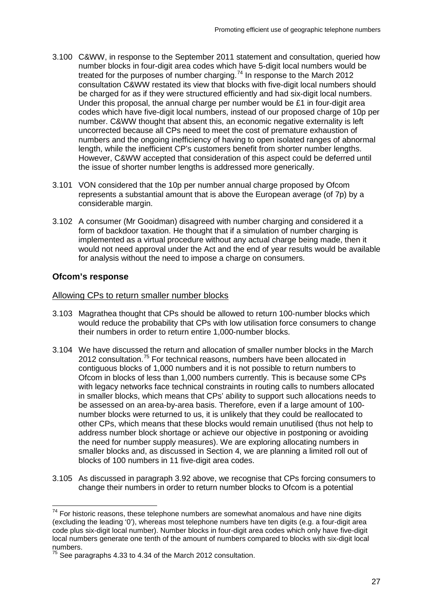- 3.100 C&WW, in response to the September 2011 statement and consultation, queried how number blocks in four-digit area codes which have 5-digit local numbers would be treated for the purposes of number charging.<sup>[74](#page-29-0)</sup> In response to the March 2012 consultation C&WW restated its view that blocks with five-digit local numbers should be charged for as if they were structured efficiently and had six-digit local numbers. Under this proposal, the annual charge per number would be £1 in four-digit area codes which have five-digit local numbers, instead of our proposed charge of 10p per number. C&WW thought that absent this, an economic negative externality is left uncorrected because all CPs need to meet the cost of premature exhaustion of numbers and the ongoing inefficiency of having to open isolated ranges of abnormal length, while the inefficient CP's customers benefit from shorter number lengths. However, C&WW accepted that consideration of this aspect could be deferred until the issue of shorter number lengths is addressed more generically.
- 3.101 VON considered that the 10p per number annual charge proposed by Ofcom represents a substantial amount that is above the European average (of 7p) by a considerable margin.
- 3.102 A consumer (Mr Gooidman) disagreed with number charging and considered it a form of backdoor taxation. He thought that if a simulation of number charging is implemented as a virtual procedure without any actual charge being made, then it would not need approval under the Act and the end of year results would be available for analysis without the need to impose a charge on consumers.

## **Ofcom's response**

#### Allowing CPs to return smaller number blocks

- 3.103 Magrathea thought that CPs should be allowed to return 100-number blocks which would reduce the probability that CPs with low utilisation force consumers to change their numbers in order to return entire 1,000-number blocks.
- 3.104 We have discussed the return and allocation of smaller number blocks in the March 2012 consultation.<sup>[75](#page-29-1)</sup> For technical reasons, numbers have been allocated in contiguous blocks of 1,000 numbers and it is not possible to return numbers to Ofcom in blocks of less than 1,000 numbers currently. This is because some CPs with legacy networks face technical constraints in routing calls to numbers allocated in smaller blocks, which means that CPs' ability to support such allocations needs to be assessed on an area-by-area basis. Therefore, even if a large amount of 100 number blocks were returned to us, it is unlikely that they could be reallocated to other CPs, which means that these blocks would remain unutilised (thus not help to address number block shortage or achieve our objective in postponing or avoiding the need for number supply measures). We are exploring allocating numbers in smaller blocks and, as discussed in Section 4, we are planning a limited roll out of blocks of 100 numbers in 11 five-digit area codes.
- 3.105 As discussed in paragraph 3.92 above, we recognise that CPs forcing consumers to change their numbers in order to return number blocks to Ofcom is a potential

<span id="page-29-0"></span> $74$  For historic reasons, these telephone numbers are somewhat anomalous and have nine digits (excluding the leading '0'), whereas most telephone numbers have ten digits (e.g. a four-digit area code plus six-digit local number). Number blocks in four-digit area codes which only have five-digit local numbers generate one tenth of the amount of numbers compared to blocks with six-digit local numbers.

<span id="page-29-1"></span> $^{75}$  See paragraphs 4.33 to 4.34 of the March 2012 consultation.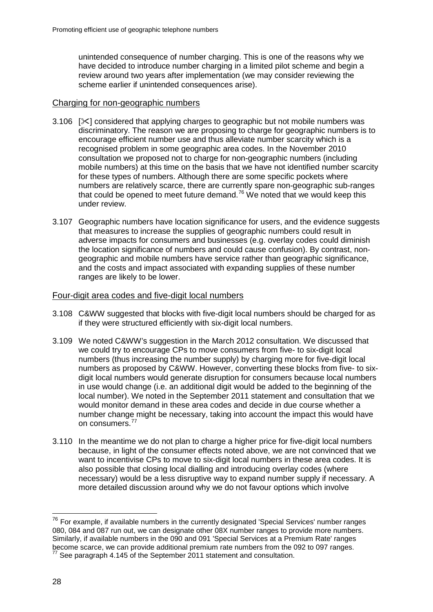unintended consequence of number charging. This is one of the reasons why we have decided to introduce number charging in a limited pilot scheme and begin a review around two years after implementation (we may consider reviewing the scheme earlier if unintended consequences arise).

#### Charging for non-geographic numbers

- 3.106  $[\times]$  considered that applying charges to geographic but not mobile numbers was discriminatory. The reason we are proposing to charge for geographic numbers is to encourage efficient number use and thus alleviate number scarcity which is a recognised problem in some geographic area codes. In the November 2010 consultation we proposed not to charge for non-geographic numbers (including mobile numbers) at this time on the basis that we have not identified number scarcity for these types of numbers. Although there are some specific pockets where numbers are relatively scarce, there are currently spare non-geographic sub-ranges that could be opened to meet future demand.<sup>[76](#page-30-0)</sup> We noted that we would keep this under review.
- 3.107 Geographic numbers have location significance for users, and the evidence suggests that measures to increase the supplies of geographic numbers could result in adverse impacts for consumers and businesses (e.g. overlay codes could diminish the location significance of numbers and could cause confusion). By contrast, nongeographic and mobile numbers have service rather than geographic significance, and the costs and impact associated with expanding supplies of these number ranges are likely to be lower.

#### Four-digit area codes and five-digit local numbers

- 3.108 C&WW suggested that blocks with five-digit local numbers should be charged for as if they were structured efficiently with six-digit local numbers.
- 3.109 We noted C&WW's suggestion in the March 2012 consultation. We discussed that we could try to encourage CPs to move consumers from five- to six-digit local numbers (thus increasing the number supply) by charging more for five-digit local numbers as proposed by C&WW. However, converting these blocks from five- to sixdigit local numbers would generate disruption for consumers because local numbers in use would change (i.e. an additional digit would be added to the beginning of the local number). We noted in the September 2011 statement and consultation that we would monitor demand in these area codes and decide in due course whether a number change might be necessary, taking into account the impact this would have on consumers.[77](#page-30-1)
- 3.110 In the meantime we do not plan to charge a higher price for five-digit local numbers because, in light of the consumer effects noted above, we are not convinced that we want to incentivise CPs to move to six-digit local numbers in these area codes. It is also possible that closing local dialling and introducing overlay codes (where necessary) would be a less disruptive way to expand number supply if necessary. A more detailed discussion around why we do not favour options which involve

<span id="page-30-0"></span> $76$  For example, if available numbers in the currently designated 'Special Services' number ranges 080, 084 and 087 run out, we can designate other 08X number ranges to provide more numbers. Similarly, if available numbers in the 090 and 091 'Special Services at a Premium Rate' ranges become scarce, we can provide additional premium rate numbers from the 092 to 097 ranges.<br><sup>77</sup> See paragraph 4.145 of the September 2011 statement and consultation.

<span id="page-30-1"></span>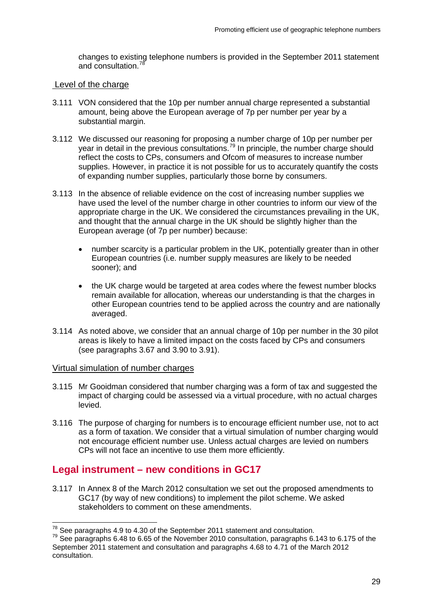changes to existing telephone numbers is provided in the September 2011 statement and consultation.<sup>7</sup>

#### Level of the charge

- 3.111 VON considered that the 10p per number annual charge represented a substantial amount, being above the European average of 7p per number per year by a substantial margin.
- 3.112 We discussed our reasoning for proposing a number charge of 10p per number per year in detail in the previous consultations.<sup>[79](#page-31-1)</sup> In principle, the number charge should reflect the costs to CPs, consumers and Ofcom of measures to increase number supplies. However, in practice it is not possible for us to accurately quantify the costs of expanding number supplies, particularly those borne by consumers.
- 3.113 In the absence of reliable evidence on the cost of increasing number supplies we have used the level of the number charge in other countries to inform our view of the appropriate charge in the UK. We considered the circumstances prevailing in the UK, and thought that the annual charge in the UK should be slightly higher than the European average (of 7p per number) because:
	- number scarcity is a particular problem in the UK, potentially greater than in other European countries (i.e. number supply measures are likely to be needed sooner); and
	- the UK charge would be targeted at area codes where the fewest number blocks remain available for allocation, whereas our understanding is that the charges in other European countries tend to be applied across the country and are nationally averaged.
- 3.114 As noted above, we consider that an annual charge of 10p per number in the 30 pilot areas is likely to have a limited impact on the costs faced by CPs and consumers (see paragraphs 3.67 and 3.90 to 3.91).

## Virtual simulation of number charges

- 3.115 Mr Gooidman considered that number charging was a form of tax and suggested the impact of charging could be assessed via a virtual procedure, with no actual charges levied.
- 3.116 The purpose of charging for numbers is to encourage efficient number use, not to act as a form of taxation. We consider that a virtual simulation of number charging would not encourage efficient number use. Unless actual charges are levied on numbers CPs will not face an incentive to use them more efficiently.

# **Legal instrument – new conditions in GC17**

3.117 In Annex 8 of the March 2012 consultation we set out the proposed amendments to GC17 (by way of new conditions) to implement the pilot scheme. We asked stakeholders to comment on these amendments.

<span id="page-31-1"></span><span id="page-31-0"></span><sup>&</sup>lt;sup>78</sup> See paragraphs 4.9 to 4.30 of the September 2011 statement and consultation.<br><sup>79</sup> See paragraphs 6.48 to 6.65 of the November 2010 consultation, paragraphs 6.143 to 6.175 of the September 2011 statement and consultation and paragraphs 4.68 to 4.71 of the March 2012 consultation.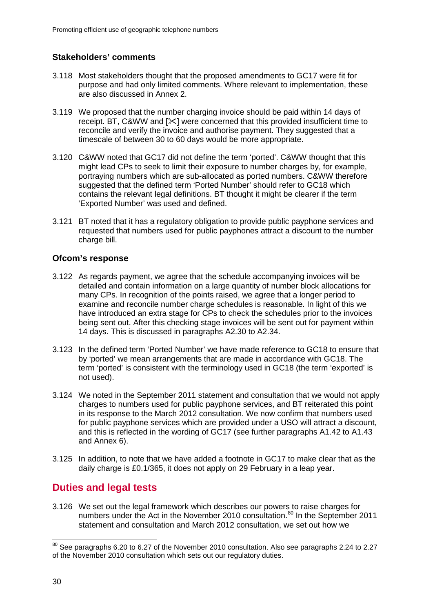## **Stakeholders' comments**

- 3.118 Most stakeholders thought that the proposed amendments to GC17 were fit for purpose and had only limited comments. Where relevant to implementation, these are also discussed in Annex 2.
- 3.119 We proposed that the number charging invoice should be paid within 14 days of receipt. BT, C&WW and  $[\<]$  were concerned that this provided insufficient time to reconcile and verify the invoice and authorise payment. They suggested that a timescale of between 30 to 60 days would be more appropriate.
- 3.120 C&WW noted that GC17 did not define the term 'ported'. C&WW thought that this might lead CPs to seek to limit their exposure to number charges by, for example, portraying numbers which are sub-allocated as ported numbers. C&WW therefore suggested that the defined term 'Ported Number' should refer to GC18 which contains the relevant legal definitions. BT thought it might be clearer if the term 'Exported Number' was used and defined.
- 3.121 BT noted that it has a regulatory obligation to provide public payphone services and requested that numbers used for public payphones attract a discount to the number charge bill.

## **Ofcom's response**

- 3.122 As regards payment, we agree that the schedule accompanying invoices will be detailed and contain information on a large quantity of number block allocations for many CPs. In recognition of the points raised, we agree that a longer period to examine and reconcile number charge schedules is reasonable. In light of this we have introduced an extra stage for CPs to check the schedules prior to the invoices being sent out. After this checking stage invoices will be sent out for payment within 14 days. This is discussed in paragraphs A2.30 to A2.34.
- 3.123 In the defined term 'Ported Number' we have made reference to GC18 to ensure that by 'ported' we mean arrangements that are made in accordance with GC18. The term 'ported' is consistent with the terminology used in GC18 (the term 'exported' is not used).
- 3.124 We noted in the September 2011 statement and consultation that we would not apply charges to numbers used for public payphone services, and BT reiterated this point in its response to the March 2012 consultation. We now confirm that numbers used for public payphone services which are provided under a USO will attract a discount, and this is reflected in the wording of GC17 (see further paragraphs A1.42 to A1.43 and Annex 6).
- 3.125 In addition, to note that we have added a footnote in GC17 to make clear that as the daily charge is £0.1/365, it does not apply on 29 February in a leap year.

# **Duties and legal tests**

3.126 We set out the legal framework which describes our powers to raise charges for numbers under the Act in the November 2010 consultation.<sup>[80](#page-32-0)</sup> In the September 2011 statement and consultation and March 2012 consultation, we set out how we

<span id="page-32-0"></span> $80$  See paragraphs 6.20 to 6.27 of the November 2010 consultation. Also see paragraphs 2.24 to 2.27 of the November 2010 consultation which sets out our regulatory duties.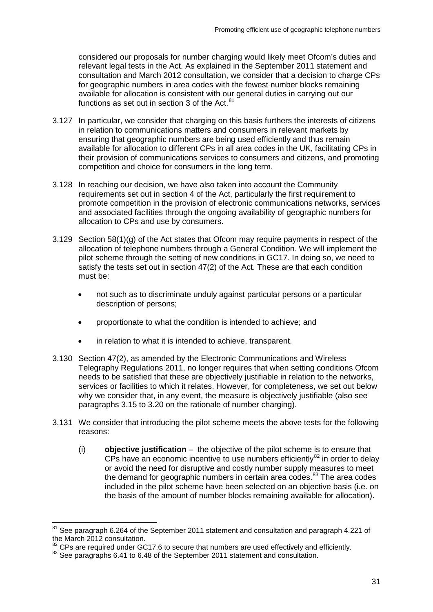considered our proposals for number charging would likely meet Ofcom's duties and relevant legal tests in the Act. As explained in the September 2011 statement and consultation and March 2012 consultation, we consider that a decision to charge CPs for geographic numbers in area codes with the fewest number blocks remaining available for allocation is consistent with our general duties in carrying out our functions as set out in section 3 of the Act. $81$ 

- 3.127 In particular, we consider that charging on this basis furthers the interests of citizens in relation to communications matters and consumers in relevant markets by ensuring that geographic numbers are being used efficiently and thus remain available for allocation to different CPs in all area codes in the UK, facilitating CPs in their provision of communications services to consumers and citizens, and promoting competition and choice for consumers in the long term.
- 3.128 In reaching our decision, we have also taken into account the Community requirements set out in section 4 of the Act, particularly the first requirement to promote competition in the provision of electronic communications networks, services and associated facilities through the ongoing availability of geographic numbers for allocation to CPs and use by consumers.
- 3.129 Section 58(1)(g) of the Act states that Ofcom may require payments in respect of the allocation of telephone numbers through a General Condition. We will implement the pilot scheme through the setting of new conditions in GC17. In doing so, we need to satisfy the tests set out in section  $47(2)$  of the Act. These are that each condition must be:
	- not such as to discriminate unduly against particular persons or a particular description of persons;
	- proportionate to what the condition is intended to achieve; and
	- in relation to what it is intended to achieve, transparent.
- 3.130 Section 47(2), as amended by the Electronic Communications and Wireless Telegraphy Regulations 2011, no longer requires that when setting conditions Ofcom needs to be satisfied that these are objectively justifiable in relation to the networks, services or facilities to which it relates. However, for completeness, we set out below why we consider that, in any event, the measure is objectively justifiable (also see paragraphs 3.15 to 3.20 on the rationale of number charging).
- 3.131 We consider that introducing the pilot scheme meets the above tests for the following reasons:
	- (i) **objective justification** the objective of the pilot scheme is to ensure that  $CPS$  have an economic incentive to use numbers efficiently<sup>[82](#page-33-1)</sup> in order to delay or avoid the need for disruptive and costly number supply measures to meet the demand for geographic numbers in certain area codes. $83$  The area codes included in the pilot scheme have been selected on an objective basis (i.e. on the basis of the amount of number blocks remaining available for allocation).

<span id="page-33-0"></span> $81$  See paragraph 6.264 of the September 2011 statement and consultation and paragraph 4.221 of the March 2012 consultation.<br><sup>82</sup> CPs are required under GC17.6 to secure that numbers are used effectively and efficiently.

<span id="page-33-2"></span><span id="page-33-1"></span><sup>83</sup> See paragraphs 6.41 to 6.48 of the September 2011 statement and consultation.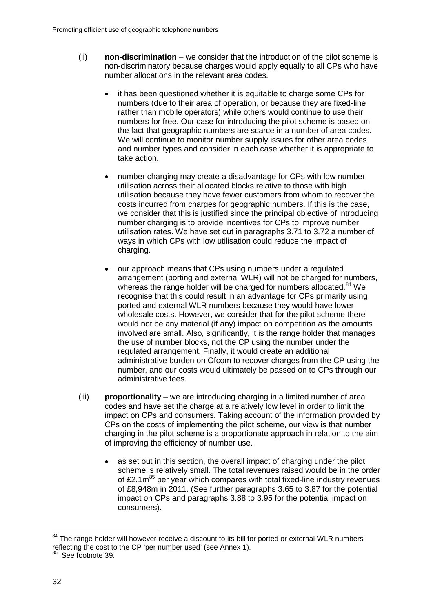- (ii) **non-discrimination** we consider that the introduction of the pilot scheme is non-discriminatory because charges would apply equally to all CPs who have number allocations in the relevant area codes.
	- it has been questioned whether it is equitable to charge some CPs for numbers (due to their area of operation, or because they are fixed-line rather than mobile operators) while others would continue to use their numbers for free. Our case for introducing the pilot scheme is based on the fact that geographic numbers are scarce in a number of area codes. We will continue to monitor number supply issues for other area codes and number types and consider in each case whether it is appropriate to take action.
	- number charging may create a disadvantage for CPs with low number utilisation across their allocated blocks relative to those with high utilisation because they have fewer customers from whom to recover the costs incurred from charges for geographic numbers. If this is the case, we consider that this is justified since the principal objective of introducing number charging is to provide incentives for CPs to improve number utilisation rates. We have set out in paragraphs 3.71 to 3.72 a number of ways in which CPs with low utilisation could reduce the impact of charging.
	- our approach means that CPs using numbers under a regulated arrangement (porting and external WLR) will not be charged for numbers, whereas the range holder will be charged for numbers allocated.<sup>[84](#page-34-0)</sup> We recognise that this could result in an advantage for CPs primarily using ported and external WLR numbers because they would have lower wholesale costs. However, we consider that for the pilot scheme there would not be any material (if any) impact on competition as the amounts involved are small. Also, significantly, it is the range holder that manages the use of number blocks, not the CP using the number under the regulated arrangement. Finally, it would create an additional administrative burden on Ofcom to recover charges from the CP using the number, and our costs would ultimately be passed on to CPs through our administrative fees.
- (iii) **proportionality** we are introducing charging in a limited number of area codes and have set the charge at a relatively low level in order to limit the impact on CPs and consumers. Taking account of the information provided by CPs on the costs of implementing the pilot scheme, our view is that number charging in the pilot scheme is a proportionate approach in relation to the aim of improving the efficiency of number use.
	- as set out in this section, the overall impact of charging under the pilot scheme is relatively small. The total revenues raised would be in the order of  $£2.1m<sup>85</sup>$  $£2.1m<sup>85</sup>$  $£2.1m<sup>85</sup>$  per year which compares with total fixed-line industry revenues of £8,948m in 2011. (See further paragraphs 3.65 to 3.87 for the potential impact on CPs and paragraphs 3.88 to 3.95 for the potential impact on consumers).

<span id="page-34-0"></span><sup>&</sup>lt;sup>84</sup> The range holder will however receive a discount to its bill for ported or external WLR numbers reflecting the cost to the CP 'per number used' (see Annex 1).

<span id="page-34-1"></span>See footnote 39.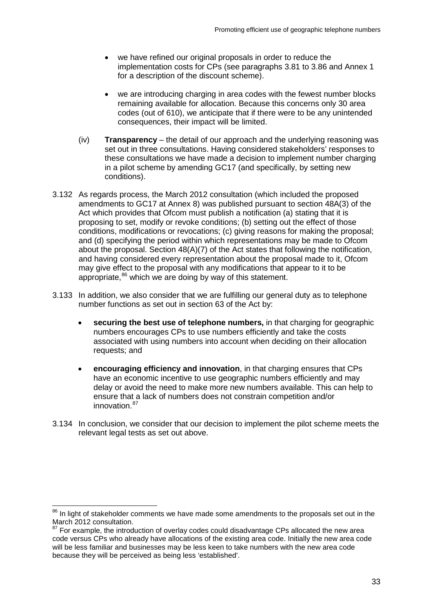- we have refined our original proposals in order to reduce the implementation costs for CPs (see paragraphs 3.81 to 3.86 and Annex 1 for a description of the discount scheme).
- we are introducing charging in area codes with the fewest number blocks remaining available for allocation. Because this concerns only 30 area codes (out of 610), we anticipate that if there were to be any unintended consequences, their impact will be limited.
- (iv) **Transparency** the detail of our approach and the underlying reasoning was set out in three consultations. Having considered stakeholders' responses to these consultations we have made a decision to implement number charging in a pilot scheme by amending GC17 (and specifically, by setting new conditions).
- 3.132 As regards process, the March 2012 consultation (which included the proposed amendments to GC17 at Annex 8) was published pursuant to section 48A(3) of the Act which provides that Ofcom must publish a notification (a) stating that it is proposing to set, modify or revoke conditions; (b) setting out the effect of those conditions, modifications or revocations; (c) giving reasons for making the proposal; and (d) specifying the period within which representations may be made to Ofcom about the proposal. Section 48(A)(7) of the Act states that following the notification, and having considered every representation about the proposal made to it, Ofcom may give effect to the proposal with any modifications that appear to it to be appropriate, $86$  which we are doing by way of this statement.
- 3.133 In addition, we also consider that we are fulfilling our general duty as to telephone number functions as set out in section 63 of the Act by:
	- **securing the best use of telephone numbers,** in that charging for geographic numbers encourages CPs to use numbers efficiently and take the costs associated with using numbers into account when deciding on their allocation requests; and
	- **encouraging efficiency and innovation**, in that charging ensures that CPs have an economic incentive to use geographic numbers efficiently and may delay or avoid the need to make more new numbers available. This can help to ensure that a lack of numbers does not constrain competition and/or innovation.<sup>[87](#page-35-1)</sup>
- 3.134 In conclusion, we consider that our decision to implement the pilot scheme meets the relevant legal tests as set out above.

<span id="page-35-0"></span><sup>&</sup>lt;sup>86</sup> In light of stakeholder comments we have made some amendments to the proposals set out in the March 2012 consultation.

<span id="page-35-1"></span><sup>87</sup> For example, the introduction of overlay codes could disadvantage CPs allocated the new area code versus CPs who already have allocations of the existing area code. Initially the new area code will be less familiar and businesses may be less keen to take numbers with the new area code because they will be perceived as being less 'established'.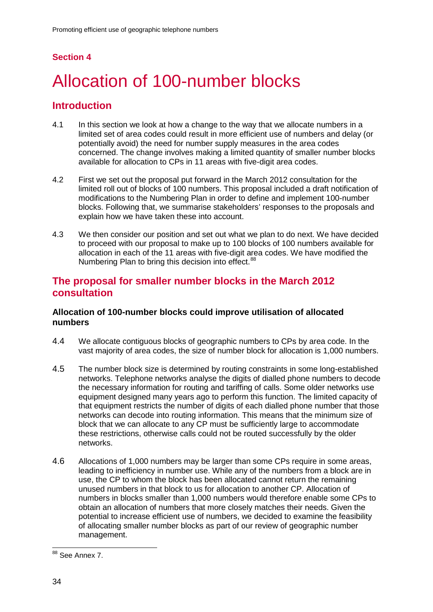# **Section 4**

# 4 Allocation of 100-number blocks

# **Introduction**

- 4.1 In this section we look at how a change to the way that we allocate numbers in a limited set of area codes could result in more efficient use of numbers and delay (or potentially avoid) the need for number supply measures in the area codes concerned. The change involves making a limited quantity of smaller number blocks available for allocation to CPs in 11 areas with five-digit area codes.
- 4.2 First we set out the proposal put forward in the March 2012 consultation for the limited roll out of blocks of 100 numbers. This proposal included a draft notification of modifications to the Numbering Plan in order to define and implement 100-number blocks. Following that, we summarise stakeholders' responses to the proposals and explain how we have taken these into account.
- 4.3 We then consider our position and set out what we plan to do next. We have decided to proceed with our proposal to make up to 100 blocks of 100 numbers available for allocation in each of the 11 areas with five-digit area codes. We have modified the Numbering Plan to bring this decision into effect.<sup>[88](#page-36-0)</sup>

# **The proposal for smaller number blocks in the March 2012 consultation**

## **Allocation of 100-number blocks could improve utilisation of allocated numbers**

- 4.4 We allocate contiguous blocks of geographic numbers to CPs by area code. In the vast majority of area codes, the size of number block for allocation is 1,000 numbers.
- 4.5 The number block size is determined by routing constraints in some long-established networks. Telephone networks analyse the digits of dialled phone numbers to decode the necessary information for routing and tariffing of calls. Some older networks use equipment designed many years ago to perform this function. The limited capacity of that equipment restricts the number of digits of each dialled phone number that those networks can decode into routing information. This means that the minimum size of block that we can allocate to any CP must be sufficiently large to accommodate these restrictions, otherwise calls could not be routed successfully by the older networks.
- 4.6 Allocations of 1,000 numbers may be larger than some CPs require in some areas, leading to inefficiency in number use. While any of the numbers from a block are in use, the CP to whom the block has been allocated cannot return the remaining unused numbers in that block to us for allocation to another CP. Allocation of numbers in blocks smaller than 1,000 numbers would therefore enable some CPs to obtain an allocation of numbers that more closely matches their needs. Given the potential to increase efficient use of numbers, we decided to examine the feasibility of allocating smaller number blocks as part of our review of geographic number management.

<span id="page-36-0"></span><sup>&</sup>lt;sup>88</sup> See Annex 7.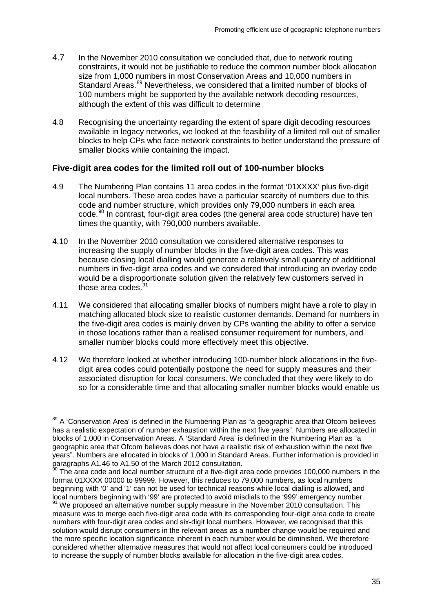- 4.7 In the November 2010 consultation we concluded that, due to network routing constraints, it would not be justifiable to reduce the common number block allocation size from 1,000 numbers in most Conservation Areas and 10,000 numbers in Standard Areas.<sup>[89](#page-37-0)</sup> Nevertheless, we considered that a limited number of blocks of 100 numbers might be supported by the available network decoding resources, although the extent of this was difficult to determine
- 4.8 Recognising the uncertainty regarding the extent of spare digit decoding resources available in legacy networks, we looked at the feasibility of a limited roll out of smaller blocks to help CPs who face network constraints to better understand the pressure of smaller blocks while containing the impact.

# **Five-digit area codes for the limited roll out of 100-number blocks**

- 4.9 The Numbering Plan contains 11 area codes in the format '01XXXX' plus five-digit local numbers. These area codes have a particular scarcity of numbers due to this code and number structure, which provides only 79,000 numbers in each area code.<sup>[90](#page-37-1)</sup> In contrast, four-digit area codes (the general area code structure) have ten times the quantity, with 790,000 numbers available.
- 4.10 In the November 2010 consultation we considered alternative responses to increasing the supply of number blocks in the five-digit area codes. This was because closing local dialling would generate a relatively small quantity of additional numbers in five-digit area codes and we considered that introducing an overlay code would be a disproportionate solution given the relatively few customers served in those area codes.<sup>[91](#page-37-2)</sup>
- 4.11 We considered that allocating smaller blocks of numbers might have a role to play in matching allocated block size to realistic customer demands. Demand for numbers in the five-digit area codes is mainly driven by CPs wanting the ability to offer a service in those locations rather than a realised consumer requirement for numbers, and smaller number blocks could more effectively meet this objective.
- 4.12 We therefore looked at whether introducing 100-number block allocations in the fivedigit area codes could potentially postpone the need for supply measures and their associated disruption for local consumers. We concluded that they were likely to do so for a considerable time and that allocating smaller number blocks would enable us

<span id="page-37-0"></span><sup>&</sup>lt;sup>89</sup> A 'Conservation Area' is defined in the Numbering Plan as "a geographic area that Ofcom believes has a realistic expectation of number exhaustion within the next five years". Numbers are allocated in blocks of 1,000 in Conservation Areas. A 'Standard Area' is defined in the Numbering Plan as "a geographic area that Ofcom believes does not have a realistic risk of exhaustion within the next five years". Numbers are allocated in blocks of 1,000 in Standard Areas. Further information is provided in paragraphs A1.46 to A1.50 of the March 2012 consultation.

<span id="page-37-1"></span>The area code and local number structure of a five-digit area code provides 100,000 numbers in the format 01XXXX 00000 to 99999. However, this reduces to 79,000 numbers, as local numbers beginning with '0' and '1' can not be used for technical reasons while local dialling is allowed, and local numbers beginning with '99' are protected to avoid misdials to the '999' emergency number.

<span id="page-37-2"></span> $\mathbb{P}^1$  We proposed an alternative number supply measure in the November 2010 consultation. This measure was to merge each five-digit area code with its corresponding four-digit area code to create numbers with four-digit area codes and six-digit local numbers. However, we recognised that this solution would disrupt consumers in the relevant areas as a number change would be required and the more specific location significance inherent in each number would be diminished. We therefore considered whether alternative measures that would not affect local consumers could be introduced to increase the supply of number blocks available for allocation in the five-digit area codes.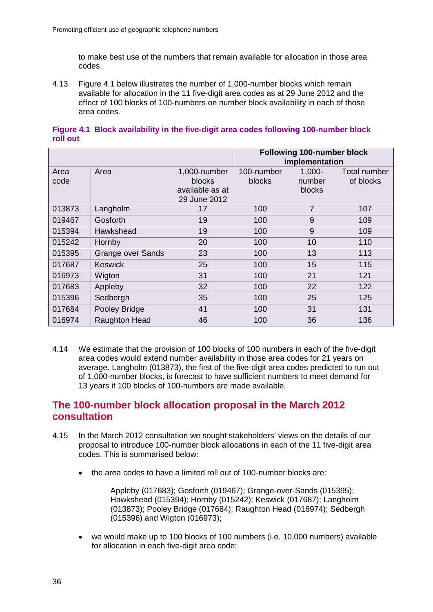to make best use of the numbers that remain available for allocation in those area codes.

4.13 Figure 4.1 below illustrates the number of 1,000-number blocks which remain available for allocation in the 11 five-digit area codes as at 29 June 2012 and the effect of 100 blocks of 100-numbers on number block availability in each of those area codes.

|              |                          |                                                           | <b>Following 100-number block</b><br>implementation |                                      |                           |
|--------------|--------------------------|-----------------------------------------------------------|-----------------------------------------------------|--------------------------------------|---------------------------|
| Area<br>code | Area                     | 1,000-number<br>blocks<br>available as at<br>29 June 2012 | 100-number<br><b>blocks</b>                         | $1,000 -$<br>number<br><b>blocks</b> | Total number<br>of blocks |
| 013873       | Langholm                 | 17                                                        | 100                                                 | 7                                    | 107                       |
| 019467       | Gosforth                 | 19                                                        | 100                                                 | 9                                    | 109                       |
| 015394       | Hawkshead                | 19                                                        | 100                                                 | 9                                    | 109                       |
| 015242       | Hornby                   | 20                                                        | 100                                                 | 10                                   | 110                       |
| 015395       | <b>Grange over Sands</b> | 23                                                        | 100                                                 | 13                                   | 113                       |
| 017687       | Keswick                  | 25                                                        | 100                                                 | 15                                   | 115                       |
| 016973       | Wigton                   | 31                                                        | 100                                                 | 21                                   | 121                       |
| 017683       | Appleby                  | 32                                                        | 100                                                 | 22                                   | 122                       |
| 015396       | Sedbergh                 | 35                                                        | 100                                                 | 25                                   | 125                       |
| 017684       | Pooley Bridge            | 41                                                        | 100                                                 | 31                                   | 131                       |
| 016974       | <b>Raughton Head</b>     | 46                                                        | 100                                                 | 36                                   | 136                       |

#### **Figure 4.1 Block availability in the five-digit area codes following 100-number block roll out**

4.14 We estimate that the provision of 100 blocks of 100 numbers in each of the five-digit area codes would extend number availability in those area codes for 21 years on average. Langholm (013873), the first of the five-digit area codes predicted to run out of 1,000-number blocks, is forecast to have sufficient numbers to meet demand for 13 years if 100 blocks of 100-numbers are made available.

# **The 100-number block allocation proposal in the March 2012 consultation**

- 4.15 In the March 2012 consultation we sought stakeholders' views on the details of our proposal to introduce 100-number block allocations in each of the 11 five-digit area codes. This is summarised below:
	- the area codes to have a limited roll out of 100-number blocks are:

Appleby (017683); Gosforth (019467); Grange-over-Sands (015395); Hawkshead (015394); Hornby (015242); Keswick (017687); Langholm (013873); Pooley Bridge (017684); Raughton Head (016974); Sedbergh (015396) and Wigton (016973);

• we would make up to 100 blocks of 100 numbers (i.e. 10,000 numbers) available for allocation in each five-digit area code;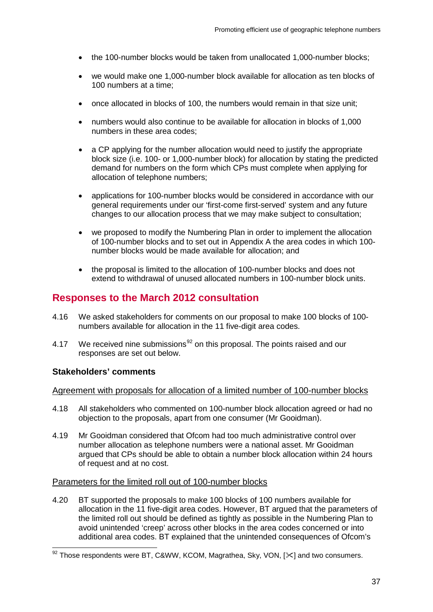- the 100-number blocks would be taken from unallocated 1,000-number blocks;
- we would make one 1,000-number block available for allocation as ten blocks of 100 numbers at a time;
- once allocated in blocks of 100, the numbers would remain in that size unit;
- numbers would also continue to be available for allocation in blocks of 1,000 numbers in these area codes;
- a CP applying for the number allocation would need to justify the appropriate block size (i.e. 100- or 1,000-number block) for allocation by stating the predicted demand for numbers on the form which CPs must complete when applying for allocation of telephone numbers;
- applications for 100-number blocks would be considered in accordance with our general requirements under our 'first-come first-served' system and any future changes to our allocation process that we may make subject to consultation;
- we proposed to modify the Numbering Plan in order to implement the allocation of 100-number blocks and to set out in Appendix A the area codes in which 100 number blocks would be made available for allocation; and
- the proposal is limited to the allocation of 100-number blocks and does not extend to withdrawal of unused allocated numbers in 100-number block units.

# **Responses to the March 2012 consultation**

- 4.16 We asked stakeholders for comments on our proposal to make 100 blocks of 100 numbers available for allocation in the 11 five-digit area codes.
- 4.17 We received nine submissions<sup>[92](#page-39-0)</sup> on this proposal. The points raised and our responses are set out below.

#### **Stakeholders' comments**

#### Agreement with proposals for allocation of a limited number of 100-number blocks

- 4.18 All stakeholders who commented on 100-number block allocation agreed or had no objection to the proposals, apart from one consumer (Mr Gooidman).
- 4.19 Mr Gooidman considered that Ofcom had too much administrative control over number allocation as telephone numbers were a national asset. Mr Gooidman argued that CPs should be able to obtain a number block allocation within 24 hours of request and at no cost.

#### Parameters for the limited roll out of 100-number blocks

4.20 BT supported the proposals to make 100 blocks of 100 numbers available for allocation in the 11 five-digit area codes. However, BT argued that the parameters of the limited roll out should be defined as tightly as possible in the Numbering Plan to avoid unintended 'creep' across other blocks in the area codes concerned or into additional area codes. BT explained that the unintended consequences of Ofcom's

<span id="page-39-0"></span> $\overline{\text{92} \text{ Those} }$  respondents were BT, C&WW, KCOM, Magrathea, Sky, VON, [ $\ll$ ] and two consumers.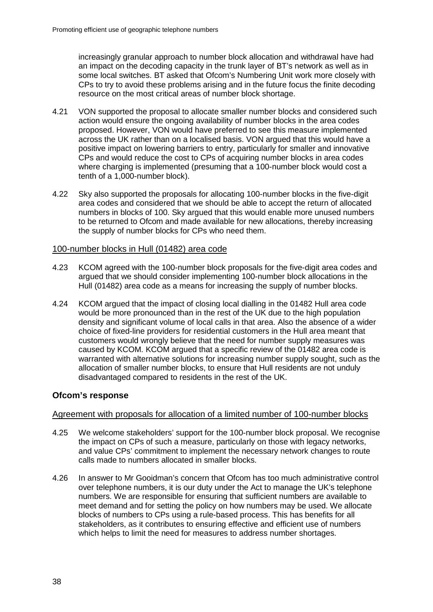increasingly granular approach to number block allocation and withdrawal have had an impact on the decoding capacity in the trunk layer of BT's network as well as in some local switches. BT asked that Ofcom's Numbering Unit work more closely with CPs to try to avoid these problems arising and in the future focus the finite decoding resource on the most critical areas of number block shortage.

- 4.21 VON supported the proposal to allocate smaller number blocks and considered such action would ensure the ongoing availability of number blocks in the area codes proposed. However, VON would have preferred to see this measure implemented across the UK rather than on a localised basis. VON argued that this would have a positive impact on lowering barriers to entry, particularly for smaller and innovative CPs and would reduce the cost to CPs of acquiring number blocks in area codes where charging is implemented (presuming that a 100-number block would cost a tenth of a 1,000-number block).
- 4.22 Sky also supported the proposals for allocating 100-number blocks in the five-digit area codes and considered that we should be able to accept the return of allocated numbers in blocks of 100. Sky argued that this would enable more unused numbers to be returned to Ofcom and made available for new allocations, thereby increasing the supply of number blocks for CPs who need them.

## 100-number blocks in Hull (01482) area code

- 4.23 KCOM agreed with the 100-number block proposals for the five-digit area codes and argued that we should consider implementing 100-number block allocations in the Hull (01482) area code as a means for increasing the supply of number blocks.
- 4.24 KCOM argued that the impact of closing local dialling in the 01482 Hull area code would be more pronounced than in the rest of the UK due to the high population density and significant volume of local calls in that area. Also the absence of a wider choice of fixed-line providers for residential customers in the Hull area meant that customers would wrongly believe that the need for number supply measures was caused by KCOM. KCOM argued that a specific review of the 01482 area code is warranted with alternative solutions for increasing number supply sought, such as the allocation of smaller number blocks, to ensure that Hull residents are not unduly disadvantaged compared to residents in the rest of the UK.

## **Ofcom's response**

#### Agreement with proposals for allocation of a limited number of 100-number blocks

- 4.25 We welcome stakeholders' support for the 100-number block proposal. We recognise the impact on CPs of such a measure, particularly on those with legacy networks, and value CPs' commitment to implement the necessary network changes to route calls made to numbers allocated in smaller blocks.
- 4.26 In answer to Mr Gooidman's concern that Ofcom has too much administrative control over telephone numbers, it is our duty under the Act to manage the UK's telephone numbers. We are responsible for ensuring that sufficient numbers are available to meet demand and for setting the policy on how numbers may be used. We allocate blocks of numbers to CPs using a rule-based process. This has benefits for all stakeholders, as it contributes to ensuring effective and efficient use of numbers which helps to limit the need for measures to address number shortages.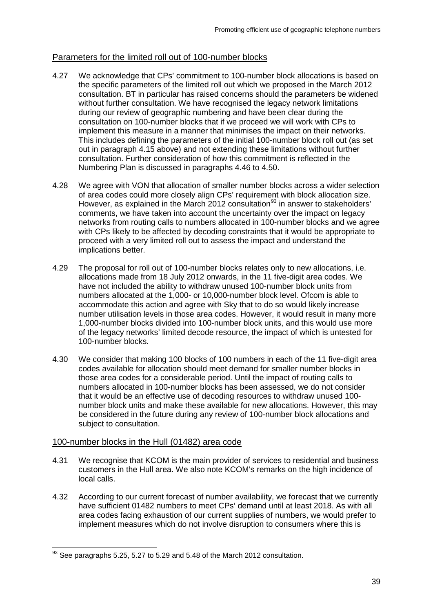# Parameters for the limited roll out of 100-number blocks

- 4.27 We acknowledge that CPs' commitment to 100-number block allocations is based on the specific parameters of the limited roll out which we proposed in the March 2012 consultation. BT in particular has raised concerns should the parameters be widened without further consultation. We have recognised the legacy network limitations during our review of geographic numbering and have been clear during the consultation on 100-number blocks that if we proceed we will work with CPs to implement this measure in a manner that minimises the impact on their networks. This includes defining the parameters of the initial 100-number block roll out (as set out in paragraph 4.15 above) and not extending these limitations without further consultation. Further consideration of how this commitment is reflected in the Numbering Plan is discussed in paragraphs 4.46 to 4.50.
- 4.28 We agree with VON that allocation of smaller number blocks across a wider selection of area codes could more closely align CPs' requirement with block allocation size. However, as explained in the March 2012 consultation<sup>[93](#page-41-0)</sup> in answer to stakeholders' comments, we have taken into account the uncertainty over the impact on legacy networks from routing calls to numbers allocated in 100-number blocks and we agree with CPs likely to be affected by decoding constraints that it would be appropriate to proceed with a very limited roll out to assess the impact and understand the implications better.
- 4.29 The proposal for roll out of 100-number blocks relates only to new allocations, i.e. allocations made from 18 July 2012 onwards, in the 11 five-digit area codes. We have not included the ability to withdraw unused 100-number block units from numbers allocated at the 1,000- or 10,000-number block level. Ofcom is able to accommodate this action and agree with Sky that to do so would likely increase number utilisation levels in those area codes. However, it would result in many more 1,000-number blocks divided into 100-number block units, and this would use more of the legacy networks' limited decode resource, the impact of which is untested for 100-number blocks.
- 4.30 We consider that making 100 blocks of 100 numbers in each of the 11 five-digit area codes available for allocation should meet demand for smaller number blocks in those area codes for a considerable period. Until the impact of routing calls to numbers allocated in 100-number blocks has been assessed, we do not consider that it would be an effective use of decoding resources to withdraw unused 100 number block units and make these available for new allocations. However, this may be considered in the future during any review of 100-number block allocations and subject to consultation.

## 100-number blocks in the Hull (01482) area code

- 4.31 We recognise that KCOM is the main provider of services to residential and business customers in the Hull area. We also note KCOM's remarks on the high incidence of local calls.
- 4.32 According to our current forecast of number availability, we forecast that we currently have sufficient 01482 numbers to meet CPs' demand until at least 2018. As with all area codes facing exhaustion of our current supplies of numbers, we would prefer to implement measures which do not involve disruption to consumers where this is

<span id="page-41-0"></span> $93$  See paragraphs 5.25, 5.27 to 5.29 and 5.48 of the March 2012 consultation.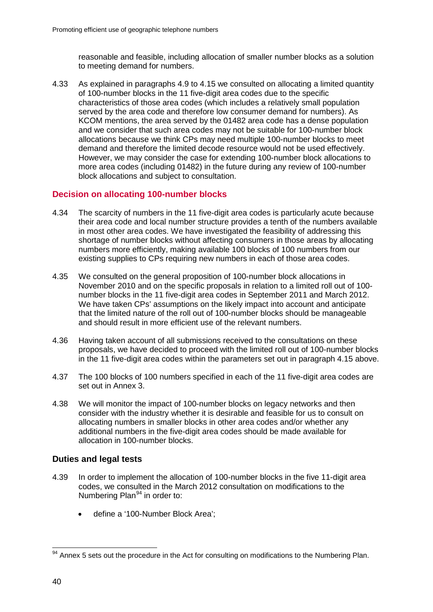reasonable and feasible, including allocation of smaller number blocks as a solution to meeting demand for numbers.

4.33 As explained in paragraphs 4.9 to 4.15 we consulted on allocating a limited quantity of 100-number blocks in the 11 five-digit area codes due to the specific characteristics of those area codes (which includes a relatively small population served by the area code and therefore low consumer demand for numbers). As KCOM mentions, the area served by the 01482 area code has a dense population and we consider that such area codes may not be suitable for 100-number block allocations because we think CPs may need multiple 100-number blocks to meet demand and therefore the limited decode resource would not be used effectively. However, we may consider the case for extending 100-number block allocations to more area codes (including 01482) in the future during any review of 100-number block allocations and subject to consultation.

# **Decision on allocating 100-number blocks**

- 4.34 The scarcity of numbers in the 11 five-digit area codes is particularly acute because their area code and local number structure provides a tenth of the numbers available in most other area codes. We have investigated the feasibility of addressing this shortage of number blocks without affecting consumers in those areas by allocating numbers more efficiently, making available 100 blocks of 100 numbers from our existing supplies to CPs requiring new numbers in each of those area codes.
- 4.35 We consulted on the general proposition of 100-number block allocations in November 2010 and on the specific proposals in relation to a limited roll out of 100 number blocks in the 11 five-digit area codes in September 2011 and March 2012. We have taken CPs' assumptions on the likely impact into account and anticipate that the limited nature of the roll out of 100-number blocks should be manageable and should result in more efficient use of the relevant numbers.
- 4.36 Having taken account of all submissions received to the consultations on these proposals, we have decided to proceed with the limited roll out of 100-number blocks in the 11 five-digit area codes within the parameters set out in paragraph 4.15 above.
- 4.37 The 100 blocks of 100 numbers specified in each of the 11 five-digit area codes are set out in Annex 3.
- 4.38 We will monitor the impact of 100-number blocks on legacy networks and then consider with the industry whether it is desirable and feasible for us to consult on allocating numbers in smaller blocks in other area codes and/or whether any additional numbers in the five-digit area codes should be made available for allocation in 100-number blocks.

## **Duties and legal tests**

- 4.39 In order to implement the allocation of 100-number blocks in the five 11-digit area codes, we consulted in the March 2012 consultation on modifications to the Numbering Plan $94$  in order to:
	- define a '100-Number Block Area';

<span id="page-42-0"></span><sup>&</sup>lt;sup>94</sup> Annex 5 sets out the procedure in the Act for consulting on modifications to the Numbering Plan.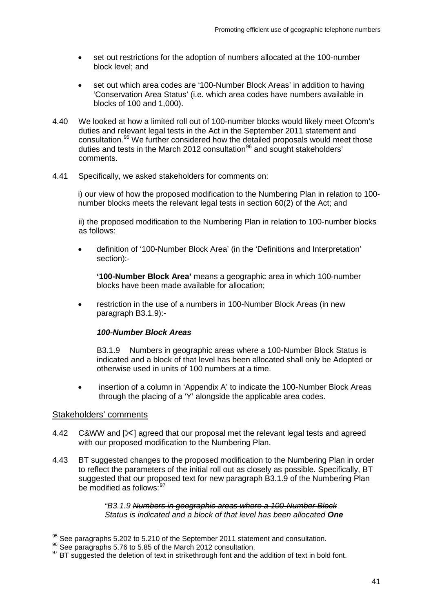- set out restrictions for the adoption of numbers allocated at the 100-number block level; and
- set out which area codes are '100-Number Block Areas' in addition to having 'Conservation Area Status' (i.e. which area codes have numbers available in blocks of 100 and 1,000).
- 4.40 We looked at how a limited roll out of 100-number blocks would likely meet Ofcom's duties and relevant legal tests in the Act in the September 2011 statement and consultation.[95](#page-43-0) We further considered how the detailed proposals would meet those duties and tests in the March 2012 consultation<sup>[96](#page-43-1)</sup> and sought stakeholders' comments.
- 4.41 Specifically, we asked stakeholders for comments on:

i) our view of how the proposed modification to the Numbering Plan in relation to 100 number blocks meets the relevant legal tests in section 60(2) of the Act; and

ii) the proposed modification to the Numbering Plan in relation to 100-number blocks as follows:

• definition of '100-Number Block Area' (in the 'Definitions and Interpretation' section):-

**'100-Number Block Area'** means a geographic area in which 100-number blocks have been made available for allocation;

• restriction in the use of a numbers in 100-Number Block Areas (in new paragraph B3.1.9):-

#### *100-Number Block Areas*

B3.1.9 Numbers in geographic areas where a 100-Number Block Status is indicated and a block of that level has been allocated shall only be Adopted or otherwise used in units of 100 numbers at a time.

• insertion of a column in 'Appendix A' to indicate the 100-Number Block Areas through the placing of a 'Y' alongside the applicable area codes.

#### Stakeholders' comments

- 4.42 C&WW and  $[\times]$  agreed that our proposal met the relevant legal tests and agreed with our proposed modification to the Numbering Plan.
- 4.43 BT suggested changes to the proposed modification to the Numbering Plan in order to reflect the parameters of the initial roll out as closely as possible. Specifically, BT suggested that our proposed text for new paragraph B3.1.9 of the Numbering Plan be modified as follows: [97](#page-43-2)

#### *"B3.1.9 Numbers in geographic areas where a 100-Number Block Status is indicated and a block of that level has been allocated One*

<span id="page-43-2"></span>

<span id="page-43-1"></span><span id="page-43-0"></span><sup>&</sup>lt;sup>95</sup> See paragraphs 5.202 to 5.210 of the September 2011 statement and consultation.<br><sup>96</sup> See paragraphs 5.76 to 5.85 of the March 2012 consultation.<br><sup>97</sup> BT suggested the deletion of text in strikethrough font and the ad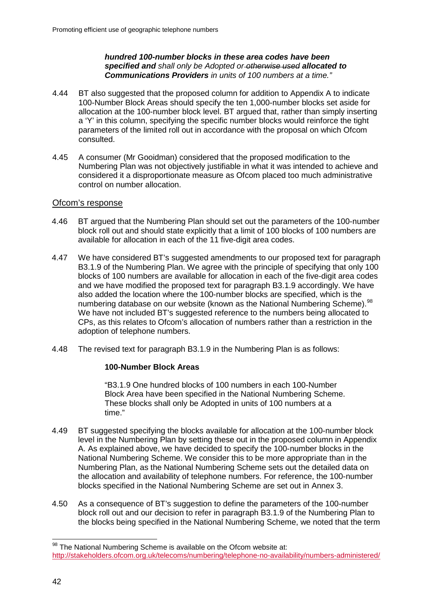#### *hundred 100-number blocks in these area codes have been specified and shall only be Adopted or otherwise used allocated to Communications Providers in units of 100 numbers at a time."*

- 4.44 BT also suggested that the proposed column for addition to Appendix A to indicate 100-Number Block Areas should specify the ten 1,000-number blocks set aside for allocation at the 100-number block level. BT argued that, rather than simply inserting a 'Y' in this column, specifying the specific number blocks would reinforce the tight parameters of the limited roll out in accordance with the proposal on which Ofcom consulted.
- 4.45 A consumer (Mr Gooidman) considered that the proposed modification to the Numbering Plan was not objectively justifiable in what it was intended to achieve and considered it a disproportionate measure as Ofcom placed too much administrative control on number allocation.

## Ofcom's response

- 4.46 BT argued that the Numbering Plan should set out the parameters of the 100-number block roll out and should state explicitly that a limit of 100 blocks of 100 numbers are available for allocation in each of the 11 five-digit area codes.
- 4.47 We have considered BT's suggested amendments to our proposed text for paragraph B3.1.9 of the Numbering Plan. We agree with the principle of specifying that only 100 blocks of 100 numbers are available for allocation in each of the five-digit area codes and we have modified the proposed text for paragraph B3.1.9 accordingly. We have also added the location where the 100-number blocks are specified, which is the numbering database on our website (known as the National Numbering Scheme).<sup>[98](#page-44-0)</sup> We have not included BT's suggested reference to the numbers being allocated to CPs, as this relates to Ofcom's allocation of numbers rather than a restriction in the adoption of telephone numbers.
- 4.48 The revised text for paragraph B3.1.9 in the Numbering Plan is as follows:

#### **100-Number Block Areas**

"B3.1.9 One hundred blocks of 100 numbers in each 100-Number Block Area have been specified in the National Numbering Scheme. These blocks shall only be Adopted in units of 100 numbers at a time."

- 4.49 BT suggested specifying the blocks available for allocation at the 100-number block level in the Numbering Plan by setting these out in the proposed column in Appendix A. As explained above, we have decided to specify the 100-number blocks in the National Numbering Scheme. We consider this to be more appropriate than in the Numbering Plan, as the National Numbering Scheme sets out the detailed data on the allocation and availability of telephone numbers. For reference, the 100-number blocks specified in the National Numbering Scheme are set out in Annex 3.
- 4.50 As a consequence of BT's suggestion to define the parameters of the 100-number block roll out and our decision to refer in paragraph B3.1.9 of the Numbering Plan to the blocks being specified in the National Numbering Scheme, we noted that the term

<span id="page-44-0"></span><sup>98</sup> The National Numbering Scheme is available on the Ofcom website at: <http://stakeholders.ofcom.org.uk/telecoms/numbering/telephone-no-availability/numbers-administered/>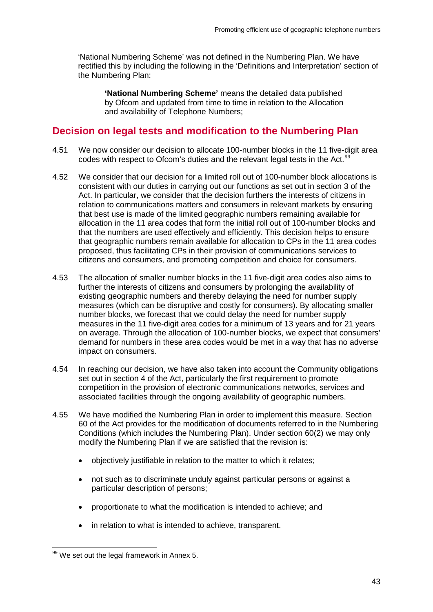'National Numbering Scheme' was not defined in the Numbering Plan. We have rectified this by including the following in the 'Definitions and Interpretation' section of the Numbering Plan:

**'National Numbering Scheme'** means the detailed data published by Ofcom and updated from time to time in relation to the Allocation and availability of Telephone Numbers;

# **Decision on legal tests and modification to the Numbering Plan**

- 4.51 We now consider our decision to allocate 100-number blocks in the 11 five-digit area codes with respect to Ofcom's duties and the relevant legal tests in the Act.<sup>[99](#page-45-0)</sup>
- 4.52 We consider that our decision for a limited roll out of 100-number block allocations is consistent with our duties in carrying out our functions as set out in section 3 of the Act. In particular, we consider that the decision furthers the interests of citizens in relation to communications matters and consumers in relevant markets by ensuring that best use is made of the limited geographic numbers remaining available for allocation in the 11 area codes that form the initial roll out of 100-number blocks and that the numbers are used effectively and efficiently. This decision helps to ensure that geographic numbers remain available for allocation to CPs in the 11 area codes proposed, thus facilitating CPs in their provision of communications services to citizens and consumers, and promoting competition and choice for consumers.
- 4.53 The allocation of smaller number blocks in the 11 five-digit area codes also aims to further the interests of citizens and consumers by prolonging the availability of existing geographic numbers and thereby delaying the need for number supply measures (which can be disruptive and costly for consumers). By allocating smaller number blocks, we forecast that we could delay the need for number supply measures in the 11 five-digit area codes for a minimum of 13 years and for 21 years on average. Through the allocation of 100-number blocks, we expect that consumers' demand for numbers in these area codes would be met in a way that has no adverse impact on consumers.
- 4.54 In reaching our decision, we have also taken into account the Community obligations set out in section 4 of the Act, particularly the first requirement to promote competition in the provision of electronic communications networks, services and associated facilities through the ongoing availability of geographic numbers.
- 4.55 We have modified the Numbering Plan in order to implement this measure. Section 60 of the Act provides for the modification of documents referred to in the Numbering Conditions (which includes the Numbering Plan). Under section 60(2) we may only modify the Numbering Plan if we are satisfied that the revision is:
	- objectively justifiable in relation to the matter to which it relates;
	- not such as to discriminate unduly against particular persons or against a particular description of persons;
	- proportionate to what the modification is intended to achieve; and
	- in relation to what is intended to achieve, transparent.

<span id="page-45-0"></span><sup>99</sup> We set out the legal framework in Annex 5.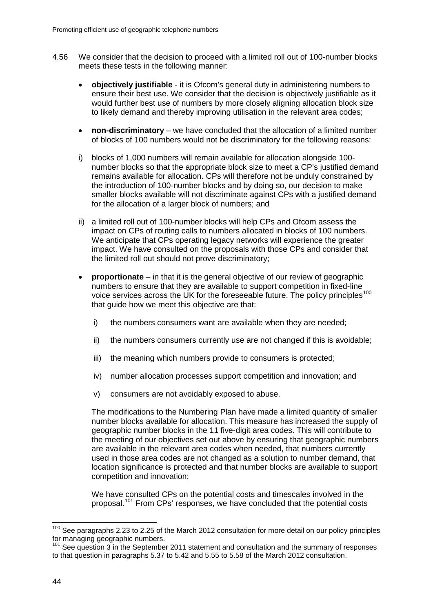- 4.56 We consider that the decision to proceed with a limited roll out of 100-number blocks meets these tests in the following manner:
	- **objectively justifiable** it is Ofcom's general duty in administering numbers to ensure their best use. We consider that the decision is objectively justifiable as it would further best use of numbers by more closely aligning allocation block size to likely demand and thereby improving utilisation in the relevant area codes;
	- **non-discriminatory** we have concluded that the allocation of a limited number of blocks of 100 numbers would not be discriminatory for the following reasons:
	- i) blocks of 1,000 numbers will remain available for allocation alongside 100 number blocks so that the appropriate block size to meet a CP's justified demand remains available for allocation. CPs will therefore not be unduly constrained by the introduction of 100-number blocks and by doing so, our decision to make smaller blocks available will not discriminate against CPs with a justified demand for the allocation of a larger block of numbers; and
	- ii) a limited roll out of 100-number blocks will help CPs and Ofcom assess the impact on CPs of routing calls to numbers allocated in blocks of 100 numbers. We anticipate that CPs operating legacy networks will experience the greater impact. We have consulted on the proposals with those CPs and consider that the limited roll out should not prove discriminatory;
	- **proportionate** in that it is the general objective of our review of geographic numbers to ensure that they are available to support competition in fixed-line voice services across the UK for the foreseeable future. The policy principles<sup>[100](#page-46-0)</sup> that guide how we meet this objective are that:
		- i) the numbers consumers want are available when they are needed;
		- ii) the numbers consumers currently use are not changed if this is avoidable;
		- iii) the meaning which numbers provide to consumers is protected;
		- iv) number allocation processes support competition and innovation; and
		- v) consumers are not avoidably exposed to abuse.

The modifications to the Numbering Plan have made a limited quantity of smaller number blocks available for allocation. This measure has increased the supply of geographic number blocks in the 11 five-digit area codes. This will contribute to the meeting of our objectives set out above by ensuring that geographic numbers are available in the relevant area codes when needed, that numbers currently used in those area codes are not changed as a solution to number demand, that location significance is protected and that number blocks are available to support competition and innovation;

We have consulted CPs on the potential costs and timescales involved in the proposal.[101](#page-46-1) From CPs' responses, we have concluded that the potential costs

<span id="page-46-0"></span><sup>&</sup>lt;sup>100</sup> See paragraphs 2.23 to 2.25 of the March 2012 consultation for more detail on our policy principles for managing geographic numbers.

<span id="page-46-1"></span><sup>&</sup>lt;sup>101</sup> See question 3 in the September 2011 statement and consultation and the summary of responses to that question in paragraphs 5.37 to 5.42 and 5.55 to 5.58 of the March 2012 consultation.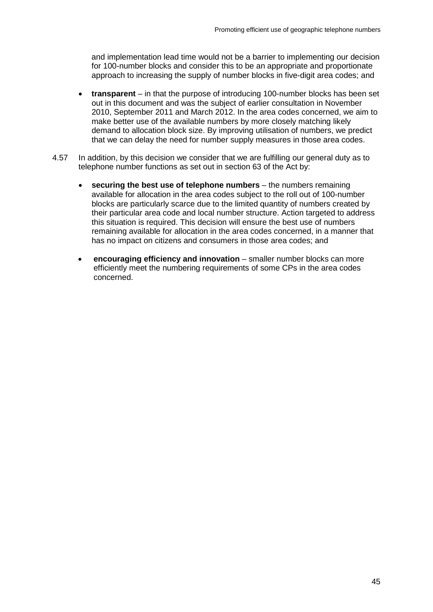and implementation lead time would not be a barrier to implementing our decision for 100-number blocks and consider this to be an appropriate and proportionate approach to increasing the supply of number blocks in five-digit area codes; and

- **transparent** in that the purpose of introducing 100-number blocks has been set out in this document and was the subject of earlier consultation in November 2010, September 2011 and March 2012. In the area codes concerned, we aim to make better use of the available numbers by more closely matching likely demand to allocation block size. By improving utilisation of numbers, we predict that we can delay the need for number supply measures in those area codes.
- 4.57 In addition, by this decision we consider that we are fulfilling our general duty as to telephone number functions as set out in section 63 of the Act by:
	- **securing the best use of telephone numbers** the numbers remaining available for allocation in the area codes subject to the roll out of 100-number blocks are particularly scarce due to the limited quantity of numbers created by their particular area code and local number structure. Action targeted to address this situation is required. This decision will ensure the best use of numbers remaining available for allocation in the area codes concerned, in a manner that has no impact on citizens and consumers in those area codes; and
	- **encouraging efficiency and innovation** smaller number blocks can more efficiently meet the numbering requirements of some CPs in the area codes concerned.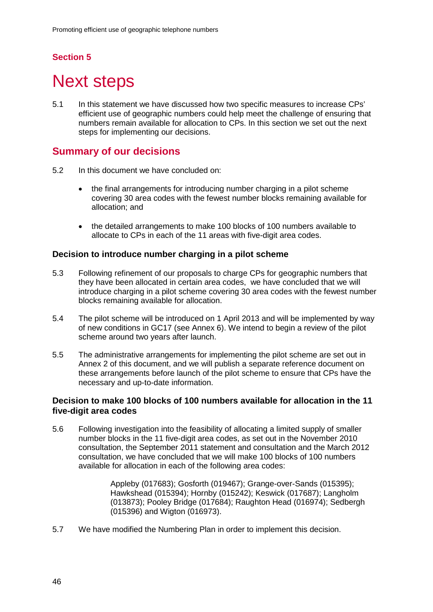# **Section 5**

# **Next steps**

5.1 In this statement we have discussed how two specific measures to increase CPs' efficient use of geographic numbers could help meet the challenge of ensuring that numbers remain available for allocation to CPs. In this section we set out the next steps for implementing our decisions.

# **Summary of our decisions**

- 5.2 In this document we have concluded on:
	- the final arrangements for introducing number charging in a pilot scheme covering 30 area codes with the fewest number blocks remaining available for allocation; and
	- the detailed arrangements to make 100 blocks of 100 numbers available to allocate to CPs in each of the 11 areas with five-digit area codes.

## **Decision to introduce number charging in a pilot scheme**

- 5.3 Following refinement of our proposals to charge CPs for geographic numbers that they have been allocated in certain area codes, we have concluded that we will introduce charging in a pilot scheme covering 30 area codes with the fewest number blocks remaining available for allocation.
- 5.4 The pilot scheme will be introduced on 1 April 2013 and will be implemented by way of new conditions in GC17 (see Annex 6). We intend to begin a review of the pilot scheme around two years after launch.
- 5.5 The administrative arrangements for implementing the pilot scheme are set out in Annex 2 of this document, and we will publish a separate reference document on these arrangements before launch of the pilot scheme to ensure that CPs have the necessary and up-to-date information.

## **Decision to make 100 blocks of 100 numbers available for allocation in the 11 five-digit area codes**

5.6 Following investigation into the feasibility of allocating a limited supply of smaller number blocks in the 11 five-digit area codes, as set out in the November 2010 consultation, the September 2011 statement and consultation and the March 2012 consultation, we have concluded that we will make 100 blocks of 100 numbers available for allocation in each of the following area codes:

> Appleby (017683); Gosforth (019467); Grange-over-Sands (015395); Hawkshead (015394); Hornby (015242); Keswick (017687); Langholm (013873); Pooley Bridge (017684); Raughton Head (016974); Sedbergh (015396) and Wigton (016973).

5.7 We have modified the Numbering Plan in order to implement this decision.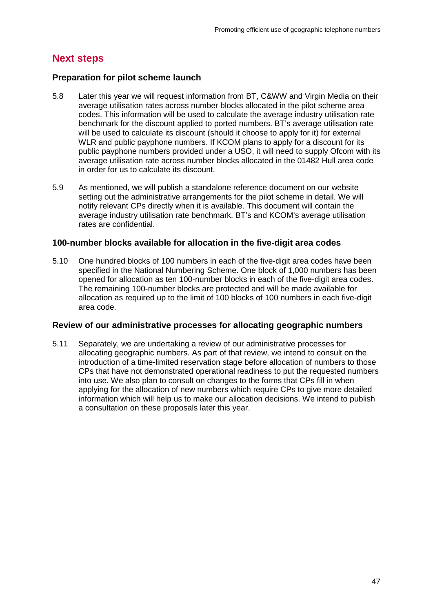# **Next steps**

### **Preparation for pilot scheme launch**

- 5.8 Later this year we will request information from BT, C&WW and Virgin Media on their average utilisation rates across number blocks allocated in the pilot scheme area codes. This information will be used to calculate the average industry utilisation rate benchmark for the discount applied to ported numbers. BT's average utilisation rate will be used to calculate its discount (should it choose to apply for it) for external WLR and public payphone numbers. If KCOM plans to apply for a discount for its public payphone numbers provided under a USO, it will need to supply Ofcom with its average utilisation rate across number blocks allocated in the 01482 Hull area code in order for us to calculate its discount.
- 5.9 As mentioned, we will publish a standalone reference document on our website setting out the administrative arrangements for the pilot scheme in detail. We will notify relevant CPs directly when it is available. This document will contain the average industry utilisation rate benchmark. BT's and KCOM's average utilisation rates are confidential.

#### **100-number blocks available for allocation in the five-digit area codes**

5.10 One hundred blocks of 100 numbers in each of the five-digit area codes have been specified in the National Numbering Scheme. One block of 1,000 numbers has been opened for allocation as ten 100-number blocks in each of the five-digit area codes. The remaining 100-number blocks are protected and will be made available for allocation as required up to the limit of 100 blocks of 100 numbers in each five-digit area code.

#### **Review of our administrative processes for allocating geographic numbers**

5.11 Separately, we are undertaking a review of our administrative processes for allocating geographic numbers. As part of that review, we intend to consult on the introduction of a time-limited reservation stage before allocation of numbers to those CPs that have not demonstrated operational readiness to put the requested numbers into use. We also plan to consult on changes to the forms that CPs fill in when applying for the allocation of new numbers which require CPs to give more detailed information which will help us to make our allocation decisions. We intend to publish a consultation on these proposals later this year.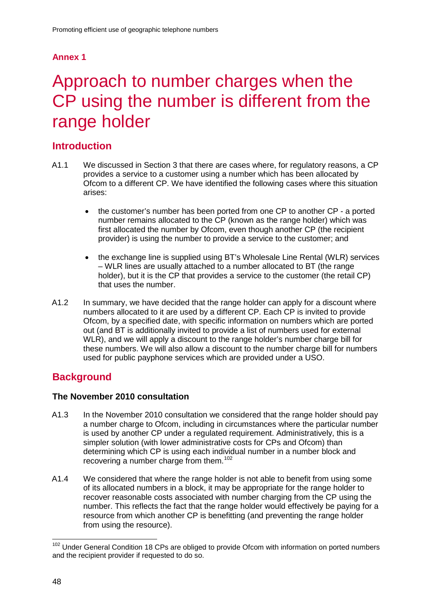# **Annex 1**

# Approach to number charges when the CP using the number is different from the range holder

# **Introduction**

- A1.1 We discussed in Section 3 that there are cases where, for regulatory reasons, a CP provides a service to a customer using a number which has been allocated by Ofcom to a different CP. We have identified the following cases where this situation arises:
	- the customer's number has been ported from one CP to another CP a ported number remains allocated to the CP (known as the range holder) which was first allocated the number by Ofcom, even though another CP (the recipient provider) is using the number to provide a service to the customer; and
	- the exchange line is supplied using BT's Wholesale Line Rental (WLR) services – WLR lines are usually attached to a number allocated to BT (the range holder), but it is the CP that provides a service to the customer (the retail CP) that uses the number.
- A1.2 In summary, we have decided that the range holder can apply for a discount where numbers allocated to it are used by a different CP. Each CP is invited to provide Ofcom, by a specified date, with specific information on numbers which are ported out (and BT is additionally invited to provide a list of numbers used for external WLR), and we will apply a discount to the range holder's number charge bill for these numbers. We will also allow a discount to the number charge bill for numbers used for public payphone services which are provided under a USO.

# **Background**

## **The November 2010 consultation**

- A1.3 In the November 2010 consultation we considered that the range holder should pay a number charge to Ofcom, including in circumstances where the particular number is used by another CP under a regulated requirement. Administratively, this is a simpler solution (with lower administrative costs for CPs and Ofcom) than determining which CP is using each individual number in a number block and recovering a number charge from them.<sup>[102](#page-50-0)</sup>
- A1.4 We considered that where the range holder is not able to benefit from using some of its allocated numbers in a block, it may be appropriate for the range holder to recover reasonable costs associated with number charging from the CP using the number. This reflects the fact that the range holder would effectively be paying for a resource from which another CP is benefitting (and preventing the range holder from using the resource).

<span id="page-50-0"></span><sup>&</sup>lt;sup>102</sup> Under General Condition 18 CPs are obliged to provide Ofcom with information on ported numbers and the recipient provider if requested to do so.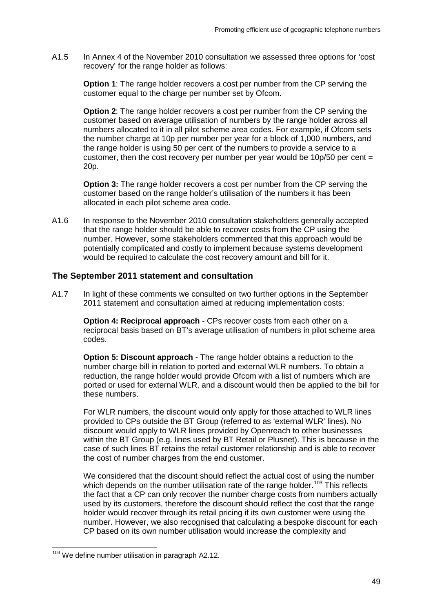A1.5 In Annex 4 of the November 2010 consultation we assessed three options for 'cost recovery' for the range holder as follows:

**Option 1:** The range holder recovers a cost per number from the CP serving the customer equal to the charge per number set by Ofcom.

**Option 2:** The range holder recovers a cost per number from the CP serving the customer based on average utilisation of numbers by the range holder across all numbers allocated to it in all pilot scheme area codes. For example, if Ofcom sets the number charge at 10p per number per year for a block of 1,000 numbers, and the range holder is using 50 per cent of the numbers to provide a service to a customer, then the cost recovery per number per year would be  $10p/50$  per cent = 20p.

**Option 3:** The range holder recovers a cost per number from the CP serving the customer based on the range holder's utilisation of the numbers it has been allocated in each pilot scheme area code.

A1.6 In response to the November 2010 consultation stakeholders generally accepted that the range holder should be able to recover costs from the CP using the number. However, some stakeholders commented that this approach would be potentially complicated and costly to implement because systems development would be required to calculate the cost recovery amount and bill for it.

#### **The September 2011 statement and consultation**

A1.7 In light of these comments we consulted on two further options in the September 2011 statement and consultation aimed at reducing implementation costs:

**Option 4: Reciprocal approach** - CPs recover costs from each other on a reciprocal basis based on BT's average utilisation of numbers in pilot scheme area codes.

**Option 5: Discount approach** - The range holder obtains a reduction to the number charge bill in relation to ported and external WLR numbers. To obtain a reduction, the range holder would provide Ofcom with a list of numbers which are ported or used for external WLR, and a discount would then be applied to the bill for these numbers.

For WLR numbers, the discount would only apply for those attached to WLR lines provided to CPs outside the BT Group (referred to as 'external WLR' lines). No discount would apply to WLR lines provided by Openreach to other businesses within the BT Group (e.g. lines used by BT Retail or Plusnet). This is because in the case of such lines BT retains the retail customer relationship and is able to recover the cost of number charges from the end customer.

We considered that the discount should reflect the actual cost of using the number which depends on the number utilisation rate of the range holder.<sup>[103](#page-51-0)</sup> This reflects the fact that a CP can only recover the number charge costs from numbers actually used by its customers, therefore the discount should reflect the cost that the range holder would recover through its retail pricing if its own customer were using the number. However, we also recognised that calculating a bespoke discount for each CP based on its own number utilisation would increase the complexity and

<span id="page-51-0"></span><sup>&</sup>lt;sup>103</sup> We define number utilisation in paragraph A2.12.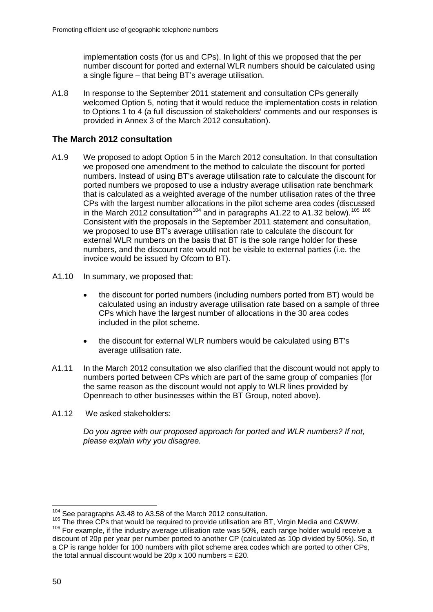implementation costs (for us and CPs). In light of this we proposed that the per number discount for ported and external WLR numbers should be calculated using a single figure – that being BT's average utilisation.

A1.8 In response to the September 2011 statement and consultation CPs generally welcomed Option 5, noting that it would reduce the implementation costs in relation to Options 1 to 4 (a full discussion of stakeholders' comments and our responses is provided in Annex 3 of the March 2012 consultation).

## **The March 2012 consultation**

- A1.9 We proposed to adopt Option 5 in the March 2012 consultation. In that consultation we proposed one amendment to the method to calculate the discount for ported numbers. Instead of using BT's average utilisation rate to calculate the discount for ported numbers we proposed to use a industry average utilisation rate benchmark that is calculated as a weighted average of the number utilisation rates of the three CPs with the largest number allocations in the pilot scheme area codes (discussed in the March 2012 consultation<sup>[104](#page-52-0)</sup> and in paragraphs A1.22 to A1.32 below).<sup>[105](#page-52-1) [106](#page-52-2)</sup> Consistent with the proposals in the September 2011 statement and consultation, we proposed to use BT's average utilisation rate to calculate the discount for external WLR numbers on the basis that BT is the sole range holder for these numbers, and the discount rate would not be visible to external parties (i.e. the invoice would be issued by Ofcom to BT).
- A1.10 In summary, we proposed that:
	- the discount for ported numbers (including numbers ported from BT) would be calculated using an industry average utilisation rate based on a sample of three CPs which have the largest number of allocations in the 30 area codes included in the pilot scheme.
	- the discount for external WLR numbers would be calculated using BT's average utilisation rate.
- A1.11 In the March 2012 consultation we also clarified that the discount would not apply to numbers ported between CPs which are part of the same group of companies (for the same reason as the discount would not apply to WLR lines provided by Openreach to other businesses within the BT Group, noted above).
- A1.12 We asked stakeholders:

*Do you agree with our proposed approach for ported and WLR numbers? If not, please explain why you disagree.*

<span id="page-52-2"></span><span id="page-52-1"></span><span id="page-52-0"></span> $104$  See paragraphs A3.48 to A3.58 of the March 2012 consultation.<br> $105$  The three CPs that would be required to provide utilisation are BT, Virgin Media and C&WW. <sup>106</sup> For example, if the industry average utilisation rate was 50%, each range holder would receive a discount of 20p per year per number ported to another CP (calculated as 10p divided by 50%). So, if a CP is range holder for 100 numbers with pilot scheme area codes which are ported to other CPs, the total annual discount would be 20p x 100 numbers =  $£20$ .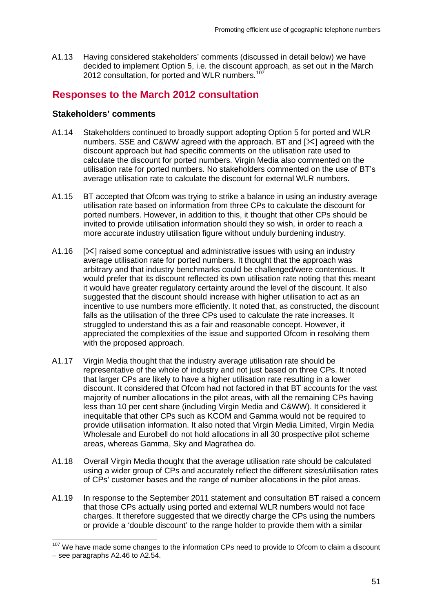A1.13 Having considered stakeholders' comments (discussed in detail below) we have decided to implement Option 5, i.e. the discount approach, as set out in the March 2012 consultation, for ported and WLR numbers.<sup>[107](#page-53-0)</sup>

# **Responses to the March 2012 consultation**

## **Stakeholders' comments**

- A1.14 Stakeholders continued to broadly support adopting Option 5 for ported and WLR numbers. SSE and C&WW agreed with the approach. BT and  $[\times]$  agreed with the discount approach but had specific comments on the utilisation rate used to calculate the discount for ported numbers. Virgin Media also commented on the utilisation rate for ported numbers. No stakeholders commented on the use of BT's average utilisation rate to calculate the discount for external WLR numbers.
- A1.15 BT accepted that Ofcom was trying to strike a balance in using an industry average utilisation rate based on information from three CPs to calculate the discount for ported numbers. However, in addition to this, it thought that other CPs should be invited to provide utilisation information should they so wish, in order to reach a more accurate industry utilisation figure without unduly burdening industry.
- A1.16  $[\times]$  raised some conceptual and administrative issues with using an industry average utilisation rate for ported numbers. It thought that the approach was arbitrary and that industry benchmarks could be challenged/were contentious. It would prefer that its discount reflected its own utilisation rate noting that this meant it would have greater regulatory certainty around the level of the discount. It also suggested that the discount should increase with higher utilisation to act as an incentive to use numbers more efficiently. It noted that, as constructed, the discount falls as the utilisation of the three CPs used to calculate the rate increases. It struggled to understand this as a fair and reasonable concept. However, it appreciated the complexities of the issue and supported Ofcom in resolving them with the proposed approach.
- A1.17 Virgin Media thought that the industry average utilisation rate should be representative of the whole of industry and not just based on three CPs. It noted that larger CPs are likely to have a higher utilisation rate resulting in a lower discount. It considered that Ofcom had not factored in that BT accounts for the vast majority of number allocations in the pilot areas, with all the remaining CPs having less than 10 per cent share (including Virgin Media and C&WW). It considered it inequitable that other CPs such as KCOM and Gamma would not be required to provide utilisation information. It also noted that Virgin Media Limited, Virgin Media Wholesale and Eurobell do not hold allocations in all 30 prospective pilot scheme areas, whereas Gamma, Sky and Magrathea do.
- A1.18 Overall Virgin Media thought that the average utilisation rate should be calculated using a wider group of CPs and accurately reflect the different sizes/utilisation rates of CPs' customer bases and the range of number allocations in the pilot areas.
- A1.19 In response to the September 2011 statement and consultation BT raised a concern that those CPs actually using ported and external WLR numbers would not face charges. It therefore suggested that we directly charge the CPs using the numbers or provide a 'double discount' to the range holder to provide them with a similar

<span id="page-53-0"></span><sup>&</sup>lt;sup>107</sup> We have made some changes to the information CPs need to provide to Ofcom to claim a discount – see paragraphs A2.46 to A2.54.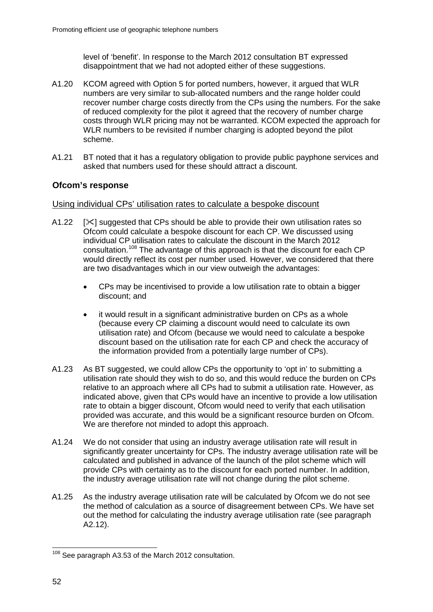level of 'benefit'. In response to the March 2012 consultation BT expressed disappointment that we had not adopted either of these suggestions.

- A1.20 KCOM agreed with Option 5 for ported numbers, however, it argued that WLR numbers are very similar to sub-allocated numbers and the range holder could recover number charge costs directly from the CPs using the numbers. For the sake of reduced complexity for the pilot it agreed that the recovery of number charge costs through WLR pricing may not be warranted. KCOM expected the approach for WLR numbers to be revisited if number charging is adopted beyond the pilot scheme.
- A1.21 BT noted that it has a regulatory obligation to provide public payphone services and asked that numbers used for these should attract a discount.

# **Ofcom's response**

#### Using individual CPs' utilisation rates to calculate a bespoke discount

- A1.22  $[\times]$  suggested that CPs should be able to provide their own utilisation rates so Ofcom could calculate a bespoke discount for each CP. We discussed using individual CP utilisation rates to calculate the discount in the March 2012 consultation.[108](#page-54-0) The advantage of this approach is that the discount for each CP would directly reflect its cost per number used. However, we considered that there are two disadvantages which in our view outweigh the advantages:
	- CPs may be incentivised to provide a low utilisation rate to obtain a bigger discount; and
	- it would result in a significant administrative burden on CPs as a whole (because every CP claiming a discount would need to calculate its own utilisation rate) and Ofcom (because we would need to calculate a bespoke discount based on the utilisation rate for each CP and check the accuracy of the information provided from a potentially large number of CPs).
- A1.23 As BT suggested, we could allow CPs the opportunity to 'opt in' to submitting a utilisation rate should they wish to do so, and this would reduce the burden on CPs relative to an approach where all CPs had to submit a utilisation rate. However, as indicated above, given that CPs would have an incentive to provide a low utilisation rate to obtain a bigger discount, Ofcom would need to verify that each utilisation provided was accurate, and this would be a significant resource burden on Ofcom. We are therefore not minded to adopt this approach.
- A1.24 We do not consider that using an industry average utilisation rate will result in significantly greater uncertainty for CPs. The industry average utilisation rate will be calculated and published in advance of the launch of the pilot scheme which will provide CPs with certainty as to the discount for each ported number. In addition, the industry average utilisation rate will not change during the pilot scheme.
- A1.25 As the industry average utilisation rate will be calculated by Ofcom we do not see the method of calculation as a source of disagreement between CPs. We have set out the method for calculating the industry average utilisation rate (see paragraph A2.12).

<span id="page-54-0"></span><sup>&</sup>lt;sup>108</sup> See paragraph A3.53 of the March 2012 consultation.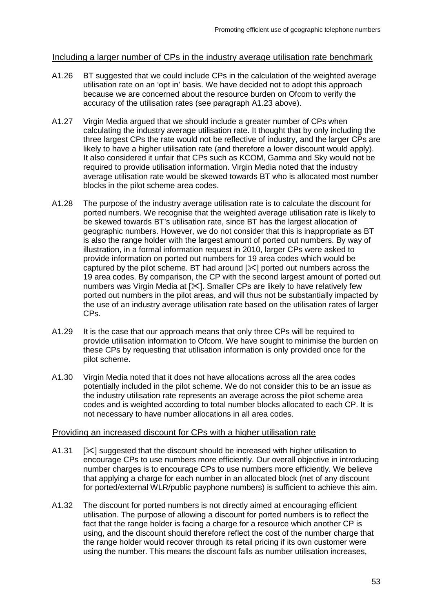## Including a larger number of CPs in the industry average utilisation rate benchmark

- A1.26 BT suggested that we could include CPs in the calculation of the weighted average utilisation rate on an 'opt in' basis. We have decided not to adopt this approach because we are concerned about the resource burden on Ofcom to verify the accuracy of the utilisation rates (see paragraph A1.23 above).
- A1.27 Virgin Media argued that we should include a greater number of CPs when calculating the industry average utilisation rate. It thought that by only including the three largest CPs the rate would not be reflective of industry, and the larger CPs are likely to have a higher utilisation rate (and therefore a lower discount would apply). It also considered it unfair that CPs such as KCOM, Gamma and Sky would not be required to provide utilisation information. Virgin Media noted that the industry average utilisation rate would be skewed towards BT who is allocated most number blocks in the pilot scheme area codes.
- A1.28 The purpose of the industry average utilisation rate is to calculate the discount for ported numbers. We recognise that the weighted average utilisation rate is likely to be skewed towards BT's utilisation rate, since BT has the largest allocation of geographic numbers. However, we do not consider that this is inappropriate as BT is also the range holder with the largest amount of ported out numbers. By way of illustration, in a formal information request in 2010, larger CPs were asked to provide information on ported out numbers for 19 area codes which would be captured by the pilot scheme. BT had around  $[\times]$  ported out numbers across the 19 area codes. By comparison, the CP with the second largest amount of ported out numbers was Virgin Media at [ $\angle$ ]. Smaller CPs are likely to have relatively few ported out numbers in the pilot areas, and will thus not be substantially impacted by the use of an industry average utilisation rate based on the utilisation rates of larger CPs.
- A1.29 It is the case that our approach means that only three CPs will be required to provide utilisation information to Ofcom. We have sought to minimise the burden on these CPs by requesting that utilisation information is only provided once for the pilot scheme.
- A1.30 Virgin Media noted that it does not have allocations across all the area codes potentially included in the pilot scheme. We do not consider this to be an issue as the industry utilisation rate represents an average across the pilot scheme area codes and is weighted according to total number blocks allocated to each CP. It is not necessary to have number allocations in all area codes.

#### Providing an increased discount for CPs with a higher utilisation rate

- A1.31 [ $\angle$ ] suggested that the discount should be increased with higher utilisation to encourage CPs to use numbers more efficiently. Our overall objective in introducing number charges is to encourage CPs to use numbers more efficiently. We believe that applying a charge for each number in an allocated block (net of any discount for ported/external WLR/public payphone numbers) is sufficient to achieve this aim.
- A1.32 The discount for ported numbers is not directly aimed at encouraging efficient utilisation. The purpose of allowing a discount for ported numbers is to reflect the fact that the range holder is facing a charge for a resource which another CP is using, and the discount should therefore reflect the cost of the number charge that the range holder would recover through its retail pricing if its own customer were using the number. This means the discount falls as number utilisation increases,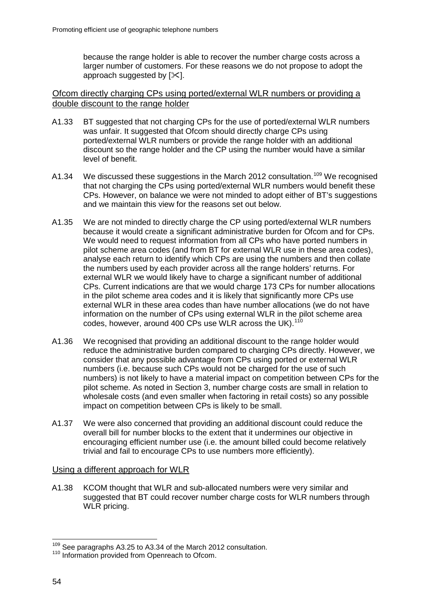because the range holder is able to recover the number charge costs across a larger number of customers. For these reasons we do not propose to adopt the approach suggested by  $[\times]$ .

### Ofcom directly charging CPs using ported/external WLR numbers or providing a double discount to the range holder

- A1.33 BT suggested that not charging CPs for the use of ported/external WLR numbers was unfair. It suggested that Ofcom should directly charge CPs using ported/external WLR numbers or provide the range holder with an additional discount so the range holder and the CP using the number would have a similar level of benefit.
- A1.34 We discussed these suggestions in the March 2012 consultation.<sup>[109](#page-56-0)</sup> We recognised that not charging the CPs using ported/external WLR numbers would benefit these CPs. However, on balance we were not minded to adopt either of BT's suggestions and we maintain this view for the reasons set out below.
- A1.35 We are not minded to directly charge the CP using ported/external WLR numbers because it would create a significant administrative burden for Ofcom and for CPs. We would need to request information from all CPs who have ported numbers in pilot scheme area codes (and from BT for external WLR use in these area codes), analyse each return to identify which CPs are using the numbers and then collate the numbers used by each provider across all the range holders' returns. For external WLR we would likely have to charge a significant number of additional CPs. Current indications are that we would charge 173 CPs for number allocations in the pilot scheme area codes and it is likely that significantly more CPs use external WLR in these area codes than have number allocations (we do not have information on the number of CPs using external WLR in the pilot scheme area codes, however, around 400 CPs use WLR across the UK).<sup>[110](#page-56-1)</sup>
- A1.36 We recognised that providing an additional discount to the range holder would reduce the administrative burden compared to charging CPs directly. However, we consider that any possible advantage from CPs using ported or external WLR numbers (i.e. because such CPs would not be charged for the use of such numbers) is not likely to have a material impact on competition between CPs for the pilot scheme. As noted in Section 3, number charge costs are small in relation to wholesale costs (and even smaller when factoring in retail costs) so any possible impact on competition between CPs is likely to be small.
- A1.37 We were also concerned that providing an additional discount could reduce the overall bill for number blocks to the extent that it undermines our objective in encouraging efficient number use (i.e. the amount billed could become relatively trivial and fail to encourage CPs to use numbers more efficiently).

#### Using a different approach for WLR

A1.38 KCOM thought that WLR and sub-allocated numbers were very similar and suggested that BT could recover number charge costs for WLR numbers through WLR pricing.

<span id="page-56-1"></span><span id="page-56-0"></span> $109$  See paragraphs A3.25 to A3.34 of the March 2012 consultation.<br> $110$  Information provided from Openreach to Ofcom.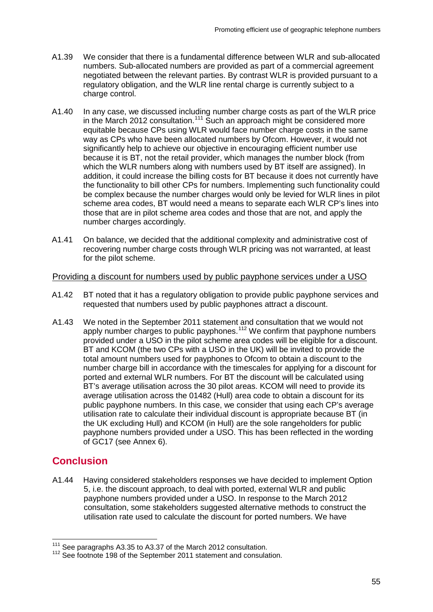- A1.39 We consider that there is a fundamental difference between WLR and sub-allocated numbers. Sub-allocated numbers are provided as part of a commercial agreement negotiated between the relevant parties. By contrast WLR is provided pursuant to a regulatory obligation, and the WLR line rental charge is currently subject to a charge control.
- A1.40 In any case, we discussed including number charge costs as part of the WLR price in the March 2012 consultation.<sup>[111](#page-57-0)</sup> Such an approach might be considered more equitable because CPs using WLR would face number charge costs in the same way as CPs who have been allocated numbers by Ofcom. However, it would not significantly help to achieve our objective in encouraging efficient number use because it is BT, not the retail provider, which manages the number block (from which the WLR numbers along with numbers used by BT itself are assigned). In addition, it could increase the billing costs for BT because it does not currently have the functionality to bill other CPs for numbers. Implementing such functionality could be complex because the number charges would only be levied for WLR lines in pilot scheme area codes, BT would need a means to separate each WLR CP's lines into those that are in pilot scheme area codes and those that are not, and apply the number charges accordingly.
- A1.41 On balance, we decided that the additional complexity and administrative cost of recovering number charge costs through WLR pricing was not warranted, at least for the pilot scheme.

# Providing a discount for numbers used by public payphone services under a USO

- A1.42 BT noted that it has a regulatory obligation to provide public payphone services and requested that numbers used by public payphones attract a discount.
- A1.43 We noted in the September 2011 statement and consultation that we would not apply number charges to public payphones.<sup>[112](#page-57-1)</sup> We confirm that payphone numbers provided under a USO in the pilot scheme area codes will be eligible for a discount. BT and KCOM (the two CPs with a USO in the UK) will be invited to provide the total amount numbers used for payphones to Ofcom to obtain a discount to the number charge bill in accordance with the timescales for applying for a discount for ported and external WLR numbers. For BT the discount will be calculated using BT's average utilisation across the 30 pilot areas. KCOM will need to provide its average utilisation across the 01482 (Hull) area code to obtain a discount for its public payphone numbers. In this case, we consider that using each CP's average utilisation rate to calculate their individual discount is appropriate because BT (in the UK excluding Hull) and KCOM (in Hull) are the sole rangeholders for public payphone numbers provided under a USO. This has been reflected in the wording of GC17 (see Annex 6).

# **Conclusion**

A1.44 Having considered stakeholders responses we have decided to implement Option 5, i.e. the discount approach, to deal with ported, external WLR and public payphone numbers provided under a USO. In response to the March 2012 consultation, some stakeholders suggested alternative methods to construct the utilisation rate used to calculate the discount for ported numbers. We have

<span id="page-57-0"></span> <sup>111</sup> See paragraphs A3.35 to A3.37 of the March 2012 consultation.

<span id="page-57-1"></span><sup>&</sup>lt;sup>112</sup> See footnote 198 of the September 2011 statement and consulation.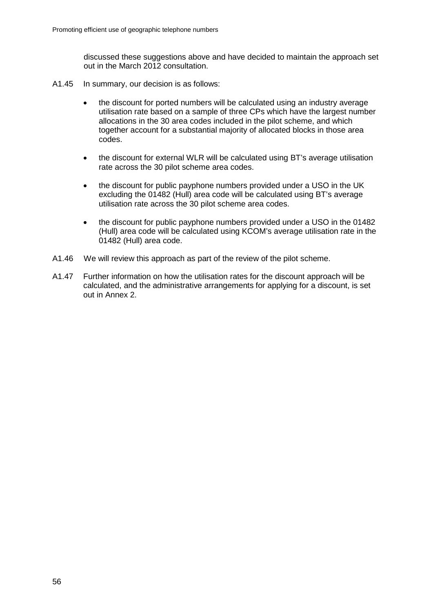discussed these suggestions above and have decided to maintain the approach set out in the March 2012 consultation.

- A1.45 In summary, our decision is as follows:
	- the discount for ported numbers will be calculated using an industry average utilisation rate based on a sample of three CPs which have the largest number allocations in the 30 area codes included in the pilot scheme, and which together account for a substantial majority of allocated blocks in those area codes.
	- the discount for external WLR will be calculated using BT's average utilisation rate across the 30 pilot scheme area codes.
	- the discount for public payphone numbers provided under a USO in the UK excluding the 01482 (Hull) area code will be calculated using BT's average utilisation rate across the 30 pilot scheme area codes.
	- the discount for public payphone numbers provided under a USO in the 01482 (Hull) area code will be calculated using KCOM's average utilisation rate in the 01482 (Hull) area code.
- A1.46 We will review this approach as part of the review of the pilot scheme.
- A1.47 Further information on how the utilisation rates for the discount approach will be calculated, and the administrative arrangements for applying for a discount, is set out in Annex 2.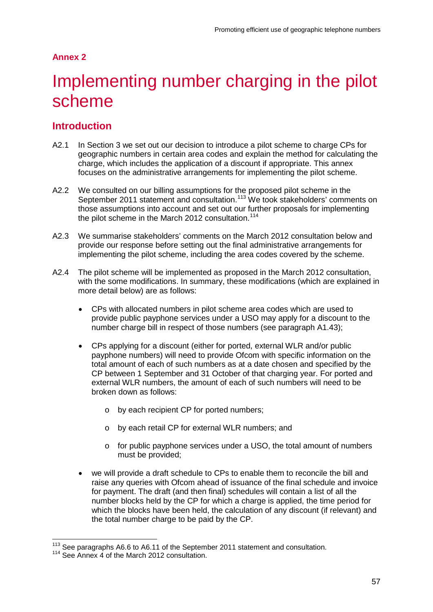# **Annex 2**

# Implementing number charging in the pilot scheme

# **Introduction**

- A2.1 In Section 3 we set out our decision to introduce a pilot scheme to charge CPs for geographic numbers in certain area codes and explain the method for calculating the charge, which includes the application of a discount if appropriate. This annex focuses on the administrative arrangements for implementing the pilot scheme.
- A2.2 We consulted on our billing assumptions for the proposed pilot scheme in the September 2011 statement and consultation.<sup>[113](#page-59-0)</sup> We took stakeholders' comments on those assumptions into account and set out our further proposals for implementing the pilot scheme in the March 2012 consultation.<sup>[114](#page-59-1)</sup>
- A2.3 We summarise stakeholders' comments on the March 2012 consultation below and provide our response before setting out the final administrative arrangements for implementing the pilot scheme, including the area codes covered by the scheme.
- A2.4 The pilot scheme will be implemented as proposed in the March 2012 consultation, with the some modifications. In summary, these modifications (which are explained in more detail below) are as follows:
	- CPs with allocated numbers in pilot scheme area codes which are used to provide public payphone services under a USO may apply for a discount to the number charge bill in respect of those numbers (see paragraph A1.43);
	- CPs applying for a discount (either for ported, external WLR and/or public payphone numbers) will need to provide Ofcom with specific information on the total amount of each of such numbers as at a date chosen and specified by the CP between 1 September and 31 October of that charging year. For ported and external WLR numbers, the amount of each of such numbers will need to be broken down as follows:
		- o by each recipient CP for ported numbers;
		- o by each retail CP for external WLR numbers; and
		- o for public payphone services under a USO, the total amount of numbers must be provided;
	- we will provide a draft schedule to CPs to enable them to reconcile the bill and raise any queries with Ofcom ahead of issuance of the final schedule and invoice for payment. The draft (and then final) schedules will contain a list of all the number blocks held by the CP for which a charge is applied, the time period for which the blocks have been held, the calculation of any discount (if relevant) and the total number charge to be paid by the CP.

<span id="page-59-1"></span><span id="page-59-0"></span> $113$  See paragraphs A6.6 to A6.11 of the September 2011 statement and consultation.<br> $114$  See Annex 4 of the March 2012 consultation.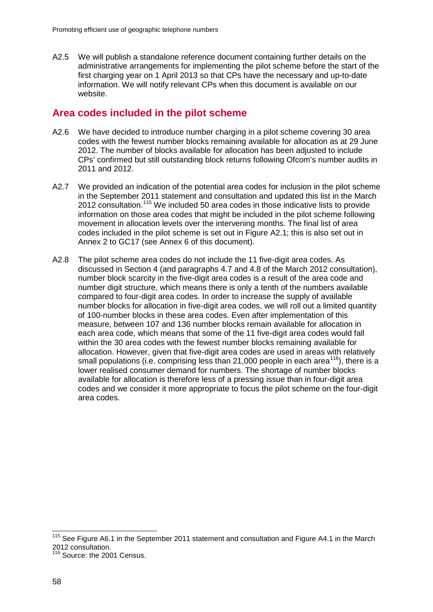A2.5 We will publish a standalone reference document containing further details on the administrative arrangements for implementing the pilot scheme before the start of the first charging year on 1 April 2013 so that CPs have the necessary and up-to-date information. We will notify relevant CPs when this document is available on our website.

# **Area codes included in the pilot scheme**

- A2.6 We have decided to introduce number charging in a pilot scheme covering 30 area codes with the fewest number blocks remaining available for allocation as at 29 June 2012. The number of blocks available for allocation has been adjusted to include CPs' confirmed but still outstanding block returns following Ofcom's number audits in 2011 and 2012.
- A2.7 We provided an indication of the potential area codes for inclusion in the pilot scheme in the September 2011 statement and consultation and updated this list in the March 2012 consultation.<sup>[115](#page-60-0)</sup> We included 50 area codes in those indicative lists to provide information on those area codes that might be included in the pilot scheme following movement in allocation levels over the intervening months. The final list of area codes included in the pilot scheme is set out in Figure A2.1; this is also set out in Annex 2 to GC17 (see Annex 6 of this document).
- A2.8 The pilot scheme area codes do not include the 11 five-digit area codes. As discussed in Section 4 (and paragraphs 4.7 and 4.8 of the March 2012 consultation), number block scarcity in the five-digit area codes is a result of the area code and number digit structure, which means there is only a tenth of the numbers available compared to four-digit area codes. In order to increase the supply of available number blocks for allocation in five-digit area codes, we will roll out a limited quantity of 100-number blocks in these area codes. Even after implementation of this measure, between 107 and 136 number blocks remain available for allocation in each area code, which means that some of the 11 five-digit area codes would fall within the 30 area codes with the fewest number blocks remaining available for allocation. However, given that five-digit area codes are used in areas with relatively small populations (i.e. comprising less than 21,000 people in each area<sup>116</sup>), there is a lower realised consumer demand for numbers. The shortage of number blocks available for allocation is therefore less of a pressing issue than in four-digit area codes and we consider it more appropriate to focus the pilot scheme on the four-digit area codes.

<span id="page-60-0"></span><sup>&</sup>lt;sup>115</sup> See Figure A6.1 in the September 2011 statement and consultation and Figure A4.1 in the March 2012 consultation.

<span id="page-60-1"></span><sup>&</sup>lt;sup>116</sup> Source: the 2001 Census.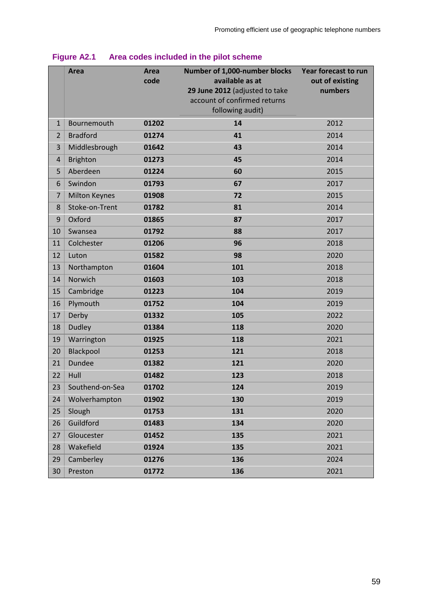|                | Area                                   | Area<br>code | Number of 1,000-number blocks<br>available as at<br>29 June 2012 (adjusted to take<br>account of confirmed returns<br>following audit) | Year forecast to run<br>out of existing<br>numbers |
|----------------|----------------------------------------|--------------|----------------------------------------------------------------------------------------------------------------------------------------|----------------------------------------------------|
| $\mathbf{1}$   | Bournemouth                            | 01202        | 14                                                                                                                                     | 2012                                               |
| $\overline{2}$ | <b>Bradford</b>                        | 01274        | 41                                                                                                                                     | 2014                                               |
| 3              | Middlesbrough                          | 01642        | 43                                                                                                                                     | 2014                                               |
| $\overline{4}$ | <b>Brighton</b>                        | 01273        | 45                                                                                                                                     | 2014                                               |
| 5              | Aberdeen                               | 01224        | 60                                                                                                                                     | 2015                                               |
| 6              | Swindon                                | 01793        | 67                                                                                                                                     | 2017                                               |
| $\overline{7}$ |                                        |              |                                                                                                                                        |                                                    |
|                | <b>Milton Keynes</b><br>Stoke-on-Trent | 01908        | 72                                                                                                                                     | 2015                                               |
| 8              |                                        | 01782        | 81                                                                                                                                     | 2014                                               |
| 9              | Oxford                                 | 01865        | 87                                                                                                                                     | 2017                                               |
| 10             | Swansea                                | 01792        | 88                                                                                                                                     | 2017                                               |
| 11             | Colchester                             | 01206        | 96                                                                                                                                     | 2018                                               |
| 12             | Luton                                  | 01582        | 98                                                                                                                                     | 2020                                               |
| 13             | Northampton                            | 01604        | 101                                                                                                                                    | 2018                                               |
| 14             | Norwich                                | 01603        | 103                                                                                                                                    | 2018                                               |
| 15             | Cambridge                              | 01223        | 104                                                                                                                                    | 2019                                               |
| 16             | Plymouth                               | 01752        | 104                                                                                                                                    | 2019                                               |
| 17             | Derby                                  | 01332        | 105                                                                                                                                    | 2022                                               |
| 18             | <b>Dudley</b>                          | 01384        | 118                                                                                                                                    | 2020                                               |
| 19             | Warrington                             | 01925        | 118                                                                                                                                    | 2021                                               |
| 20             | Blackpool                              | 01253        | 121                                                                                                                                    | 2018                                               |
| 21             | <b>Dundee</b>                          | 01382        | 121                                                                                                                                    | 2020                                               |
| 22             | Hull                                   | 01482        | 123                                                                                                                                    | 2018                                               |
| 23             | Southend-on-Sea                        | 01702        | 124                                                                                                                                    | 2019                                               |
| 24             | Wolverhampton                          | 01902        | 130                                                                                                                                    | 2019                                               |
| 25             | Slough                                 | 01753        | 131                                                                                                                                    | 2020                                               |
| 26             | Guildford                              | 01483        | 134                                                                                                                                    | 2020                                               |
| 27             | Gloucester                             | 01452        | 135                                                                                                                                    | 2021                                               |
| 28             | Wakefield                              | 01924        | 135                                                                                                                                    | 2021                                               |
| 29             | Camberley                              | 01276        | 136                                                                                                                                    | 2024                                               |
| 30             | Preston                                | 01772        | 136                                                                                                                                    | 2021                                               |

# **Figure A2.1 Area codes included in the pilot scheme**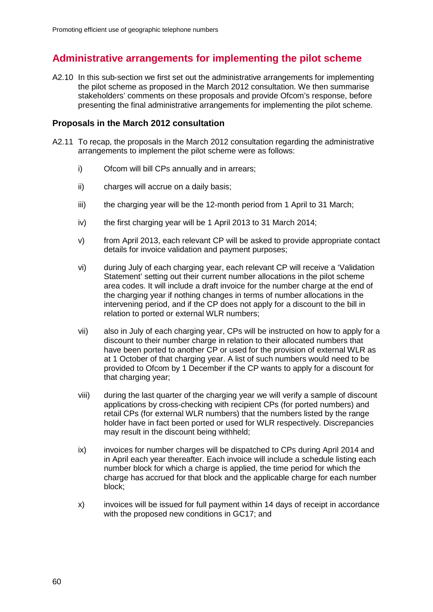# **Administrative arrangements for implementing the pilot scheme**

A2.10 In this sub-section we first set out the administrative arrangements for implementing the pilot scheme as proposed in the March 2012 consultation. We then summarise stakeholders' comments on these proposals and provide Ofcom's response, before presenting the final administrative arrangements for implementing the pilot scheme.

# **Proposals in the March 2012 consultation**

- A2.11 To recap, the proposals in the March 2012 consultation regarding the administrative arrangements to implement the pilot scheme were as follows:
	- i) Ofcom will bill CPs annually and in arrears;
	- ii) charges will accrue on a daily basis;
	- iii) the charging year will be the 12-month period from 1 April to 31 March;
	- iv) the first charging year will be 1 April 2013 to 31 March 2014;
	- v) from April 2013, each relevant CP will be asked to provide appropriate contact details for invoice validation and payment purposes;
	- vi) during July of each charging year, each relevant CP will receive a 'Validation Statement' setting out their current number allocations in the pilot scheme area codes. It will include a draft invoice for the number charge at the end of the charging year if nothing changes in terms of number allocations in the intervening period, and if the CP does not apply for a discount to the bill in relation to ported or external WLR numbers;
	- vii) also in July of each charging year, CPs will be instructed on how to apply for a discount to their number charge in relation to their allocated numbers that have been ported to another CP or used for the provision of external WLR as at 1 October of that charging year. A list of such numbers would need to be provided to Ofcom by 1 December if the CP wants to apply for a discount for that charging year;
	- viii) during the last quarter of the charging year we will verify a sample of discount applications by cross-checking with recipient CPs (for ported numbers) and retail CPs (for external WLR numbers) that the numbers listed by the range holder have in fact been ported or used for WLR respectively. Discrepancies may result in the discount being withheld;
	- ix) invoices for number charges will be dispatched to CPs during April 2014 and in April each year thereafter. Each invoice will include a schedule listing each number block for which a charge is applied, the time period for which the charge has accrued for that block and the applicable charge for each number block;
	- x) invoices will be issued for full payment within 14 days of receipt in accordance with the proposed new conditions in GC17; and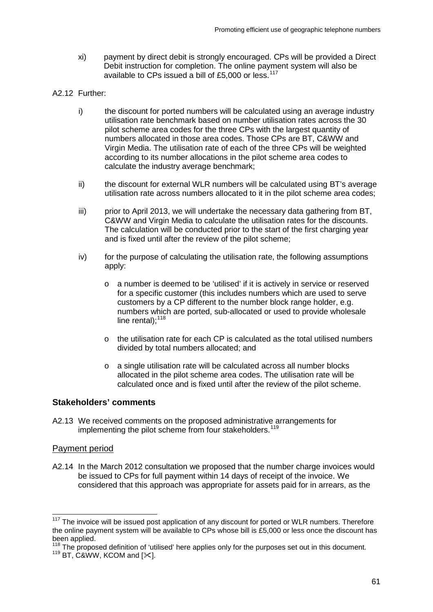- xi) payment by direct debit is strongly encouraged. CPs will be provided a Direct Debit instruction for completion. The online payment system will also be available to CPs issued a bill of £5,000 or less.<sup>[117](#page-63-0)</sup>
- A2.12 Further:
	- i) the discount for ported numbers will be calculated using an average industry utilisation rate benchmark based on number utilisation rates across the 30 pilot scheme area codes for the three CPs with the largest quantity of numbers allocated in those area codes. Those CPs are BT, C&WW and Virgin Media. The utilisation rate of each of the three CPs will be weighted according to its number allocations in the pilot scheme area codes to calculate the industry average benchmark;
	- ii) the discount for external WLR numbers will be calculated using BT's average utilisation rate across numbers allocated to it in the pilot scheme area codes;
	- iii) prior to April 2013, we will undertake the necessary data gathering from BT, C&WW and Virgin Media to calculate the utilisation rates for the discounts. The calculation will be conducted prior to the start of the first charging year and is fixed until after the review of the pilot scheme;
	- $iv)$  for the purpose of calculating the utilisation rate, the following assumptions apply:
		- o a number is deemed to be 'utilised' if it is actively in service or reserved for a specific customer (this includes numbers which are used to serve customers by a CP different to the number block range holder, e.g. numbers which are ported, sub-allocated or used to provide wholesale line rental); $118$
		- o the utilisation rate for each CP is calculated as the total utilised numbers divided by total numbers allocated; and
		- o a single utilisation rate will be calculated across all number blocks allocated in the pilot scheme area codes. The utilisation rate will be calculated once and is fixed until after the review of the pilot scheme.

## **Stakeholders' comments**

A2.13 We received comments on the proposed administrative arrangements for implementing the pilot scheme from four stakeholders.<sup>[119](#page-63-2)</sup>

## Payment period

A2.14 In the March 2012 consultation we proposed that the number charge invoices would be issued to CPs for full payment within 14 days of receipt of the invoice. We considered that this approach was appropriate for assets paid for in arrears, as the

<span id="page-63-0"></span>The invoice will be issued post application of any discount for ported or WLR numbers. Therefore the online payment system will be available to CPs whose bill is £5,000 or less once the discount has been applied.

<span id="page-63-2"></span><span id="page-63-1"></span><sup>&</sup>lt;sup>118</sup> The proposed definition of 'utilised' here applies only for the purposes set out in this document.<br><sup>119</sup> BT, C&WW, KCOM and [ $\ll$ ].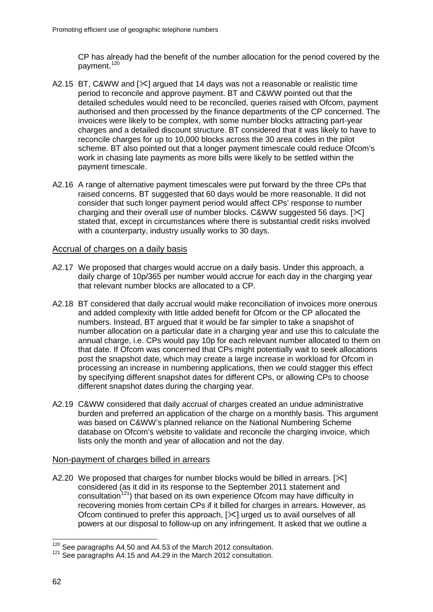CP has already had the benefit of the number allocation for the period covered by the payment.<sup>[120](#page-64-0)</sup>

- A2.15 BT, C&WW and  $\ll$  argued that 14 days was not a reasonable or realistic time period to reconcile and approve payment. BT and C&WW pointed out that the detailed schedules would need to be reconciled, queries raised with Ofcom, payment authorised and then processed by the finance departments of the CP concerned. The invoices were likely to be complex, with some number blocks attracting part-year charges and a detailed discount structure. BT considered that it was likely to have to reconcile charges for up to 10,000 blocks across the 30 area codes in the pilot scheme. BT also pointed out that a longer payment timescale could reduce Ofcom's work in chasing late payments as more bills were likely to be settled within the payment timescale.
- A2.16 A range of alternative payment timescales were put forward by the three CPs that raised concerns. BT suggested that 60 days would be more reasonable. It did not consider that such longer payment period would affect CPs' response to number charging and their overall use of number blocks. C&WW suggested 56 days.  $[35]$ stated that, except in circumstances where there is substantial credit risks involved with a counterparty, industry usually works to 30 days.

#### Accrual of charges on a daily basis

- A2.17 We proposed that charges would accrue on a daily basis. Under this approach, a daily charge of 10p/365 per number would accrue for each day in the charging year that relevant number blocks are allocated to a CP.
- A2.18 BT considered that daily accrual would make reconciliation of invoices more onerous and added complexity with little added benefit for Ofcom or the CP allocated the numbers. Instead, BT argued that it would be far simpler to take a snapshot of number allocation on a particular date in a charging year and use this to calculate the annual charge, i.e. CPs would pay 10p for each relevant number allocated to them on that date. If Ofcom was concerned that CPs might potentially wait to seek allocations post the snapshot date, which may create a large increase in workload for Ofcom in processing an increase in numbering applications, then we could stagger this effect by specifying different snapshot dates for different CPs, or allowing CPs to choose different snapshot dates during the charging year.
- A2.19 C&WW considered that daily accrual of charges created an undue administrative burden and preferred an application of the charge on a monthly basis. This argument was based on C&WW's planned reliance on the National Numbering Scheme database on Ofcom's website to validate and reconcile the charging invoice, which lists only the month and year of allocation and not the day.

#### Non-payment of charges billed in arrears

A2.20 We proposed that charges for number blocks would be billed in arrears.  $[\times]$ considered (as it did in its response to the September 2011 statement and consultation<sup>[121](#page-64-1)</sup>) that based on its own experience Ofcom may have difficulty in recovering monies from certain CPs if it billed for charges in arrears. However, as Ofcom continued to prefer this approach,  $[\times]$  urged us to avail ourselves of all powers at our disposal to follow-up on any infringement. It asked that we outline a

<span id="page-64-1"></span><span id="page-64-0"></span><sup>&</sup>lt;sup>120</sup> See paragraphs A4.50 and A4.53 of the March 2012 consultation.<br><sup>121</sup> See paragraphs A4.15 and A4.29 in the March 2012 consultation.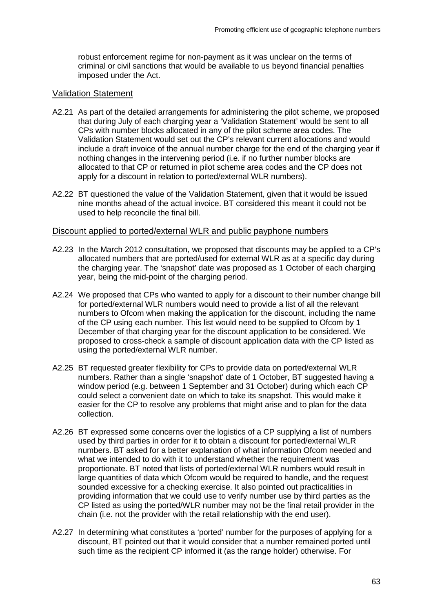robust enforcement regime for non-payment as it was unclear on the terms of criminal or civil sanctions that would be available to us beyond financial penalties imposed under the Act.

#### Validation Statement

- A2.21 As part of the detailed arrangements for administering the pilot scheme, we proposed that during July of each charging year a 'Validation Statement' would be sent to all CPs with number blocks allocated in any of the pilot scheme area codes. The Validation Statement would set out the CP's relevant current allocations and would include a draft invoice of the annual number charge for the end of the charging year if nothing changes in the intervening period (i.e. if no further number blocks are allocated to that CP or returned in pilot scheme area codes and the CP does not apply for a discount in relation to ported/external WLR numbers).
- A2.22 BT questioned the value of the Validation Statement, given that it would be issued nine months ahead of the actual invoice. BT considered this meant it could not be used to help reconcile the final bill.

#### Discount applied to ported/external WLR and public payphone numbers

- A2.23 In the March 2012 consultation, we proposed that discounts may be applied to a CP's allocated numbers that are ported/used for external WLR as at a specific day during the charging year. The 'snapshot' date was proposed as 1 October of each charging year, being the mid-point of the charging period.
- A2.24 We proposed that CPs who wanted to apply for a discount to their number change bill for ported/external WLR numbers would need to provide a list of all the relevant numbers to Ofcom when making the application for the discount, including the name of the CP using each number. This list would need to be supplied to Ofcom by 1 December of that charging year for the discount application to be considered. We proposed to cross-check a sample of discount application data with the CP listed as using the ported/external WLR number.
- A2.25 BT requested greater flexibility for CPs to provide data on ported/external WLR numbers. Rather than a single 'snapshot' date of 1 October, BT suggested having a window period (e.g. between 1 September and 31 October) during which each CP could select a convenient date on which to take its snapshot. This would make it easier for the CP to resolve any problems that might arise and to plan for the data collection.
- A2.26 BT expressed some concerns over the logistics of a CP supplying a list of numbers used by third parties in order for it to obtain a discount for ported/external WLR numbers. BT asked for a better explanation of what information Ofcom needed and what we intended to do with it to understand whether the requirement was proportionate. BT noted that lists of ported/external WLR numbers would result in large quantities of data which Ofcom would be required to handle, and the request sounded excessive for a checking exercise. It also pointed out practicalities in providing information that we could use to verify number use by third parties as the CP listed as using the ported/WLR number may not be the final retail provider in the chain (i.e. not the provider with the retail relationship with the end user).
- A2.27 In determining what constitutes a 'ported' number for the purposes of applying for a discount, BT pointed out that it would consider that a number remained ported until such time as the recipient CP informed it (as the range holder) otherwise. For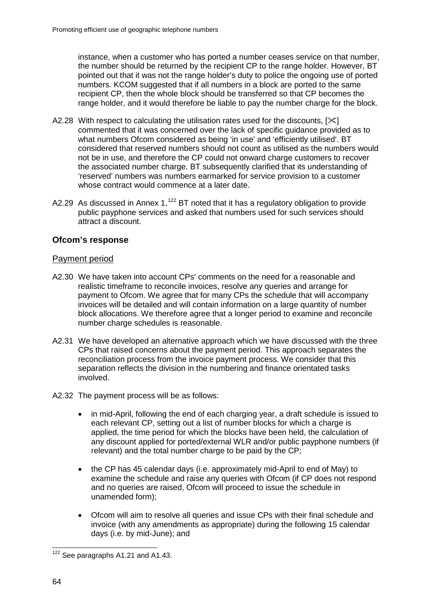instance, when a customer who has ported a number ceases service on that number, the number should be returned by the recipient CP to the range holder. However, BT pointed out that it was not the range holder's duty to police the ongoing use of ported numbers. KCOM suggested that if all numbers in a block are ported to the same recipient CP, then the whole block should be transferred so that CP becomes the range holder, and it would therefore be liable to pay the number charge for the block.

- A2.28 With respect to calculating the utilisation rates used for the discounts,  $[\times]$ commented that it was concerned over the lack of specific guidance provided as to what numbers Ofcom considered as being 'in use' and 'efficiently utilised'. BT considered that reserved numbers should not count as utilised as the numbers would not be in use, and therefore the CP could not onward charge customers to recover the associated number charge. BT subsequently clarified that its understanding of 'reserved' numbers was numbers earmarked for service provision to a customer whose contract would commence at a later date.
- A2.29 As discussed in Annex 1,<sup>[122](#page-66-0)</sup> BT noted that it has a regulatory obligation to provide public payphone services and asked that numbers used for such services should attract a discount.

# **Ofcom's response**

## Payment period

- A2.30 We have taken into account CPs' comments on the need for a reasonable and realistic timeframe to reconcile invoices, resolve any queries and arrange for payment to Ofcom. We agree that for many CPs the schedule that will accompany invoices will be detailed and will contain information on a large quantity of number block allocations. We therefore agree that a longer period to examine and reconcile number charge schedules is reasonable.
- A2.31 We have developed an alternative approach which we have discussed with the three CPs that raised concerns about the payment period. This approach separates the reconciliation process from the invoice payment process. We consider that this separation reflects the division in the numbering and finance orientated tasks involved.
- A2.32 The payment process will be as follows:
	- in mid-April, following the end of each charging year, a draft schedule is issued to each relevant CP, setting out a list of number blocks for which a charge is applied, the time period for which the blocks have been held, the calculation of any discount applied for ported/external WLR and/or public payphone numbers (if relevant) and the total number charge to be paid by the CP;
	- the CP has 45 calendar days (i.e. approximately mid-April to end of May) to examine the schedule and raise any queries with Ofcom (if CP does not respond and no queries are raised, Ofcom will proceed to issue the schedule in unamended form);
	- Ofcom will aim to resolve all queries and issue CPs with their final schedule and invoice (with any amendments as appropriate) during the following 15 calendar days (i.e. by mid-June); and

<span id="page-66-0"></span><sup>&</sup>lt;sup>122</sup> See paragraphs A1.21 and A1.43.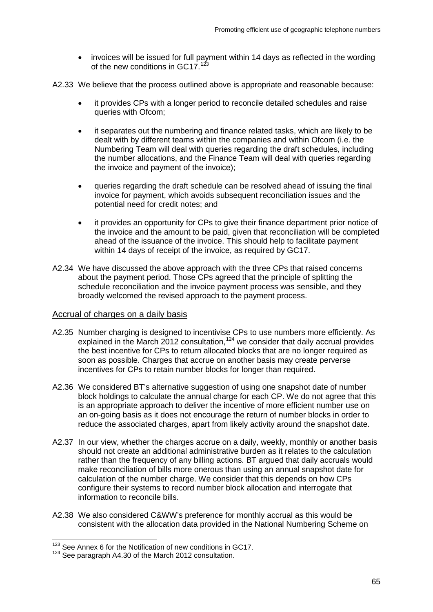- invoices will be issued for full payment within 14 days as reflected in the wording of the new conditions in GC17.<sup>[123](#page-67-0)</sup>
- A2.33 We believe that the process outlined above is appropriate and reasonable because:
	- it provides CPs with a longer period to reconcile detailed schedules and raise queries with Ofcom;
	- it separates out the numbering and finance related tasks, which are likely to be dealt with by different teams within the companies and within Ofcom (i.e. the Numbering Team will deal with queries regarding the draft schedules, including the number allocations, and the Finance Team will deal with queries regarding the invoice and payment of the invoice);
	- queries regarding the draft schedule can be resolved ahead of issuing the final invoice for payment, which avoids subsequent reconciliation issues and the potential need for credit notes; and
	- it provides an opportunity for CPs to give their finance department prior notice of the invoice and the amount to be paid, given that reconciliation will be completed ahead of the issuance of the invoice. This should help to facilitate payment within 14 days of receipt of the invoice, as required by GC17.
- A2.34 We have discussed the above approach with the three CPs that raised concerns about the payment period. Those CPs agreed that the principle of splitting the schedule reconciliation and the invoice payment process was sensible, and they broadly welcomed the revised approach to the payment process.

#### Accrual of charges on a daily basis

- A2.35 Number charging is designed to incentivise CPs to use numbers more efficiently. As explained in the March  $2012$  consultation,  $124$  we consider that daily accrual provides the best incentive for CPs to return allocated blocks that are no longer required as soon as possible. Charges that accrue on another basis may create perverse incentives for CPs to retain number blocks for longer than required.
- A2.36 We considered BT's alternative suggestion of using one snapshot date of number block holdings to calculate the annual charge for each CP. We do not agree that this is an appropriate approach to deliver the incentive of more efficient number use on an on-going basis as it does not encourage the return of number blocks in order to reduce the associated charges, apart from likely activity around the snapshot date.
- A2.37 In our view, whether the charges accrue on a daily, weekly, monthly or another basis should not create an additional administrative burden as it relates to the calculation rather than the frequency of any billing actions. BT argued that daily accruals would make reconciliation of bills more onerous than using an annual snapshot date for calculation of the number charge. We consider that this depends on how CPs configure their systems to record number block allocation and interrogate that information to reconcile bills.
- A2.38 We also considered C&WW's preference for monthly accrual as this would be consistent with the allocation data provided in the National Numbering Scheme on

<sup>&</sup>lt;sup>123</sup> See Annex 6 for the Notification of new conditions in GC17.

<span id="page-67-1"></span><span id="page-67-0"></span><sup>&</sup>lt;sup>124</sup> See paragraph A4.30 of the March 2012 consultation.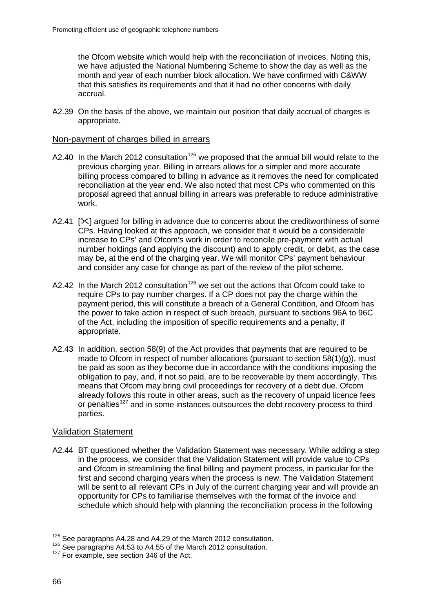the Ofcom website which would help with the reconciliation of invoices. Noting this, we have adjusted the National Numbering Scheme to show the day as well as the month and year of each number block allocation. We have confirmed with C&WW that this satisfies its requirements and that it had no other concerns with daily accrual.

A2.39 On the basis of the above, we maintain our position that daily accrual of charges is appropriate.

#### Non-payment of charges billed in arrears

- A2.40 In the March 2012 consultation<sup>[125](#page-68-0)</sup> we proposed that the annual bill would relate to the previous charging year. Billing in arrears allows for a simpler and more accurate billing process compared to billing in advance as it removes the need for complicated reconciliation at the year end. We also noted that most CPs who commented on this proposal agreed that annual billing in arrears was preferable to reduce administrative work.
- A2.41  $\sqrt{2}$  argued for billing in advance due to concerns about the creditworthiness of some CPs. Having looked at this approach, we consider that it would be a considerable increase to CPs' and Ofcom's work in order to reconcile pre-payment with actual number holdings (and applying the discount) and to apply credit, or debit, as the case may be, at the end of the charging year. We will monitor CPs' payment behaviour and consider any case for change as part of the review of the pilot scheme.
- A2.42 In the March 2012 consultation<sup>[126](#page-68-1)</sup> we set out the actions that Ofcom could take to require CPs to pay number charges. If a CP does not pay the charge within the payment period, this will constitute a breach of a General Condition, and Ofcom has the power to take action in respect of such breach, pursuant to sections 96A to 96C of the Act, including the imposition of specific requirements and a penalty, if appropriate.
- A2.43 In addition, section 58(9) of the Act provides that payments that are required to be made to Ofcom in respect of number allocations (pursuant to section  $58(1)(q)$ ), must be paid as soon as they become due in accordance with the conditions imposing the obligation to pay, and, if not so paid, are to be recoverable by them accordingly. This means that Ofcom may bring civil proceedings for recovery of a debt due. Ofcom already follows this route in other areas, such as the recovery of unpaid licence fees or penalties<sup>[127](#page-68-2)</sup> and in some instances outsources the debt recovery process to third parties.

## Validation Statement

A2.44 BT questioned whether the Validation Statement was necessary. While adding a step in the process, we consider that the Validation Statement will provide value to CPs and Ofcom in streamlining the final billing and payment process, in particular for the first and second charging years when the process is new. The Validation Statement will be sent to all relevant CPs in July of the current charging year and will provide an opportunity for CPs to familiarise themselves with the format of the invoice and schedule which should help with planning the reconciliation process in the following

<span id="page-68-1"></span><span id="page-68-0"></span><sup>&</sup>lt;sup>125</sup> See paragraphs A4.28 and A4.29 of the March 2012 consultation.<br><sup>126</sup> See paragraphs A4.53 to A4.55 of the March 2012 consultation.<br><sup>127</sup> For example, see section 346 of the Act.

<span id="page-68-2"></span>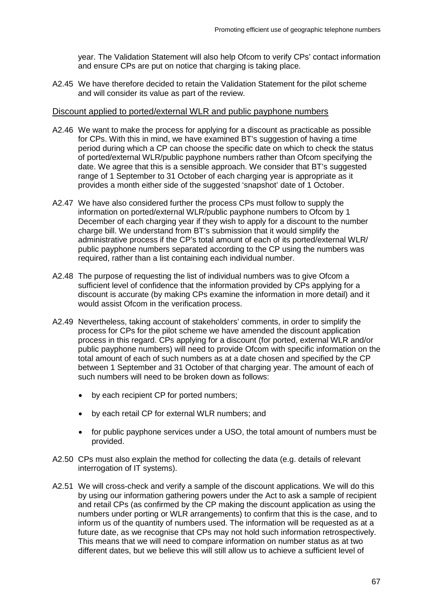year. The Validation Statement will also help Ofcom to verify CPs' contact information and ensure CPs are put on notice that charging is taking place.

A2.45 We have therefore decided to retain the Validation Statement for the pilot scheme and will consider its value as part of the review.

#### Discount applied to ported/external WLR and public payphone numbers

- A2.46 We want to make the process for applying for a discount as practicable as possible for CPs. With this in mind, we have examined BT's suggestion of having a time period during which a CP can choose the specific date on which to check the status of ported/external WLR/public payphone numbers rather than Ofcom specifying the date. We agree that this is a sensible approach. We consider that BT's suggested range of 1 September to 31 October of each charging year is appropriate as it provides a month either side of the suggested 'snapshot' date of 1 October.
- A2.47 We have also considered further the process CPs must follow to supply the information on ported/external WLR/public payphone numbers to Ofcom by 1 December of each charging year if they wish to apply for a discount to the number charge bill. We understand from BT's submission that it would simplify the administrative process if the CP's total amount of each of its ported/external WLR/ public payphone numbers separated according to the CP using the numbers was required, rather than a list containing each individual number.
- A2.48 The purpose of requesting the list of individual numbers was to give Ofcom a sufficient level of confidence that the information provided by CPs applying for a discount is accurate (by making CPs examine the information in more detail) and it would assist Ofcom in the verification process.
- A2.49 Nevertheless, taking account of stakeholders' comments, in order to simplify the process for CPs for the pilot scheme we have amended the discount application process in this regard. CPs applying for a discount (for ported, external WLR and/or public payphone numbers) will need to provide Ofcom with specific information on the total amount of each of such numbers as at a date chosen and specified by the CP between 1 September and 31 October of that charging year. The amount of each of such numbers will need to be broken down as follows:
	- by each recipient CP for ported numbers;
	- by each retail CP for external WLR numbers; and
	- for public payphone services under a USO, the total amount of numbers must be provided.
- A2.50 CPs must also explain the method for collecting the data (e.g. details of relevant interrogation of IT systems).
- A2.51 We will cross-check and verify a sample of the discount applications. We will do this by using our information gathering powers under the Act to ask a sample of recipient and retail CPs (as confirmed by the CP making the discount application as using the numbers under porting or WLR arrangements) to confirm that this is the case, and to inform us of the quantity of numbers used. The information will be requested as at a future date, as we recognise that CPs may not hold such information retrospectively. This means that we will need to compare information on number status as at two different dates, but we believe this will still allow us to achieve a sufficient level of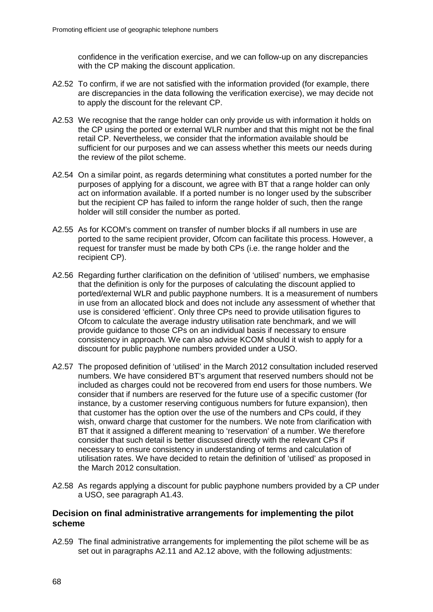confidence in the verification exercise, and we can follow-up on any discrepancies with the CP making the discount application.

- A2.52 To confirm, if we are not satisfied with the information provided (for example, there are discrepancies in the data following the verification exercise), we may decide not to apply the discount for the relevant CP.
- A2.53 We recognise that the range holder can only provide us with information it holds on the CP using the ported or external WLR number and that this might not be the final retail CP. Nevertheless, we consider that the information available should be sufficient for our purposes and we can assess whether this meets our needs during the review of the pilot scheme.
- A2.54 On a similar point, as regards determining what constitutes a ported number for the purposes of applying for a discount, we agree with BT that a range holder can only act on information available. If a ported number is no longer used by the subscriber but the recipient CP has failed to inform the range holder of such, then the range holder will still consider the number as ported.
- A2.55 As for KCOM's comment on transfer of number blocks if all numbers in use are ported to the same recipient provider, Ofcom can facilitate this process. However, a request for transfer must be made by both CPs (i.e. the range holder and the recipient CP).
- A2.56 Regarding further clarification on the definition of 'utilised' numbers, we emphasise that the definition is only for the purposes of calculating the discount applied to ported/external WLR and public payphone numbers. It is a measurement of numbers in use from an allocated block and does not include any assessment of whether that use is considered 'efficient'. Only three CPs need to provide utilisation figures to Ofcom to calculate the average industry utilisation rate benchmark, and we will provide guidance to those CPs on an individual basis if necessary to ensure consistency in approach. We can also advise KCOM should it wish to apply for a discount for public payphone numbers provided under a USO.
- A2.57 The proposed definition of 'utilised' in the March 2012 consultation included reserved numbers. We have considered BT's argument that reserved numbers should not be included as charges could not be recovered from end users for those numbers. We consider that if numbers are reserved for the future use of a specific customer (for instance, by a customer reserving contiguous numbers for future expansion), then that customer has the option over the use of the numbers and CPs could, if they wish, onward charge that customer for the numbers. We note from clarification with BT that it assigned a different meaning to 'reservation' of a number. We therefore consider that such detail is better discussed directly with the relevant CPs if necessary to ensure consistency in understanding of terms and calculation of utilisation rates. We have decided to retain the definition of 'utilised' as proposed in the March 2012 consultation.
- A2.58 As regards applying a discount for public payphone numbers provided by a CP under a USO, see paragraph A1.43.

## **Decision on final administrative arrangements for implementing the pilot scheme**

A2.59 The final administrative arrangements for implementing the pilot scheme will be as set out in paragraphs A2.11 and A2.12 above, with the following adjustments: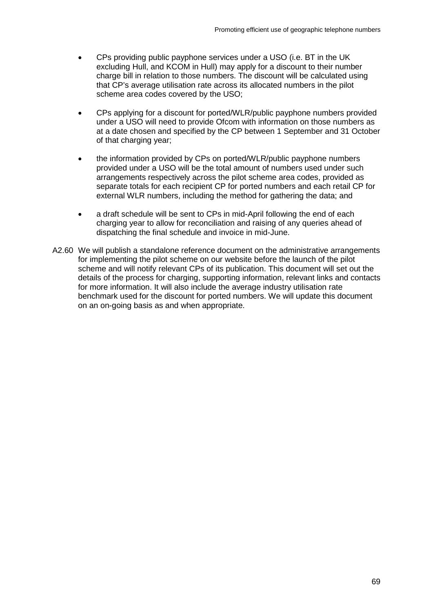- CPs providing public payphone services under a USO (i.e. BT in the UK excluding Hull, and KCOM in Hull) may apply for a discount to their number charge bill in relation to those numbers. The discount will be calculated using that CP's average utilisation rate across its allocated numbers in the pilot scheme area codes covered by the USO;
- CPs applying for a discount for ported/WLR/public payphone numbers provided under a USO will need to provide Ofcom with information on those numbers as at a date chosen and specified by the CP between 1 September and 31 October of that charging year;
- the information provided by CPs on ported/WLR/public payphone numbers provided under a USO will be the total amount of numbers used under such arrangements respectively across the pilot scheme area codes, provided as separate totals for each recipient CP for ported numbers and each retail CP for external WLR numbers, including the method for gathering the data; and
- a draft schedule will be sent to CPs in mid-April following the end of each charging year to allow for reconciliation and raising of any queries ahead of dispatching the final schedule and invoice in mid-June.
- A2.60 We will publish a standalone reference document on the administrative arrangements for implementing the pilot scheme on our website before the launch of the pilot scheme and will notify relevant CPs of its publication. This document will set out the details of the process for charging, supporting information, relevant links and contacts for more information. It will also include the average industry utilisation rate benchmark used for the discount for ported numbers. We will update this document on an on-going basis as and when appropriate.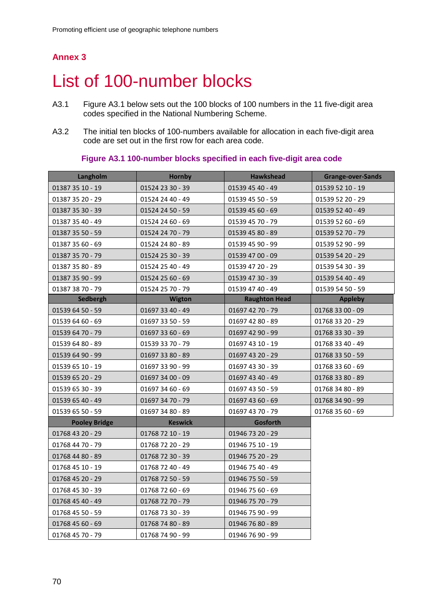# List of 100-number blocks

- A3.1 Figure A3.1 below sets out the 100 blocks of 100 numbers in the 11 five-digit area codes specified in the National Numbering Scheme.
- A3.2 The initial ten blocks of 100-numbers available for allocation in each five-digit area code are set out in the first row for each area code.

**Figure A3.1 100-number blocks specified in each five-digit area code**

| Langholm             | Hornby           | <b>Hawkshead</b>     | Grange-over-Sands |
|----------------------|------------------|----------------------|-------------------|
| 01387 35 10 - 19     | 01524 23 30 - 39 | 01539 45 40 - 49     | 01539 52 10 - 19  |
| 01387 35 20 - 29     | 01524 24 40 - 49 | 01539 45 50 - 59     | 01539 52 20 - 29  |
| 01387 35 30 - 39     | 01524 24 50 - 59 | 01539 45 60 - 69     | 01539 52 40 - 49  |
| 01387 35 40 - 49     | 01524 24 60 - 69 | 01539 45 70 - 79     | 01539 52 60 - 69  |
| 01387 35 50 - 59     | 01524 24 70 - 79 | 01539 45 80 - 89     | 01539 52 70 - 79  |
| 01387 35 60 - 69     | 01524 24 80 - 89 | 01539 45 90 - 99     | 01539 52 90 - 99  |
| 01387 35 70 - 79     | 01524 25 30 - 39 | 01539 47 00 - 09     | 01539 54 20 - 29  |
| 01387 35 80 - 89     | 01524 25 40 - 49 | 01539 47 20 - 29     | 01539 54 30 - 39  |
| 01387 35 90 - 99     | 01524 25 60 - 69 | 01539 47 30 - 39     | 01539 54 40 - 49  |
| 01387 38 70 - 79     | 01524 25 70 - 79 | 01539 47 40 - 49     | 01539 54 50 - 59  |
| Sedbergh             | <b>Wigton</b>    | <b>Raughton Head</b> | <b>Appleby</b>    |
| 01539 64 50 - 59     | 01697 33 40 - 49 | 01697 42 70 - 79     | 01768 33 00 - 09  |
| 01539 64 60 - 69     | 01697 33 50 - 59 | 01697 42 80 - 89     | 01768 33 20 - 29  |
| 01539 64 70 - 79     | 01697 33 60 - 69 | 01697 42 90 - 99     | 01768 33 30 - 39  |
| 01539 64 80 - 89     | 01539 33 70 - 79 | 01697 43 10 - 19     | 01768 33 40 - 49  |
| 01539 64 90 - 99     | 01697 33 80 - 89 | 01697 43 20 - 29     | 01768 33 50 - 59  |
| 01539 65 10 - 19     | 01697 33 90 - 99 | 01697 43 30 - 39     | 01768 33 60 - 69  |
| 01539 65 20 - 29     | 01697 34 00 - 09 | 01697 43 40 - 49     | 01768 33 80 - 89  |
| 01539 65 30 - 39     | 01697 34 60 - 69 | 01697 43 50 - 59     | 01768 34 80 - 89  |
| 01539 65 40 - 49     | 01697 34 70 - 79 | 01697 43 60 - 69     | 01768 34 90 - 99  |
| 01539 65 50 - 59     | 01697 34 80 - 89 | 01697 43 70 - 79     | 01768 35 60 - 69  |
| <b>Pooley Bridge</b> | <b>Keswick</b>   | Gosforth             |                   |
| 01768 43 20 - 29     | 01768 72 10 - 19 | 01946 73 20 - 29     |                   |
| 01768 44 70 - 79     | 01768 72 20 - 29 | 01946 75 10 - 19     |                   |
| 01768 44 80 - 89     | 01768 72 30 - 39 | 01946 75 20 - 29     |                   |
| 01768 45 10 - 19     | 01768 72 40 - 49 | 01946 75 40 - 49     |                   |
| 01768 45 20 - 29     | 01768 72 50 - 59 | 01946 75 50 - 59     |                   |
| 01768 45 30 - 39     | 01768 72 60 - 69 | 01946 75 60 - 69     |                   |
| 01768 45 40 - 49     | 01768 72 70 - 79 | 01946 75 70 - 79     |                   |
| 01768 45 50 - 59     | 01768 73 30 - 39 | 01946 75 90 - 99     |                   |
| 01768 45 60 - 69     | 01768 74 80 - 89 | 01946 76 80 - 89     |                   |
| 01768 45 70 - 79     | 01768 74 90 - 99 | 01946 76 90 - 99     |                   |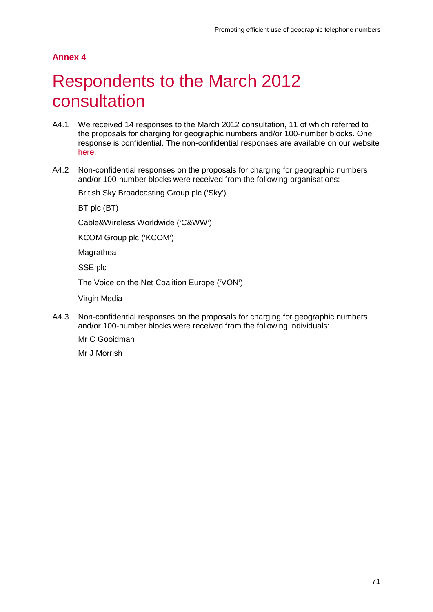# Respondents to the March 2012 consultation

- A4.1 We received 14 responses to the March 2012 consultation, 11 of which referred to the proposals for charging for geographic numbers and/or 100-number blocks. One response is confidential. The non-confidential responses are available on our website [here.](http://stakeholders.ofcom.org.uk/consultations/geographic-telephone-numbers/?showResponses=true&pageNum=1)
- A4.2 Non-confidential responses on the proposals for charging for geographic numbers and/or 100-number blocks were received from the following organisations:

British Sky Broadcasting Group plc ('Sky')

BT plc (BT)

Cable&Wireless Worldwide ('C&WW')

KCOM Group plc ('KCOM')

Magrathea

SSE plc

The Voice on the Net Coalition Europe ('VON')

Virgin Media

A4.3 Non-confidential responses on the proposals for charging for geographic numbers and/or 100-number blocks were received from the following individuals:

Mr C Gooidman

Mr J Morrish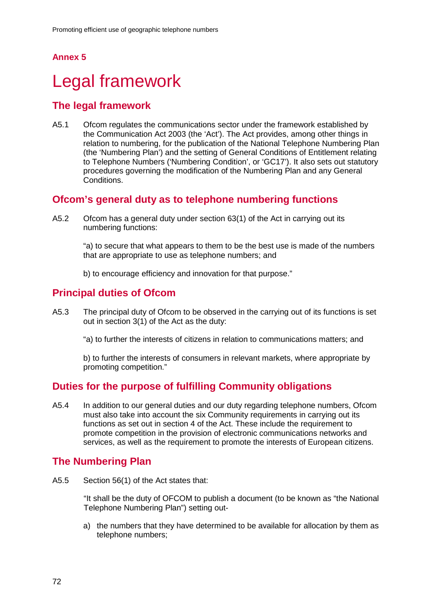# Legal framework

## **The legal framework**

A5.1 Ofcom regulates the communications sector under the framework established by the Communication Act 2003 (the 'Act'). The Act provides, among other things in relation to numbering, for the publication of the National Telephone Numbering Plan (the 'Numbering Plan') and the setting of General Conditions of Entitlement relating to Telephone Numbers ('Numbering Condition', or 'GC17'). It also sets out statutory procedures governing the modification of the Numbering Plan and any General Conditions.

## **Ofcom's general duty as to telephone numbering functions**

A5.2 Ofcom has a general duty under section 63(1) of the Act in carrying out its numbering functions:

> "a) to secure that what appears to them to be the best use is made of the numbers that are appropriate to use as telephone numbers; and

b) to encourage efficiency and innovation for that purpose."

## **Principal duties of Ofcom**

A5.3 The principal duty of Ofcom to be observed in the carrying out of its functions is set out in section 3(1) of the Act as the duty:

"a) to further the interests of citizens in relation to communications matters; and

b) to further the interests of consumers in relevant markets, where appropriate by promoting competition."

## **Duties for the purpose of fulfilling Community obligations**

A5.4 In addition to our general duties and our duty regarding telephone numbers, Ofcom must also take into account the six Community requirements in carrying out its functions as set out in section 4 of the Act. These include the requirement to promote competition in the provision of electronic communications networks and services, as well as the requirement to promote the interests of European citizens.

## **The Numbering Plan**

A5.5 Section 56(1) of the Act states that:

"It shall be the duty of OFCOM to publish a document (to be known as "the National Telephone Numbering Plan") setting out-

a) the numbers that they have determined to be available for allocation by them as telephone numbers;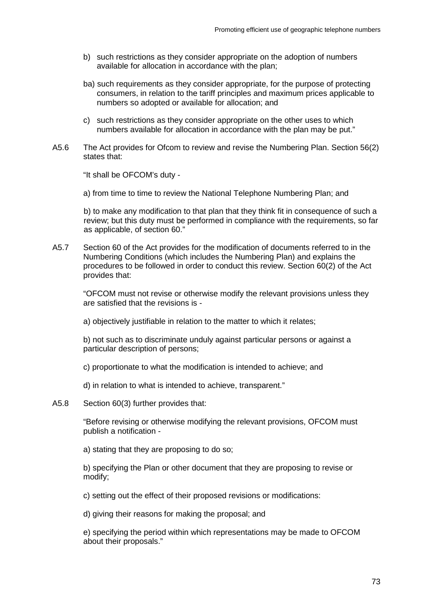- b) such restrictions as they consider appropriate on the adoption of numbers available for allocation in accordance with the plan;
- ba) such requirements as they consider appropriate, for the purpose of protecting consumers, in relation to the tariff principles and maximum prices applicable to numbers so adopted or available for allocation; and
- c) such restrictions as they consider appropriate on the other uses to which numbers available for allocation in accordance with the plan may be put."
- A5.6 The Act provides for Ofcom to review and revise the Numbering Plan. Section 56(2) states that:

"It shall be OFCOM's duty -

a) from time to time to review the National Telephone Numbering Plan; and

b) to make any modification to that plan that they think fit in consequence of such a review; but this duty must be performed in compliance with the requirements, so far as applicable, of section 60."

A5.7 Section 60 of the Act provides for the modification of documents referred to in the Numbering Conditions (which includes the Numbering Plan) and explains the procedures to be followed in order to conduct this review. Section 60(2) of the Act provides that:

"OFCOM must not revise or otherwise modify the relevant provisions unless they are satisfied that the revisions is -

a) objectively justifiable in relation to the matter to which it relates;

b) not such as to discriminate unduly against particular persons or against a particular description of persons;

c) proportionate to what the modification is intended to achieve; and

d) in relation to what is intended to achieve, transparent."

A5.8 Section 60(3) further provides that:

"Before revising or otherwise modifying the relevant provisions, OFCOM must publish a notification -

a) stating that they are proposing to do so;

b) specifying the Plan or other document that they are proposing to revise or modify;

c) setting out the effect of their proposed revisions or modifications:

d) giving their reasons for making the proposal; and

e) specifying the period within which representations may be made to OFCOM about their proposals."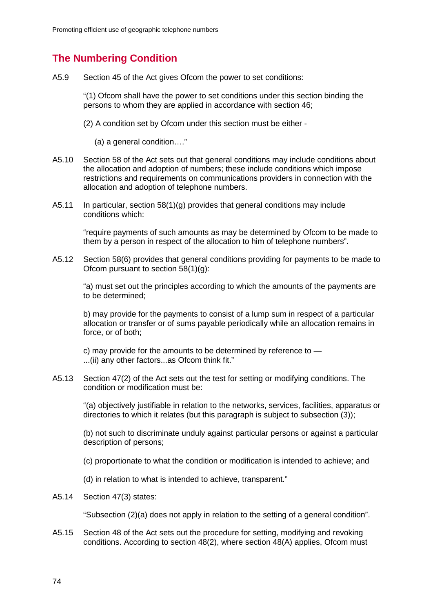## **The Numbering Condition**

A5.9 Section 45 of the Act gives Ofcom the power to set conditions:

"(1) Ofcom shall have the power to set conditions under this section binding the persons to whom they are applied in accordance with section 46;

- (2) A condition set by Ofcom under this section must be either
	- (a) a general condition…."
- A5.10 Section 58 of the Act sets out that general conditions may include conditions about the allocation and adoption of numbers; these include conditions which impose restrictions and requirements on communications providers in connection with the allocation and adoption of telephone numbers.
- A5.11 In particular, section 58(1)(g) provides that general conditions may include conditions which:

"require payments of such amounts as may be determined by Ofcom to be made to them by a person in respect of the allocation to him of telephone numbers".

A5.12 Section 58(6) provides that general conditions providing for payments to be made to Ofcom pursuant to section 58(1)(g):

"a) must set out the principles according to which the amounts of the payments are to be determined;

b) may provide for the payments to consist of a lump sum in respect of a particular allocation or transfer or of sums payable periodically while an allocation remains in force, or of both;

c) may provide for the amounts to be determined by reference to — ...(ii) any other factors...as Ofcom think fit."

A5.13 Section 47(2) of the Act sets out the test for setting or modifying conditions. The condition or modification must be:

"(a) objectively justifiable in relation to the networks, services, facilities, apparatus or directories to which it relates (but this paragraph is subject to subsection (3));

(b) not such to discriminate unduly against particular persons or against a particular description of persons;

- (c) proportionate to what the condition or modification is intended to achieve; and
- (d) in relation to what is intended to achieve, transparent."
- A5.14 Section 47(3) states:

"Subsection (2)(a) does not apply in relation to the setting of a general condition".

A5.15 Section 48 of the Act sets out the procedure for setting, modifying and revoking conditions. According to section 48(2), where section 48(A) applies, Ofcom must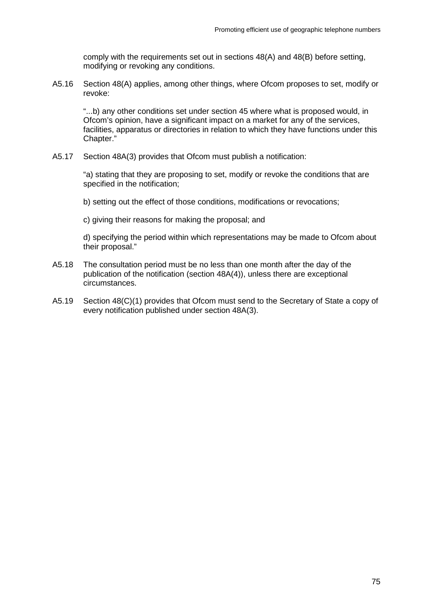comply with the requirements set out in sections 48(A) and 48(B) before setting, modifying or revoking any conditions.

A5.16 Section 48(A) applies, among other things, where Ofcom proposes to set, modify or revoke:

"...b) any other conditions set under section 45 where what is proposed would, in Ofcom's opinion, have a significant impact on a market for any of the services, facilities, apparatus or directories in relation to which they have functions under this Chapter."

A5.17 Section 48A(3) provides that Ofcom must publish a notification:

"a) stating that they are proposing to set, modify or revoke the conditions that are specified in the notification;

b) setting out the effect of those conditions, modifications or revocations;

c) giving their reasons for making the proposal; and

d) specifying the period within which representations may be made to Ofcom about their proposal."

- A5.18 The consultation period must be no less than one month after the day of the publication of the notification (section 48A(4)), unless there are exceptional circumstances.
- A5.19 Section 48(C)(1) provides that Ofcom must send to the Secretary of State a copy of every notification published under section 48A(3).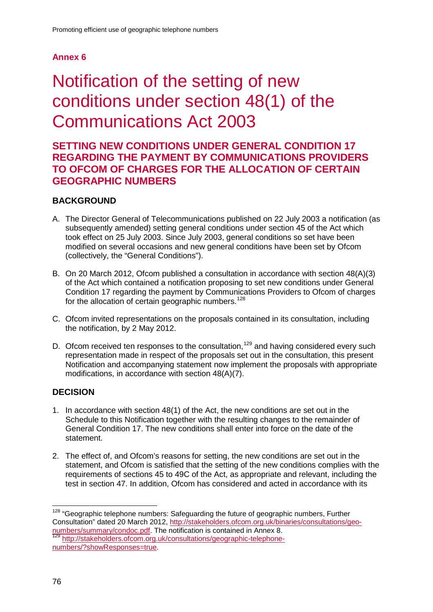# Notification of the setting of new conditions under section 48(1) of the Communications Act 2003

## **SETTING NEW CONDITIONS UNDER GENERAL CONDITION 17 REGARDING THE PAYMENT BY COMMUNICATIONS PROVIDERS TO OFCOM OF CHARGES FOR THE ALLOCATION OF CERTAIN GEOGRAPHIC NUMBERS**

## **BACKGROUND**

- A. The Director General of Telecommunications published on 22 July 2003 a notification (as subsequently amended) setting general conditions under section 45 of the Act which took effect on 25 July 2003. Since July 2003, general conditions so set have been modified on several occasions and new general conditions have been set by Ofcom (collectively, the "General Conditions").
- B. On 20 March 2012, Ofcom published a consultation in accordance with section 48(A)(3) of the Act which contained a notification proposing to set new conditions under General Condition 17 regarding the payment by Communications Providers to Ofcom of charges for the allocation of certain geographic numbers.<sup>[128](#page-78-0)</sup>
- C. Ofcom invited representations on the proposals contained in its consultation, including the notification, by 2 May 2012.
- D. Ofcom received ten responses to the consultation,<sup>[129](#page-78-1)</sup> and having considered every such representation made in respect of the proposals set out in the consultation, this present Notification and accompanying statement now implement the proposals with appropriate modifications, in accordance with section 48(A)(7).

## **DECISION**

- 1. In accordance with section 48(1) of the Act, the new conditions are set out in the Schedule to this Notification together with the resulting changes to the remainder of General Condition 17. The new conditions shall enter into force on the date of the statement.
- 2. The effect of, and Ofcom's reasons for setting, the new conditions are set out in the statement, and Ofcom is satisfied that the setting of the new conditions complies with the requirements of sections 45 to 49C of the Act, as appropriate and relevant, including the test in section 47. In addition, Ofcom has considered and acted in accordance with its

<span id="page-78-0"></span><sup>128</sup> "Geographic telephone numbers: Safeguarding the future of geographic numbers, Further Consultation" dated 20 March 2012, [http://stakeholders.ofcom.org.uk/binaries/consultations/geo](http://stakeholders.ofcom.org.uk/binaries/consultations/geo-numbers/summary/condoc.pdf)[numbers/summary/condoc.pdf.](http://stakeholders.ofcom.org.uk/binaries/consultations/geo-numbers/summary/condoc.pdf) The notification is contained in Annex 8. [http://stakeholders.ofcom.org.uk/consultations/geographic-telephone-](http://stakeholders.ofcom.org.uk/consultations/geographic-telephone-numbers/?showResponses=true)

<span id="page-78-1"></span>[numbers/?showResponses=true.](http://stakeholders.ofcom.org.uk/consultations/geographic-telephone-numbers/?showResponses=true)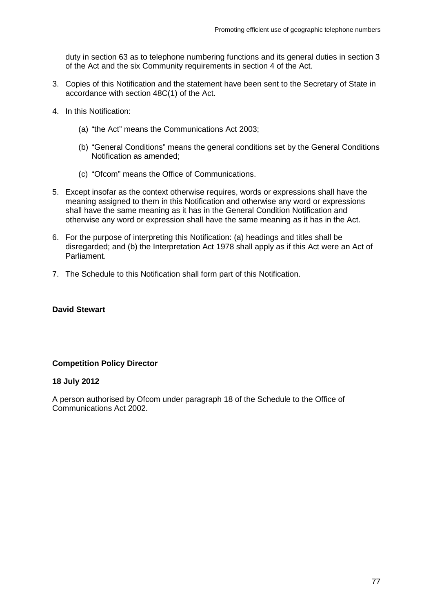duty in section 63 as to telephone numbering functions and its general duties in section 3 of the Act and the six Community requirements in section 4 of the Act.

- 3. Copies of this Notification and the statement have been sent to the Secretary of State in accordance with section 48C(1) of the Act.
- 4. In this Notification:
	- (a) "the Act" means the Communications Act 2003;
	- (b) "General Conditions" means the general conditions set by the General Conditions Notification as amended;
	- (c) "Ofcom" means the Office of Communications.
- 5. Except insofar as the context otherwise requires, words or expressions shall have the meaning assigned to them in this Notification and otherwise any word or expressions shall have the same meaning as it has in the General Condition Notification and otherwise any word or expression shall have the same meaning as it has in the Act.
- 6. For the purpose of interpreting this Notification: (a) headings and titles shall be disregarded; and (b) the Interpretation Act 1978 shall apply as if this Act were an Act of Parliament.
- 7. The Schedule to this Notification shall form part of this Notification.

#### **David Stewart**

#### **Competition Policy Director**

#### **18 July 2012**

A person authorised by Ofcom under paragraph 18 of the Schedule to the Office of Communications Act 2002.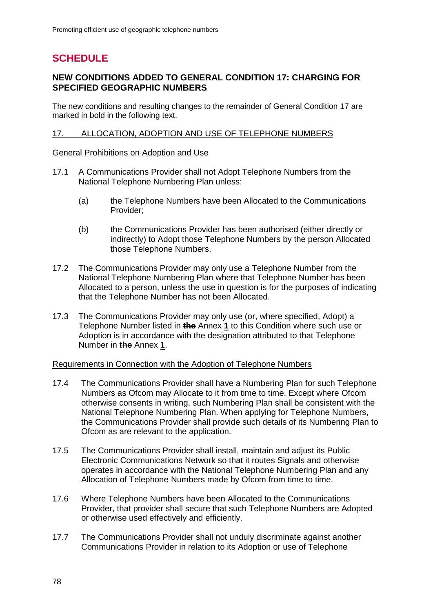## **SCHEDULE**

#### **NEW CONDITIONS ADDED TO GENERAL CONDITION 17: CHARGING FOR SPECIFIED GEOGRAPHIC NUMBERS**

The new conditions and resulting changes to the remainder of General Condition 17 are marked in bold in the following text.

#### 17. ALLOCATION, ADOPTION AND USE OF TELEPHONE NUMBERS

#### General Prohibitions on Adoption and Use

- 17.1 A Communications Provider shall not Adopt Telephone Numbers from the National Telephone Numbering Plan unless:
	- (a) the Telephone Numbers have been Allocated to the Communications Provider;
	- (b) the Communications Provider has been authorised (either directly or indirectly) to Adopt those Telephone Numbers by the person Allocated those Telephone Numbers.
- 17.2 The Communications Provider may only use a Telephone Number from the National Telephone Numbering Plan where that Telephone Number has been Allocated to a person, unless the use in question is for the purposes of indicating that the Telephone Number has not been Allocated.
- 17.3 The Communications Provider may only use (or, where specified, Adopt) a Telephone Number listed in **the** Annex **1** to this Condition where such use or Adoption is in accordance with the designation attributed to that Telephone Number in **the** Annex **1**.

#### Requirements in Connection with the Adoption of Telephone Numbers

- 17.4 The Communications Provider shall have a Numbering Plan for such Telephone Numbers as Ofcom may Allocate to it from time to time. Except where Ofcom otherwise consents in writing, such Numbering Plan shall be consistent with the National Telephone Numbering Plan. When applying for Telephone Numbers, the Communications Provider shall provide such details of its Numbering Plan to Ofcom as are relevant to the application.
- 17.5 The Communications Provider shall install, maintain and adjust its Public Electronic Communications Network so that it routes Signals and otherwise operates in accordance with the National Telephone Numbering Plan and any Allocation of Telephone Numbers made by Ofcom from time to time.
- 17.6 Where Telephone Numbers have been Allocated to the Communications Provider, that provider shall secure that such Telephone Numbers are Adopted or otherwise used effectively and efficiently.
- 17.7 The Communications Provider shall not unduly discriminate against another Communications Provider in relation to its Adoption or use of Telephone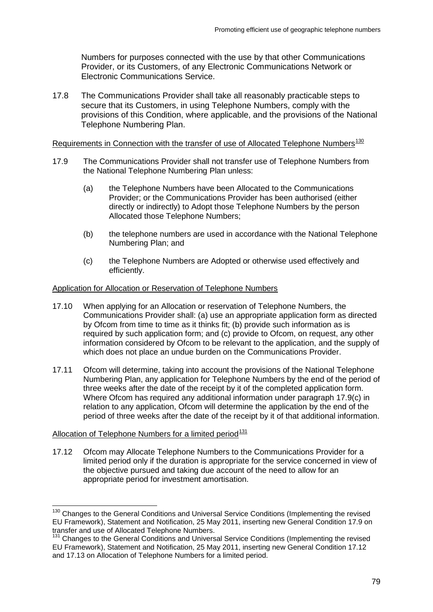Numbers for purposes connected with the use by that other Communications Provider, or its Customers, of any Electronic Communications Network or Electronic Communications Service.

17.8 The Communications Provider shall take all reasonably practicable steps to secure that its Customers, in using Telephone Numbers, comply with the provisions of this Condition, where applicable, and the provisions of the National Telephone Numbering Plan.

#### Requirements in Connection with the transfer of use of Allocated Telephone Numbers<sup>[130](#page-81-0)</sup>

- 17.9 The Communications Provider shall not transfer use of Telephone Numbers from the National Telephone Numbering Plan unless:
	- (a) the Telephone Numbers have been Allocated to the Communications Provider; or the Communications Provider has been authorised (either directly or indirectly) to Adopt those Telephone Numbers by the person Allocated those Telephone Numbers;
	- (b) the telephone numbers are used in accordance with the National Telephone Numbering Plan; and
	- (c) the Telephone Numbers are Adopted or otherwise used effectively and efficiently.

#### Application for Allocation or Reservation of Telephone Numbers

- 17.10 When applying for an Allocation or reservation of Telephone Numbers, the Communications Provider shall: (a) use an appropriate application form as directed by Ofcom from time to time as it thinks fit; (b) provide such information as is required by such application form; and (c) provide to Ofcom, on request, any other information considered by Ofcom to be relevant to the application, and the supply of which does not place an undue burden on the Communications Provider.
- 17.11 Ofcom will determine, taking into account the provisions of the National Telephone Numbering Plan, any application for Telephone Numbers by the end of the period of three weeks after the date of the receipt by it of the completed application form. Where Ofcom has required any additional information under paragraph 17.9(c) in relation to any application, Ofcom will determine the application by the end of the period of three weeks after the date of the receipt by it of that additional information.

#### Allocation of Telephone Numbers for a limited period $\frac{131}{2}$  $\frac{131}{2}$  $\frac{131}{2}$

17.12 Ofcom may Allocate Telephone Numbers to the Communications Provider for a limited period only if the duration is appropriate for the service concerned in view of the objective pursued and taking due account of the need to allow for an appropriate period for investment amortisation.

<span id="page-81-0"></span><sup>&</sup>lt;sup>130</sup> Changes to the General Conditions and Universal Service Conditions (Implementing the revised EU Framework), Statement and Notification, 25 May 2011, inserting new General Condition 17.9 on transfer and use of Allocated Telephone Numbers.

<span id="page-81-1"></span><sup>&</sup>lt;sup>131</sup> Changes to the General Conditions and Universal Service Conditions (Implementing the revised EU Framework), Statement and Notification, 25 May 2011, inserting new General Condition 17.12 and 17.13 on Allocation of Telephone Numbers for a limited period.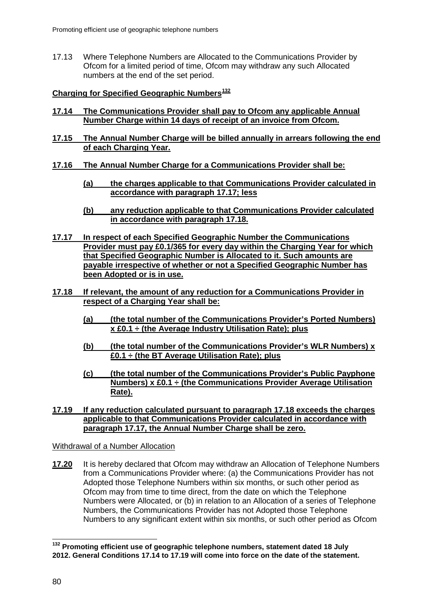17.13 Where Telephone Numbers are Allocated to the Communications Provider by Ofcom for a limited period of time, Ofcom may withdraw any such Allocated numbers at the end of the set period.

#### **Charging for Specified Geographic Numbers[132](#page-82-0)**

- **17.14 The Communications Provider shall pay to Ofcom any applicable Annual Number Charge within 14 days of receipt of an invoice from Ofcom.**
- **17.15 The Annual Number Charge will be billed annually in arrears following the end of each Charging Year.**
- **17.16 The Annual Number Charge for a Communications Provider shall be:**
	- **(a) the charges applicable to that Communications Provider calculated in accordance with paragraph 17.17; less**
	- **(b) any reduction applicable to that Communications Provider calculated in accordance with paragraph 17.18.**
- **17.17 In respect of each Specified Geographic Number the Communications Provider must pay £0.1/365 for every day within the Charging Year for which that Specified Geographic Number is Allocated to it. Such amounts are payable irrespective of whether or not a Specified Geographic Number has been Adopted or is in use.**
- **17.18 If relevant, the amount of any reduction for a Communications Provider in respect of a Charging Year shall be:**
	- **(a) (the total number of the Communications Provider's Ported Numbers) x £0.1 ÷ (the Average Industry Utilisation Rate); plus**
	- **(b) (the total number of the Communications Provider's WLR Numbers) x £0.1 ÷ (the BT Average Utilisation Rate); plus**
	- **(c) (the total number of the Communications Provider's Public Payphone Numbers) x £0.1 ÷ (the Communications Provider Average Utilisation Rate).**
- **17.19 If any reduction calculated pursuant to paragraph 17.18 exceeds the charges applicable to that Communications Provider calculated in accordance with paragraph 17.17, the Annual Number Charge shall be zero.**

Withdrawal of a Number Allocation

**17.20** It is hereby declared that Ofcom may withdraw an Allocation of Telephone Numbers from a Communications Provider where: (a) the Communications Provider has not Adopted those Telephone Numbers within six months, or such other period as Ofcom may from time to time direct, from the date on which the Telephone Numbers were Allocated, or (b) in relation to an Allocation of a series of Telephone Numbers, the Communications Provider has not Adopted those Telephone Numbers to any significant extent within six months, or such other period as Ofcom

<span id="page-82-0"></span>**<sup>132</sup> Promoting efficient use of geographic telephone numbers, statement dated 18 July 2012. General Conditions 17.14 to 17.19 will come into force on the date of the statement.**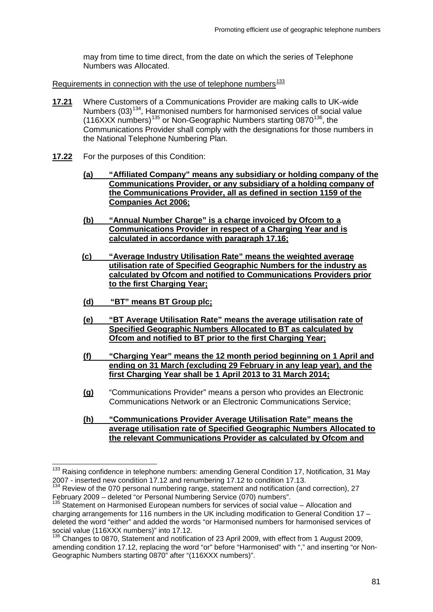may from time to time direct, from the date on which the series of Telephone Numbers was Allocated.

Requirements in connection with the use of telephone numbers $\frac{133}{2}$  $\frac{133}{2}$  $\frac{133}{2}$ 

- **17.21** Where Customers of a Communications Provider are making calls to UK-wide Numbers  $(03)^{134}$ , Harmonised numbers for harmonised services of social value (116XXX numbers)[135](#page-83-2) or Non-Geographic Numbers starting 0870[136](#page-83-3), the Communications Provider shall comply with the designations for those numbers in the National Telephone Numbering Plan.
- **17.22** For the purposes of this Condition:
	- **(a) "Affiliated Company" means any subsidiary or holding company of the Communications Provider, or any subsidiary of a holding company of the Communications Provider, all as defined in section 1159 of the Companies Act 2006;**
	- **(b) "Annual Number Charge" is a charge invoiced by Ofcom to a Communications Provider in respect of a Charging Year and is calculated in accordance with paragraph 17.16;**
	- **(c) "Average Industry Utilisation Rate" means the weighted average utilisation rate of Specified Geographic Numbers for the industry as calculated by Ofcom and notified to Communications Providers prior to the first Charging Year;**
	- **(d) "BT" means BT Group plc;**
	- **(e) "BT Average Utilisation Rate" means the average utilisation rate of Specified Geographic Numbers Allocated to BT as calculated by Ofcom and notified to BT prior to the first Charging Year;**
	- **(f) "Charging Year" means the 12 month period beginning on 1 April and ending on 31 March (excluding 29 February in any leap year), and the first Charging Year shall be 1 April 2013 to 31 March 2014;**
	- **(g)** "Communications Provider" means a person who provides an Electronic Communications Network or an Electronic Communications Service;
	- **(h) "Communications Provider Average Utilisation Rate" means the average utilisation rate of Specified Geographic Numbers Allocated to the relevant Communications Provider as calculated by Ofcom and**

<sup>&</sup>lt;sup>133</sup> Raising confidence in telephone numbers: amending General Condition 17, Notification, 31 May

<span id="page-83-1"></span><span id="page-83-0"></span><sup>2007 -</sup> inserted new condition 17.12 and renumbering 17.12 to condition 17.13.<br><sup>134</sup> Review of the 070 personal numbering range, statement and notification (and correction), 27<br>February 2009 – deleted "or Personal Numberin

<span id="page-83-2"></span>Statement on Harmonised European numbers for services of social value – Allocation and charging arrangements for 116 numbers in the UK including modification to General Condition 17 – deleted the word "either" and added the words "or Harmonised numbers for harmonised services of social value (116XXX numbers)" into 17.12.

<span id="page-83-3"></span><sup>&</sup>lt;sup>136</sup> Changes to 0870, Statement and notification of 23 April 2009, with effect from 1 August 2009, amending condition 17.12, replacing the word "or" before "Harmonised" with "," and inserting "or Non-Geographic Numbers starting 0870" after "(116XXX numbers)".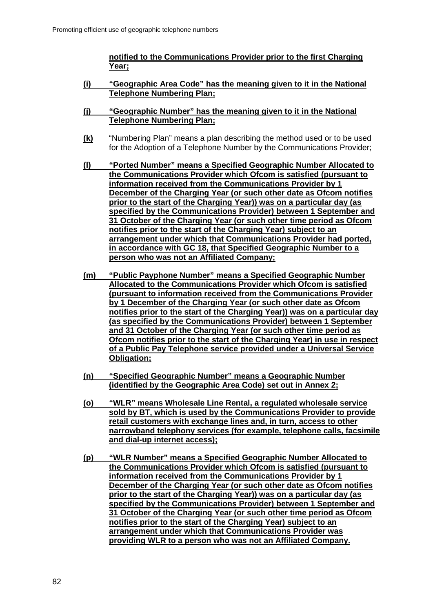**notified to the Communications Provider prior to the first Charging Year;**

- **(i) "Geographic Area Code" has the meaning given to it in the National Telephone Numbering Plan;**
- **(j) "Geographic Number" has the meaning given to it in the National Telephone Numbering Plan;**
- **(k)** "Numbering Plan" means a plan describing the method used or to be used for the Adoption of a Telephone Number by the Communications Provider;
- **(l) "Ported Number" means a Specified Geographic Number Allocated to the Communications Provider which Ofcom is satisfied (pursuant to information received from the Communications Provider by 1 December of the Charging Year (or such other date as Ofcom notifies prior to the start of the Charging Year)) was on a particular day (as specified by the Communications Provider) between 1 September and 31 October of the Charging Year (or such other time period as Ofcom notifies prior to the start of the Charging Year) subject to an arrangement under which that Communications Provider had ported, in accordance with GC 18, that Specified Geographic Number to a person who was not an Affiliated Company;**
- **(m) "Public Payphone Number" means a Specified Geographic Number Allocated to the Communications Provider which Ofcom is satisfied (pursuant to information received from the Communications Provider by 1 December of the Charging Year (or such other date as Ofcom notifies prior to the start of the Charging Year)) was on a particular day (as specified by the Communications Provider) between 1 September and 31 October of the Charging Year (or such other time period as Ofcom notifies prior to the start of the Charging Year) in use in respect of a Public Pay Telephone service provided under a Universal Service Obligation;**
- **(n) "Specified Geographic Number" means a Geographic Number (identified by the Geographic Area Code) set out in Annex 2;**
- **(o) "WLR" means Wholesale Line Rental, a regulated wholesale service sold by BT, which is used by the Communications Provider to provide retail customers with exchange lines and, in turn, access to other narrowband telephony services (for example, telephone calls, facsimile and dial-up internet access);**
- **(p) "WLR Number" means a Specified Geographic Number Allocated to the Communications Provider which Ofcom is satisfied (pursuant to information received from the Communications Provider by 1 December of the Charging Year (or such other date as Ofcom notifies prior to the start of the Charging Year)) was on a particular day (as specified by the Communications Provider) between 1 September and 31 October of the Charging Year (or such other time period as Ofcom notifies prior to the start of the Charging Year) subject to an arrangement under which that Communications Provider was providing WLR to a person who was not an Affiliated Company.**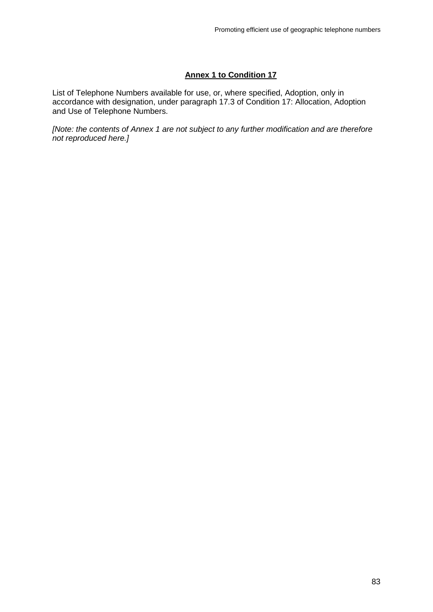#### **Annex 1 to Condition 17**

List of Telephone Numbers available for use, or, where specified, Adoption, only in accordance with designation, under paragraph 17.3 of Condition 17: Allocation, Adoption and Use of Telephone Numbers.

*[Note: the contents of Annex 1 are not subject to any further modification and are therefore not reproduced here.]*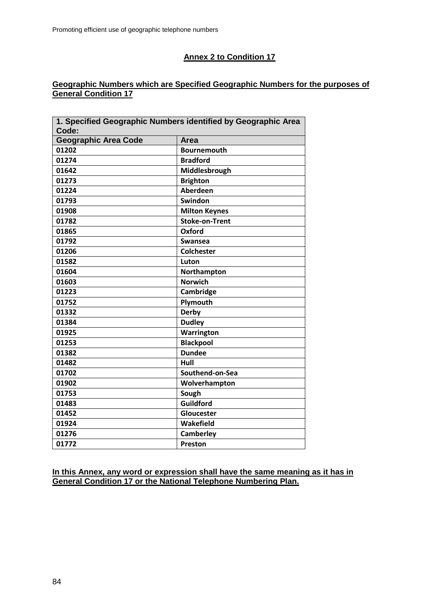### **Annex 2 to Condition 17**

#### **Geographic Numbers which are Specified Geographic Numbers for the purposes of General Condition 17**

|                             | 1. Specified Geographic Numbers identified by Geographic Area |
|-----------------------------|---------------------------------------------------------------|
| Code:                       |                                                               |
| <b>Geographic Area Code</b> | <b>Area</b>                                                   |
| 01202                       | <b>Bournemouth</b>                                            |
| 01274                       | <b>Bradford</b>                                               |
| 01642                       | Middlesbrough                                                 |
| 01273                       | <b>Brighton</b>                                               |
| 01224                       | <b>Aberdeen</b>                                               |
| 01793                       | Swindon                                                       |
| 01908                       | <b>Milton Keynes</b>                                          |
| 01782                       | <b>Stoke-on-Trent</b>                                         |
| 01865                       | Oxford                                                        |
| 01792                       | Swansea                                                       |
| 01206                       | <b>Colchester</b>                                             |
| 01582                       | Luton                                                         |
| 01604                       | Northampton                                                   |
| 01603                       | <b>Norwich</b>                                                |
| 01223                       | Cambridge                                                     |
| 01752                       | Plymouth                                                      |
| 01332                       | <b>Derby</b>                                                  |
| 01384                       | <b>Dudley</b>                                                 |
| 01925                       | Warrington                                                    |
| 01253                       | <b>Blackpool</b>                                              |
| 01382                       | <b>Dundee</b>                                                 |
| 01482                       | Hull                                                          |
| 01702                       | Southend-on-Sea                                               |
| 01902                       | Wolverhampton                                                 |
| 01753                       | Sough                                                         |
| 01483                       | <b>Guildford</b>                                              |
| 01452                       | Gloucester                                                    |
| 01924                       | Wakefield                                                     |
| 01276                       | Camberley                                                     |
| 01772                       | Preston                                                       |

**In this Annex, any word or expression shall have the same meaning as it has in General Condition 17 or the National Telephone Numbering Plan.**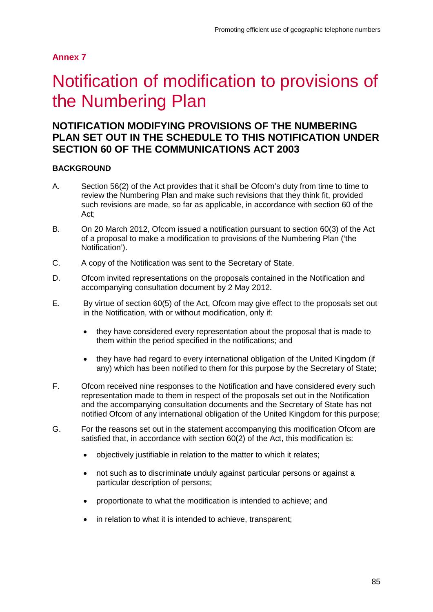# 7 Notification of modification to provisions of the Numbering Plan

## **NOTIFICATION MODIFYING PROVISIONS OF THE NUMBERING PLAN SET OUT IN THE SCHEDULE TO THIS NOTIFICATION UNDER SECTION 60 OF THE COMMUNICATIONS ACT 2003**

#### **BACKGROUND**

- A. Section 56(2) of the Act provides that it shall be Ofcom's duty from time to time to review the Numbering Plan and make such revisions that they think fit, provided such revisions are made, so far as applicable, in accordance with section 60 of the Act;
- B. On 20 March 2012, Ofcom issued a notification pursuant to section 60(3) of the Act of a proposal to make a modification to provisions of the Numbering Plan ('the Notification').
- C. A copy of the Notification was sent to the Secretary of State.
- D. Ofcom invited representations on the proposals contained in the Notification and accompanying consultation document by 2 May 2012.
- E. By virtue of section 60(5) of the Act, Ofcom may give effect to the proposals set out in the Notification, with or without modification, only if:
	- they have considered every representation about the proposal that is made to them within the period specified in the notifications; and
	- they have had regard to every international obligation of the United Kingdom (if any) which has been notified to them for this purpose by the Secretary of State;
- F. Ofcom received nine responses to the Notification and have considered every such representation made to them in respect of the proposals set out in the Notification and the accompanying consultation documents and the Secretary of State has not notified Ofcom of any international obligation of the United Kingdom for this purpose;
- G. For the reasons set out in the statement accompanying this modification Ofcom are satisfied that, in accordance with section 60(2) of the Act, this modification is:
	- objectively justifiable in relation to the matter to which it relates;
	- not such as to discriminate unduly against particular persons or against a particular description of persons;
	- proportionate to what the modification is intended to achieve; and
	- in relation to what it is intended to achieve, transparent;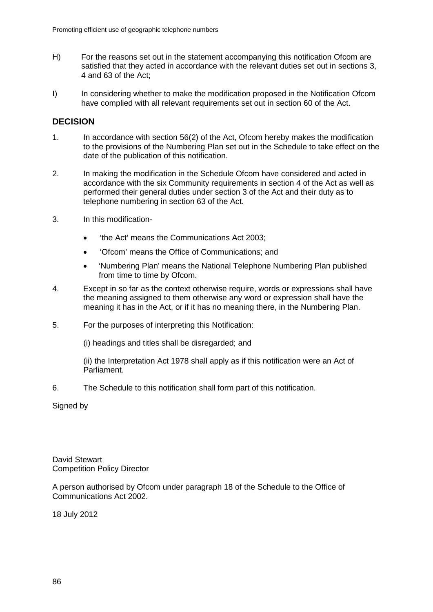- H) For the reasons set out in the statement accompanying this notification Ofcom are satisfied that they acted in accordance with the relevant duties set out in sections 3, 4 and 63 of the Act;
- I) In considering whether to make the modification proposed in the Notification Ofcom have complied with all relevant requirements set out in section 60 of the Act.

#### **DECISION**

- 1. In accordance with section 56(2) of the Act, Ofcom hereby makes the modification to the provisions of the Numbering Plan set out in the Schedule to take effect on the date of the publication of this notification.
- 2. In making the modification in the Schedule Ofcom have considered and acted in accordance with the six Community requirements in section 4 of the Act as well as performed their general duties under section 3 of the Act and their duty as to telephone numbering in section 63 of the Act.
- 3. In this modification-
	- 'the Act' means the Communications Act 2003;
	- 'Ofcom' means the Office of Communications; and
	- 'Numbering Plan' means the National Telephone Numbering Plan published from time to time by Ofcom.
- 4. Except in so far as the context otherwise require, words or expressions shall have the meaning assigned to them otherwise any word or expression shall have the meaning it has in the Act, or if it has no meaning there, in the Numbering Plan.
- 5. For the purposes of interpreting this Notification:

(i) headings and titles shall be disregarded; and

(ii) the Interpretation Act 1978 shall apply as if this notification were an Act of Parliament.

6. The Schedule to this notification shall form part of this notification.

Signed by

David Stewart Competition Policy Director

A person authorised by Ofcom under paragraph 18 of the Schedule to the Office of Communications Act 2002.

18 July 2012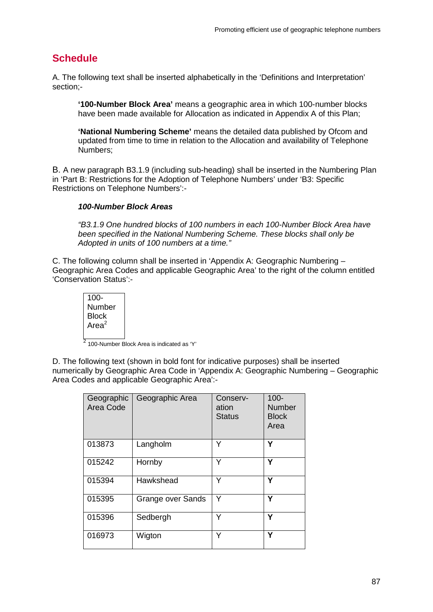## **Schedule**

A. The following text shall be inserted alphabetically in the 'Definitions and Interpretation' section;-

**'100-Number Block Area'** means a geographic area in which 100-number blocks have been made available for Allocation as indicated in Appendix A of this Plan;

**'National Numbering Scheme'** means the detailed data published by Ofcom and updated from time to time in relation to the Allocation and availability of Telephone Numbers;

B. A new paragraph B3.1.9 (including sub-heading) shall be inserted in the Numbering Plan in 'Part B: Restrictions for the Adoption of Telephone Numbers' under 'B3: Specific Restrictions on Telephone Numbers':-

#### *100-Number Block Areas*

*"B3.1.9 One hundred blocks of 100 numbers in each 100-Number Block Area have been specified in the National Numbering Scheme. These blocks shall only be Adopted in units of 100 numbers at a time."*

C. The following column shall be inserted in 'Appendix A: Geographic Numbering – Geographic Area Codes and applicable Geographic Area' to the right of the column entitled 'Conservation Status':-

100- Number **Block** Are $a^2$ 

<sup>2</sup> 100-Number Block Area is indicated as 'Y'

D. The following text (shown in bold font for indicative purposes) shall be inserted numerically by Geographic Area Code in 'Appendix A: Geographic Numbering – Geographic Area Codes and applicable Geographic Area':-

| Geographic<br>Area Code | Geographic Area   | Conserv-<br>ation<br><b>Status</b> | $100 -$<br><b>Number</b><br><b>Block</b><br>Area |
|-------------------------|-------------------|------------------------------------|--------------------------------------------------|
| 013873                  | Langholm          | Y                                  | Υ                                                |
| 015242                  | Hornby            | Υ                                  | Υ                                                |
| 015394                  | Hawkshead         | Y                                  | Υ                                                |
| 015395                  | Grange over Sands | Y                                  | Υ                                                |
| 015396                  | Sedbergh          | Y                                  | Υ                                                |
| 016973                  | Wigton            | Y                                  | Υ                                                |